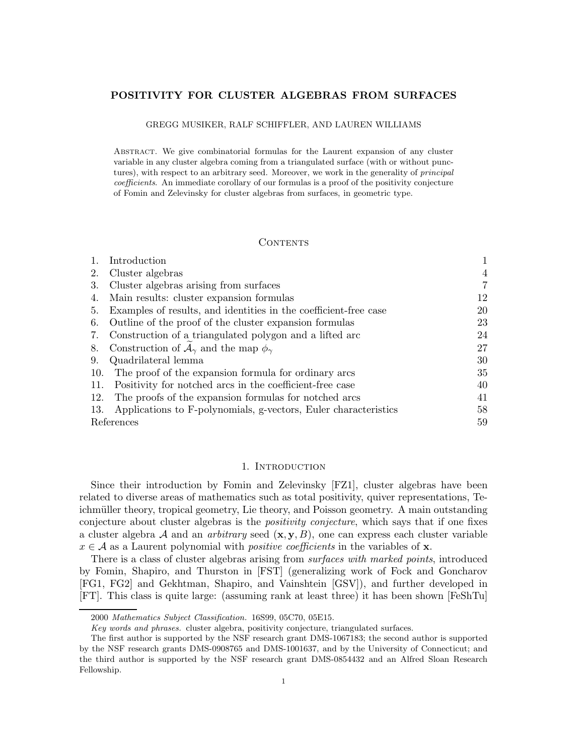# POSITIVITY FOR CLUSTER ALGEBRAS FROM SURFACES

#### GREGG MUSIKER, RALF SCHIFFLER, AND LAUREN WILLIAMS

Abstract. We give combinatorial formulas for the Laurent expansion of any cluster variable in any cluster algebra coming from a triangulated surface (with or without punctures), with respect to an arbitrary seed. Moreover, we work in the generality of *principal* coefficients. An immediate corollary of our formulas is a proof of the positivity conjecture of Fomin and Zelevinsky for cluster algebras from surfaces, in geometric type.

# **CONTENTS**

|            | Introduction                                                       |    |  |  |  |
|------------|--------------------------------------------------------------------|----|--|--|--|
| 2.         | Cluster algebras                                                   |    |  |  |  |
| 3.         | Cluster algebras arising from surfaces                             | 7  |  |  |  |
| 4.         | Main results: cluster expansion formulas                           | 12 |  |  |  |
| 5.         | Examples of results, and identities in the coefficient-free case   | 20 |  |  |  |
| 6.         | Outline of the proof of the cluster expansion formulas             | 23 |  |  |  |
| 7.         | Construction of a triangulated polygon and a lifted arc            | 24 |  |  |  |
| 8.         | Construction of $\mathcal{A}_{\gamma}$ and the map $\phi_{\gamma}$ | 27 |  |  |  |
| 9.         | Quadrilateral lemma                                                | 30 |  |  |  |
| 10.        | The proof of the expansion formula for ordinary arcs               | 35 |  |  |  |
| 11.        | Positivity for notched arcs in the coefficient-free case           | 40 |  |  |  |
| 12.        | The proofs of the expansion formulas for notched arcs              | 41 |  |  |  |
| 13.        | Applications to F-polynomials, g-vectors, Euler characteristics    | 58 |  |  |  |
| References |                                                                    |    |  |  |  |

# 1. INTRODUCTION

Since their introduction by Fomin and Zelevinsky [FZ1], cluster algebras have been related to diverse areas of mathematics such as total positivity, quiver representations, Teichmüller theory, tropical geometry, Lie theory, and Poisson geometry. A main outstanding conjecture about cluster algebras is the *positivity conjecture*, which says that if one fixes a cluster algebra A and an *arbitrary* seed  $(x, y, B)$ , one can express each cluster variable  $x \in \mathcal{A}$  as a Laurent polynomial with *positive coefficients* in the variables of **x**.

There is a class of cluster algebras arising from *surfaces with marked points*, introduced by Fomin, Shapiro, and Thurston in [FST] (generalizing work of Fock and Goncharov [FG1, FG2] and Gekhtman, Shapiro, and Vainshtein [GSV]), and further developed in [FT]. This class is quite large: (assuming rank at least three) it has been shown [FeShTu]

<sup>2000</sup> Mathematics Subject Classification. 16S99, 05C70, 05E15.

Key words and phrases. cluster algebra, positivity conjecture, triangulated surfaces.

The first author is supported by the NSF research grant DMS-1067183; the second author is supported by the NSF research grants DMS-0908765 and DMS-1001637, and by the University of Connecticut; and the third author is supported by the NSF research grant DMS-0854432 and an Alfred Sloan Research Fellowship.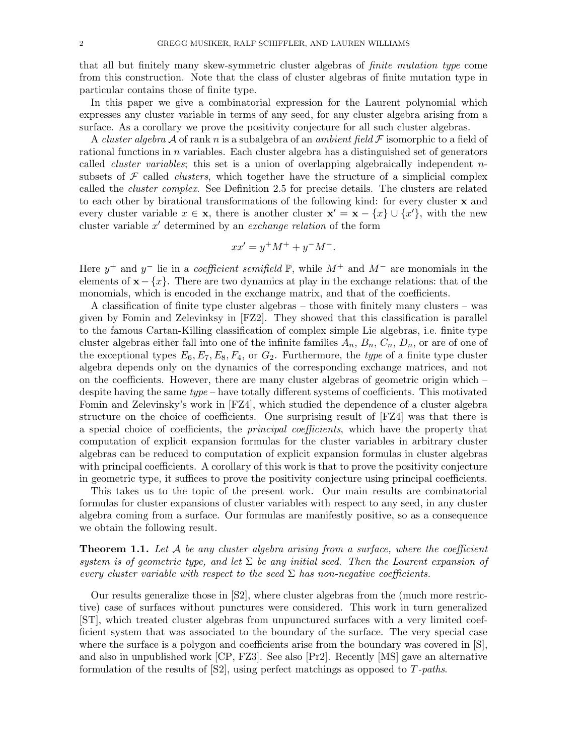that all but finitely many skew-symmetric cluster algebras of finite mutation type come from this construction. Note that the class of cluster algebras of finite mutation type in particular contains those of finite type.

In this paper we give a combinatorial expression for the Laurent polynomial which expresses any cluster variable in terms of any seed, for any cluster algebra arising from a surface. As a corollary we prove the positivity conjecture for all such cluster algebras.

A *cluster algebra* A of rank n is a subalgebra of an *ambient field* F isomorphic to a field of rational functions in  $n$  variables. Each cluster algebra has a distinguished set of generators called *cluster variables*; this set is a union of overlapping algebraically independent nsubsets of  $\mathcal F$  called *clusters*, which together have the structure of a simplicial complex called the cluster complex. See Definition 2.5 for precise details. The clusters are related to each other by birational transformations of the following kind: for every cluster x and every cluster variable  $x \in \mathbf{x}$ , there is another cluster  $\mathbf{x}' = \mathbf{x} - \{x\} \cup \{x'\}$ , with the new cluster variable  $x'$  determined by an *exchange relation* of the form

$$
xx' = y^+M^+ + y^-M^-.
$$

Here  $y^+$  and  $y^-$  lie in a *coefficient semifield*  $\mathbb{P}$ , while  $M^+$  and  $M^-$  are monomials in the elements of  $\mathbf{x}-\{x\}$ . There are two dynamics at play in the exchange relations: that of the monomials, which is encoded in the exchange matrix, and that of the coefficients.

A classification of finite type cluster algebras – those with finitely many clusters – was given by Fomin and Zelevinksy in [FZ2]. They showed that this classification is parallel to the famous Cartan-Killing classification of complex simple Lie algebras, i.e. finite type cluster algebras either fall into one of the infinite families  $A_n$ ,  $B_n$ ,  $C_n$ ,  $D_n$ , or are of one of the exceptional types  $E_6, E_7, E_8, F_4$ , or  $G_2$ . Furthermore, the *type* of a finite type cluster algebra depends only on the dynamics of the corresponding exchange matrices, and not on the coefficients. However, there are many cluster algebras of geometric origin which – despite having the same  $type$  – have totally different systems of coefficients. This motivated Fomin and Zelevinsky's work in [FZ4], which studied the dependence of a cluster algebra structure on the choice of coefficients. One surprising result of [FZ4] was that there is a special choice of coefficients, the principal coefficients, which have the property that computation of explicit expansion formulas for the cluster variables in arbitrary cluster algebras can be reduced to computation of explicit expansion formulas in cluster algebras with principal coefficients. A corollary of this work is that to prove the positivity conjecture in geometric type, it suffices to prove the positivity conjecture using principal coefficients.

This takes us to the topic of the present work. Our main results are combinatorial formulas for cluster expansions of cluster variables with respect to any seed, in any cluster algebra coming from a surface. Our formulas are manifestly positive, so as a consequence we obtain the following result.

**Theorem 1.1.** Let  $A$  be any cluster algebra arising from a surface, where the coefficient system is of geometric type, and let  $\Sigma$  be any initial seed. Then the Laurent expansion of every cluster variable with respect to the seed  $\Sigma$  has non-negative coefficients.

Our results generalize those in [S2], where cluster algebras from the (much more restrictive) case of surfaces without punctures were considered. This work in turn generalized [ST], which treated cluster algebras from unpunctured surfaces with a very limited coefficient system that was associated to the boundary of the surface. The very special case where the surface is a polygon and coefficients arise from the boundary was covered in [S], and also in unpublished work [CP, FZ3]. See also [Pr2]. Recently [MS] gave an alternative formulation of the results of  $[S2]$ , using perfect matchings as opposed to T-paths.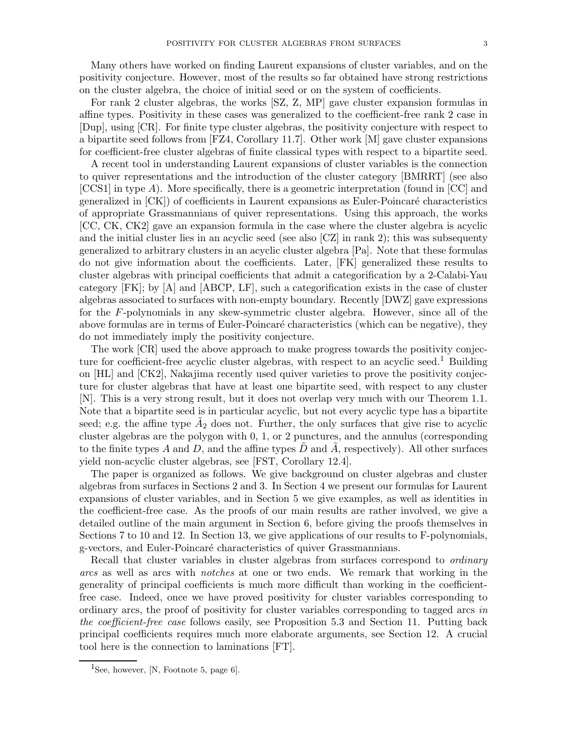Many others have worked on finding Laurent expansions of cluster variables, and on the positivity conjecture. However, most of the results so far obtained have strong restrictions on the cluster algebra, the choice of initial seed or on the system of coefficients.

For rank 2 cluster algebras, the works [SZ, Z, MP] gave cluster expansion formulas in affine types. Positivity in these cases was generalized to the coefficient-free rank 2 case in [Dup], using [CR]. For finite type cluster algebras, the positivity conjecture with respect to a bipartite seed follows from [FZ4, Corollary 11.7]. Other work [M] gave cluster expansions for coefficient-free cluster algebras of finite classical types with respect to a bipartite seed.

A recent tool in understanding Laurent expansions of cluster variables is the connection to quiver representations and the introduction of the cluster category [BMRRT] (see also [CCS1] in type A). More specifically, there is a geometric interpretation (found in [CC] and generalized in  $[CK]$ ) of coefficients in Laurent expansions as Euler-Poincaré characteristics of appropriate Grassmannians of quiver representations. Using this approach, the works [CC, CK, CK2] gave an expansion formula in the case where the cluster algebra is acyclic and the initial cluster lies in an acyclic seed (see also [CZ] in rank 2); this was subsequenty generalized to arbitrary clusters in an acyclic cluster algebra [Pa]. Note that these formulas do not give information about the coefficients. Later, [FK] generalized these results to cluster algebras with principal coefficients that admit a categorification by a 2-Calabi-Yau category [FK]; by [A] and [ABCP, LF], such a categorification exists in the case of cluster algebras associated to surfaces with non-empty boundary. Recently [DWZ] gave expressions for the F-polynomials in any skew-symmetric cluster algebra. However, since all of the above formulas are in terms of Euler-Poincaré characteristics (which can be negative), they do not immediately imply the positivity conjecture.

The work [CR] used the above approach to make progress towards the positivity conjecture for coefficient-free acyclic cluster algebras, with respect to an acyclic seed.<sup>1</sup> Building on [HL] and [CK2], Nakajima recently used quiver varieties to prove the positivity conjecture for cluster algebras that have at least one bipartite seed, with respect to any cluster [N]. This is a very strong result, but it does not overlap very much with our Theorem 1.1. Note that a bipartite seed is in particular acyclic, but not every acyclic type has a bipartite seed; e.g. the affine type  $\tilde{A}_2$  does not. Further, the only surfaces that give rise to acyclic cluster algebras are the polygon with 0, 1, or 2 punctures, and the annulus (corresponding to the finite types A and D, and the affine types D and A, respectively). All other surfaces yield non-acyclic cluster algebras, see [FST, Corollary 12.4].

The paper is organized as follows. We give background on cluster algebras and cluster algebras from surfaces in Sections 2 and 3. In Section 4 we present our formulas for Laurent expansions of cluster variables, and in Section 5 we give examples, as well as identities in the coefficient-free case. As the proofs of our main results are rather involved, we give a detailed outline of the main argument in Section 6, before giving the proofs themselves in Sections 7 to 10 and 12. In Section 13, we give applications of our results to F-polynomials, g-vectors, and Euler-Poincar´e characteristics of quiver Grassmannians.

Recall that cluster variables in cluster algebras from surfaces correspond to *ordinary* arcs as well as arcs with notches at one or two ends. We remark that working in the generality of principal coefficients is much more difficult than working in the coefficientfree case. Indeed, once we have proved positivity for cluster variables corresponding to ordinary arcs, the proof of positivity for cluster variables corresponding to tagged arcs in the coefficient-free case follows easily, see Proposition 5.3 and Section 11. Putting back principal coefficients requires much more elaborate arguments, see Section 12. A crucial tool here is the connection to laminations [FT].

<sup>&</sup>lt;sup>1</sup>See, however, [N, Footnote 5, page 6].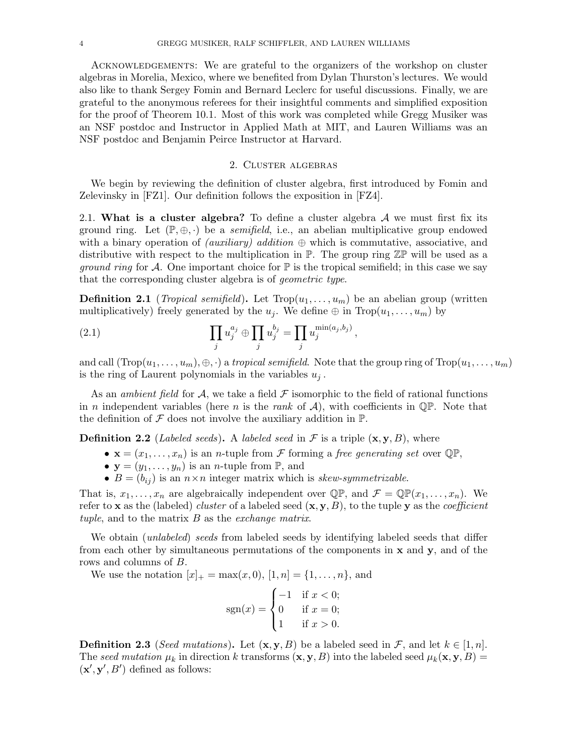Acknowledgements: We are grateful to the organizers of the workshop on cluster algebras in Morelia, Mexico, where we benefited from Dylan Thurston's lectures. We would also like to thank Sergey Fomin and Bernard Leclerc for useful discussions. Finally, we are grateful to the anonymous referees for their insightful comments and simplified exposition for the proof of Theorem 10.1. Most of this work was completed while Gregg Musiker was an NSF postdoc and Instructor in Applied Math at MIT, and Lauren Williams was an NSF postdoc and Benjamin Peirce Instructor at Harvard.

### 2. Cluster algebras

We begin by reviewing the definition of cluster algebra, first introduced by Fomin and Zelevinsky in [FZ1]. Our definition follows the exposition in [FZ4].

2.1. What is a cluster algebra? To define a cluster algebra  $A$  we must first fix its ground ring. Let  $(\mathbb{P}, \oplus, \cdot)$  be a *semifield*, i.e., an abelian multiplicative group endowed with a binary operation of *(auxiliary)* addition  $\oplus$  which is commutative, associative, and distributive with respect to the multiplication in  $\mathbb{P}$ . The group ring  $\mathbb{Z} \mathbb{P}$  will be used as a *ground ring* for A. One important choice for  $\mathbb P$  is the tropical semifield; in this case we say that the corresponding cluster algebra is of geometric type.

**Definition 2.1** (*Tropical semifield*). Let  $\text{Trop}(u_1, \ldots, u_m)$  be an abelian group (written multiplicatively) freely generated by the  $u_j$ . We define  $\oplus$  in  $\text{Trop}(u_1,\ldots,u_m)$  by

(2.1) 
$$
\prod_j u_j^{a_j} \oplus \prod_j u_j^{b_j} = \prod_j u_j^{\min(a_j,b_j)},
$$

and call  $(\text{Trop}(u_1,\ldots,u_m),\oplus,\cdot)$  a tropical semifield. Note that the group ring of  $\text{Trop}(u_1,\ldots,u_m)$ is the ring of Laurent polynomials in the variables  $u_i$ .

As an *ambient field* for  $A$ , we take a field  $\mathcal F$  isomorphic to the field of rational functions in n independent variables (here n is the rank of  $\mathcal{A}$ ), with coefficients in  $\mathbb{QP}$ . Note that the definition of  $\mathcal F$  does not involve the auxiliary addition in  $\mathbb P$ .

**Definition 2.2** (Labeled seeds). A labeled seed in F is a triple  $(x, y, B)$ , where

- $\mathbf{x} = (x_1, \ldots, x_n)$  is an *n*-tuple from F forming a free generating set over  $\mathbb{QP}$ ,
- $\mathbf{y} = (y_1, \dots, y_n)$  is an *n*-tuple from  $\mathbb{P}$ , and
- $B = (b_{ij})$  is an  $n \times n$  integer matrix which is skew-symmetrizable.

That is,  $x_1, \ldots, x_n$  are algebraically independent over  $\mathbb{QP}$ , and  $\mathcal{F} = \mathbb{QP}(x_1, \ldots, x_n)$ . We refer to x as the (labeled) *cluster* of a labeled seed  $(x, y, B)$ , to the tuple y as the *coefficient* tuple, and to the matrix  $B$  as the exchange matrix.

We obtain *(unlabeled)* seeds from labeled seeds by identifying labeled seeds that differ from each other by simultaneous permutations of the components in  $x$  and  $y$ , and of the rows and columns of B.

We use the notation  $[x]_+ = \max(x, 0), [1, n] = \{1, ..., n\}$ , and

$$
sgn(x) = \begin{cases} -1 & \text{if } x < 0; \\ 0 & \text{if } x = 0; \\ 1 & \text{if } x > 0. \end{cases}
$$

**Definition 2.3** (*Seed mutations*). Let  $(x, y, B)$  be a labeled seed in F, and let  $k \in [1, n]$ . The seed mutation  $\mu_k$  in direction k transforms  $(\mathbf{x}, \mathbf{y}, B)$  into the labeled seed  $\mu_k(\mathbf{x}, \mathbf{y}, B)$  =  $(\mathbf{x}', \mathbf{y}', B')$  defined as follows: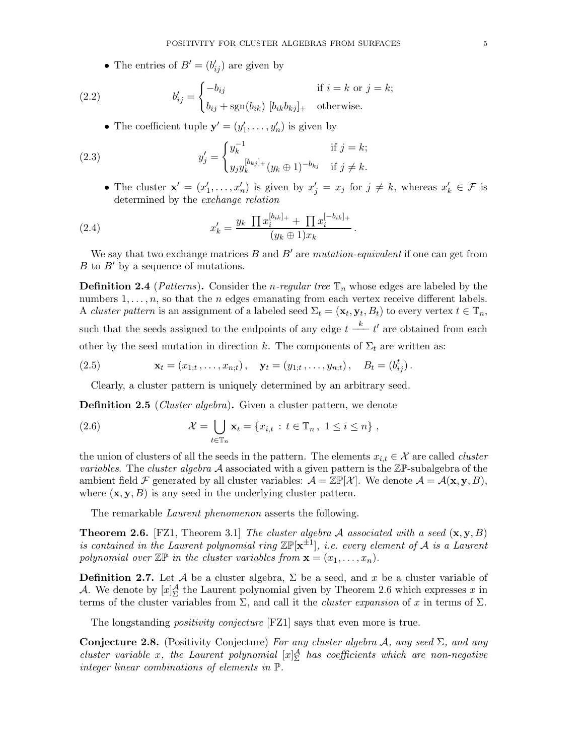• The entries of  $B' = (b'_{ij})$  are given by

(2.2) 
$$
b'_{ij} = \begin{cases} -b_{ij} & \text{if } i = k \text{ or } j = k; \\ b_{ij} + \text{sgn}(b_{ik}) \ [b_{ik}b_{kj}]_+ & \text{otherwise.} \end{cases}
$$

• The coefficient tuple  $\mathbf{y}' = (y'_1, \dots, y'_n)$  is given by

(2.3) 
$$
y'_{j} = \begin{cases} y_{k}^{-1} & \text{if } j = k; \\ y_{j}y_{k}^{[b_{kj}]}+(y_{k} \oplus 1)^{-b_{kj}} & \text{if } j \neq k. \end{cases}
$$

• The cluster  $\mathbf{x}' = (x'_1, \ldots, x'_n)$  is given by  $x'_j = x_j$  for  $j \neq k$ , whereas  $x'_k \in \mathcal{F}$  is determined by the exchange relation

(2.4) 
$$
x'_{k} = \frac{y_{k} \prod x_{i}^{[b_{ik}]_{+}} + \prod x_{i}^{[-b_{ik}]_{+}}}{(y_{k} \oplus 1)x_{k}}.
$$

We say that two exchange matrices  $B$  and  $B'$  are mutation-equivalent if one can get from  $B$  to  $B'$  by a sequence of mutations.

**Definition 2.4** (Patterns). Consider the *n*-regular tree  $\mathbb{T}_n$  whose edges are labeled by the numbers  $1, \ldots, n$ , so that the *n* edges emanating from each vertex receive different labels. A *cluster pattern* is an assignment of a labeled seed  $\Sigma_t = (\mathbf{x}_t, \mathbf{y}_t, B_t)$  to every vertex  $t \in \mathbb{T}_n$ , such that the seeds assigned to the endpoints of any edge  $t \stackrel{k}{\longrightarrow} t'$  are obtained from each other by the seed mutation in direction k. The components of  $\Sigma_t$  are written as:

(2.5) 
$$
\mathbf{x}_t = (x_{1,t}, \dots, x_{n,t}), \quad \mathbf{y}_t = (y_{1,t}, \dots, y_{n,t}), \quad B_t = (b_{ij}^t).
$$

Clearly, a cluster pattern is uniquely determined by an arbitrary seed.

**Definition 2.5** (Cluster algebra). Given a cluster pattern, we denote

(2.6) 
$$
\mathcal{X} = \bigcup_{t \in \mathbb{T}_n} \mathbf{x}_t = \{x_{i,t} : t \in \mathbb{T}_n, 1 \le i \le n\},
$$

the union of clusters of all the seeds in the pattern. The elements  $x_{i,t} \in \mathcal{X}$  are called *cluster variables.* The *cluster algebra*  $\mathcal A$  associated with a given pattern is the  $\mathbb Z\mathbb P$ -subalgebra of the ambient field F generated by all cluster variables:  $\mathcal{A} = \mathbb{Z} \mathbb{P}[\mathcal{X}]$ . We denote  $\mathcal{A} = \mathcal{A}(\mathbf{x}, \mathbf{y}, B)$ , where  $(x, y, B)$  is any seed in the underlying cluster pattern.

The remarkable *Laurent phenomenon* asserts the following.

**Theorem 2.6.** [FZ1, Theorem 3.1] The cluster algebra A associated with a seed  $(x, y, B)$ is contained in the Laurent polynomial ring  $\mathbb{Z}\mathbb{P}[\mathbf{x}^{\pm 1}]$ , i.e. every element of A is a Laurent polynomial over  $\mathbb{Z}\mathbb{P}$  in the cluster variables from  $\mathbf{x} = (x_1, \ldots, x_n)$ .

**Definition 2.7.** Let A be a cluster algebra,  $\Sigma$  be a seed, and x be a cluster variable of A. We denote by  $[x]_{\Sigma}^{\mathcal{A}}$  the Laurent polynomial given by Theorem 2.6 which expresses x in terms of the cluster variables from  $\Sigma$ , and call it the *cluster expansion* of x in terms of  $\Sigma$ .

The longstanding *positivity conjecture* [FZ1] says that even more is true.

Conjecture 2.8. (Positivity Conjecture) For any cluster algebra A, any seed  $\Sigma$ , and any cluster variable x, the Laurent polynomial  $[x]_{\Sigma}^{\mathcal{A}}$  has coefficients which are non-negative integer linear combinations of elements in P.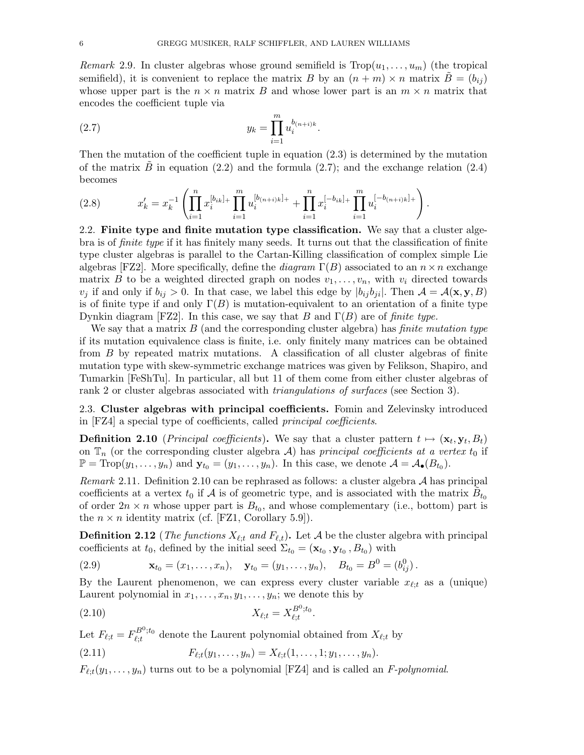Remark 2.9. In cluster algebras whose ground semifield is  $\text{Trop}(u_1, \ldots, u_m)$  (the tropical semifield), it is convenient to replace the matrix B by an  $(n + m) \times n$  matrix  $\tilde{B} = (b_{ij})$ whose upper part is the  $n \times n$  matrix B and whose lower part is an  $m \times n$  matrix that encodes the coefficient tuple via

(2.7) 
$$
y_k = \prod_{i=1}^m u_i^{b_{(n+i)k}}.
$$

Then the mutation of the coefficient tuple in equation (2.3) is determined by the mutation of the matrix  $\tilde{B}$  in equation (2.2) and the formula (2.7); and the exchange relation (2.4) becomes

$$
(2.8) \t x'_k = x_k^{-1} \left( \prod_{i=1}^n x_i^{[b_{ik}]_+} \prod_{i=1}^m u_i^{[b_{(n+i)k}]_+} + \prod_{i=1}^n x_i^{[-b_{ik}]_+} \prod_{i=1}^m u_i^{[-b_{(n+i)k}]_+} \right).
$$

2.2. Finite type and finite mutation type classification. We say that a cluster algebra is of finite type if it has finitely many seeds. It turns out that the classification of finite type cluster algebras is parallel to the Cartan-Killing classification of complex simple Lie algebras [FZ2]. More specifically, define the *diagram*  $\Gamma(B)$  associated to an  $n \times n$  exchange matrix B to be a weighted directed graph on nodes  $v_1, \ldots, v_n$ , with  $v_i$  directed towards  $v_j$  if and only if  $b_{ij} > 0$ . In that case, we label this edge by  $|b_{ij}b_{ji}|$ . Then  $\mathcal{A} = \mathcal{A}(\mathbf{x}, \mathbf{y}, B)$ is of finite type if and only  $\Gamma(B)$  is mutation-equivalent to an orientation of a finite type Dynkin diagram [FZ2]. In this case, we say that B and  $\Gamma(B)$  are of finite type.

We say that a matrix  $B$  (and the corresponding cluster algebra) has *finite mutation type* if its mutation equivalence class is finite, i.e. only finitely many matrices can be obtained from B by repeated matrix mutations. A classification of all cluster algebras of finite mutation type with skew-symmetric exchange matrices was given by Felikson, Shapiro, and Tumarkin [FeShTu]. In particular, all but 11 of them come from either cluster algebras of rank 2 or cluster algebras associated with *triangulations of surfaces* (see Section 3).

2.3. Cluster algebras with principal coefficients. Fomin and Zelevinsky introduced in [FZ4] a special type of coefficients, called principal coefficients.

**Definition 2.10** (*Principal coefficients*). We say that a cluster pattern  $t \mapsto (\mathbf{x}_t, \mathbf{y}_t, B_t)$ on  $\mathbb{T}_n$  (or the corresponding cluster algebra A) has principal coefficients at a vertex  $t_0$  if  $\mathbb{P} = \text{Trop}(y_1, \ldots, y_n)$  and  $\mathbf{y}_{t_0} = (y_1, \ldots, y_n)$ . In this case, we denote  $\mathcal{A} = \mathcal{A}_{\bullet}(B_{t_0})$ .

*Remark* 2.11. Definition 2.10 can be rephrased as follows: a cluster algebra  $A$  has principal coefficients at a vertex  $t_0$  if A is of geometric type, and is associated with the matrix  $\tilde{B}_{t_0}$ of order  $2n \times n$  whose upper part is  $B_{t_0}$ , and whose complementary (i.e., bottom) part is the  $n \times n$  identity matrix (cf. [FZ1, Corollary 5.9]).

**Definition 2.12** (The functions  $X_{\ell,t}$  and  $F_{\ell,t}$ ). Let A be the cluster algebra with principal coefficients at  $t_0$ , defined by the initial seed  $\Sigma_{t_0} = (\mathbf{x}_{t_0}, \mathbf{y}_{t_0}, B_{t_0})$  with

(2.9)  $\mathbf{x}_{t_0} = (x_1, \ldots, x_n), \quad \mathbf{y}_{t_0} = (y_1, \ldots, y_n), \quad B_{t_0} = B^0 = (b_{ij}^0).$ 

By the Laurent phenomenon, we can express every cluster variable  $x_{\ell,t}$  as a (unique) Laurent polynomial in  $x_1, \ldots, x_n, y_1, \ldots, y_n$ ; we denote this by

.

(2.10) 
$$
X_{\ell;t} = X_{\ell;t}^{B^0;t_0}
$$

Let  $F_{\ell;t}=F_{\ell;t}^{B^0;t_0}$  $\mathcal{L}_{\ell;t}^{B^{\infty};t_0}$  denote the Laurent polynomial obtained from  $X_{\ell;t}$  by

(2.11) 
$$
F_{\ell;t}(y_1,\ldots,y_n)=X_{\ell;t}(1,\ldots,1;y_1,\ldots,y_n).
$$

 $F_{\ell,t}(y_1,\ldots,y_n)$  turns out to be a polynomial [FZ4] and is called an F-polynomial.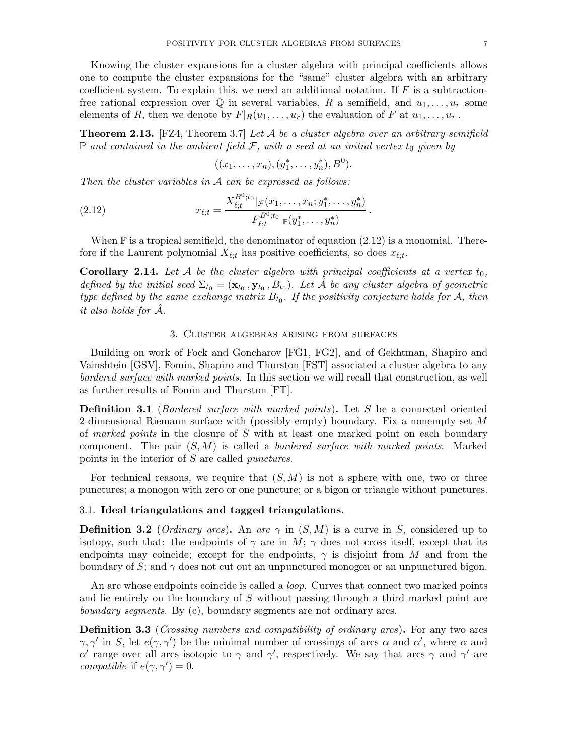Knowing the cluster expansions for a cluster algebra with principal coefficients allows one to compute the cluster expansions for the "same" cluster algebra with an arbitrary coefficient system. To explain this, we need an additional notation. If  $F$  is a subtractionfree rational expression over  $\mathbb Q$  in several variables, R a semifield, and  $u_1,\ldots,u_r$  some elements of R, then we denote by  $F|_R(u_1,\ldots,u_r)$  the evaluation of F at  $u_1,\ldots,u_r$ .

**Theorem 2.13.** [FZ4, Theorem 3.7] Let A be a cluster algebra over an arbitrary semifield  $\mathbb P$  and contained in the ambient field  $\mathcal F$ , with a seed at an initial vertex  $t_0$  given by

$$
((x_1, \ldots, x_n), (y_1^*, \ldots, y_n^*), B^0).
$$

Then the cluster variables in  $A$  can be expressed as follows:

(2.12) 
$$
x_{\ell;t} = \frac{X_{\ell;t}^{B^0;t_0}|_{\mathcal{F}}(x_1,\ldots,x_n;y_1^*,\ldots,y_n^*)}{F_{\ell;t}^{B^0;t_0}|_{\mathbb{P}}(y_1^*,\ldots,y_n^*)}.
$$

When  $\mathbb P$  is a tropical semifield, the denominator of equation (2.12) is a monomial. Therefore if the Laurent polynomial  $X_{\ell;t}$  has positive coefficients, so does  $x_{\ell;t}$ .

**Corollary 2.14.** Let A be the cluster algebra with principal coefficients at a vertex  $t_0$ , defined by the initial seed  $\Sigma_{t_0} = (\mathbf{x}_{t_0}, \mathbf{y}_{t_0}, B_{t_0})$ . Let  $\hat{\mathcal{A}}$  be any cluster algebra of geometric type defined by the same exchange matrix  $B_{t0}$ . If the positivity conjecture holds for  $\mathcal{A}$ , then it also holds for  $A$ .

#### 3. Cluster algebras arising from surfaces

Building on work of Fock and Goncharov [FG1, FG2], and of Gekhtman, Shapiro and Vainshtein [GSV], Fomin, Shapiro and Thurston [FST] associated a cluster algebra to any bordered surface with marked points. In this section we will recall that construction, as well as further results of Fomin and Thurston [FT].

**Definition 3.1** (*Bordered surface with marked points*). Let S be a connected oriented 2-dimensional Riemann surface with (possibly empty) boundary. Fix a nonempty set M of marked points in the closure of  $S$  with at least one marked point on each boundary component. The pair  $(S, M)$  is called a *bordered surface with marked points*. Marked points in the interior of S are called *punctures*.

For technical reasons, we require that  $(S, M)$  is not a sphere with one, two or three punctures; a monogon with zero or one puncture; or a bigon or triangle without punctures.

#### 3.1. Ideal triangulations and tagged triangulations.

**Definition 3.2** (*Ordinary arcs*). An arc  $\gamma$  in  $(S, M)$  is a curve in S, considered up to isotopy, such that: the endpoints of  $\gamma$  are in M;  $\gamma$  does not cross itself, except that its endpoints may coincide; except for the endpoints,  $\gamma$  is disjoint from M and from the boundary of S; and  $\gamma$  does not cut out an unpunctured monogon or an unpunctured bigon.

An arc whose endpoints coincide is called a *loop*. Curves that connect two marked points and lie entirely on the boundary of S without passing through a third marked point are boundary segments. By (c), boundary segments are not ordinary arcs.

Definition 3.3 (Crossing numbers and compatibility of ordinary arcs). For any two arcs  $\gamma, \gamma'$  in S, let  $e(\gamma, \gamma')$  be the minimal number of crossings of arcs  $\alpha$  and  $\alpha'$ , where  $\alpha$  and α' range over all arcs isotopic to  $\gamma$  and  $\gamma'$ , respectively. We say that arcs  $\gamma$  and  $\gamma'$  are compatible if  $e(\gamma, \gamma') = 0$ .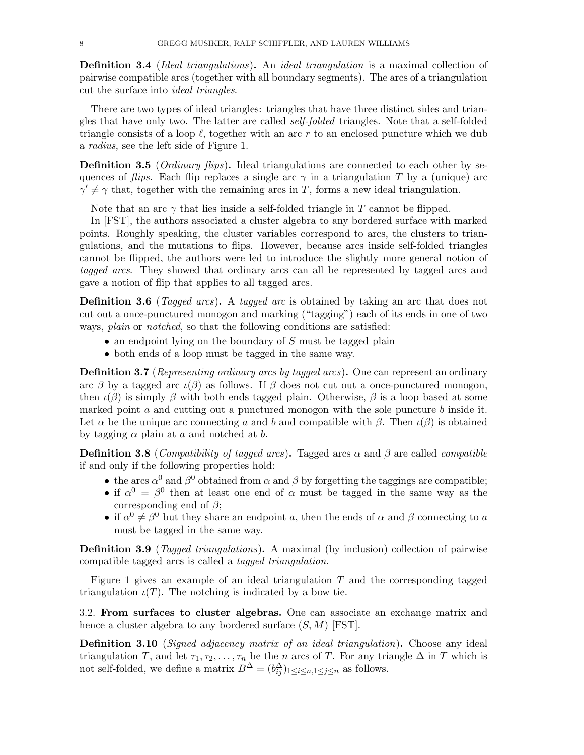**Definition 3.4** (Ideal triangulations). An ideal triangulation is a maximal collection of pairwise compatible arcs (together with all boundary segments). The arcs of a triangulation cut the surface into ideal triangles.

There are two types of ideal triangles: triangles that have three distinct sides and triangles that have only two. The latter are called self-folded triangles. Note that a self-folded triangle consists of a loop  $\ell$ , together with an arc r to an enclosed puncture which we dub a radius, see the left side of Figure 1.

**Definition 3.5** (*Ordinary flips*). Ideal triangulations are connected to each other by sequences of *flips*. Each flip replaces a single arc  $\gamma$  in a triangulation T by a (unique) arc  $\gamma' \neq \gamma$  that, together with the remaining arcs in T, forms a new ideal triangulation.

Note that an arc  $\gamma$  that lies inside a self-folded triangle in T cannot be flipped.

In [FST], the authors associated a cluster algebra to any bordered surface with marked points. Roughly speaking, the cluster variables correspond to arcs, the clusters to triangulations, and the mutations to flips. However, because arcs inside self-folded triangles cannot be flipped, the authors were led to introduce the slightly more general notion of tagged arcs. They showed that ordinary arcs can all be represented by tagged arcs and gave a notion of flip that applies to all tagged arcs.

**Definition 3.6** (*Tagged arcs*). A *tagged arc* is obtained by taking an arc that does not cut out a once-punctured monogon and marking ("tagging") each of its ends in one of two ways, plain or notched, so that the following conditions are satisfied:

- $\bullet$  an endpoint lying on the boundary of S must be tagged plain
- both ends of a loop must be tagged in the same way.

**Definition 3.7** (*Representing ordinary arcs by tagged arcs*). One can represent an ordinary arc  $\beta$  by a tagged arc  $\iota(\beta)$  as follows. If  $\beta$  does not cut out a once-punctured monogon, then  $\iota(\beta)$  is simply  $\beta$  with both ends tagged plain. Otherwise,  $\beta$  is a loop based at some marked point  $a$  and cutting out a punctured monogon with the sole puncture  $b$  inside it. Let  $\alpha$  be the unique arc connecting a and b and compatible with  $\beta$ . Then  $\iota(\beta)$  is obtained by tagging  $\alpha$  plain at a and notched at b.

**Definition 3.8** (*Compatibility of tagged arcs*). Tagged arcs  $\alpha$  and  $\beta$  are called *compatible* if and only if the following properties hold:

- the arcs  $\alpha^0$  and  $\beta^0$  obtained from  $\alpha$  and  $\beta$  by forgetting the taggings are compatible;
- if  $\alpha^0 = \beta^0$  then at least one end of  $\alpha$  must be tagged in the same way as the corresponding end of  $\beta$ ;
- if  $\alpha^0 \neq \beta^0$  but they share an endpoint a, then the ends of  $\alpha$  and  $\beta$  connecting to a must be tagged in the same way.

**Definition 3.9** (*Tagged triangulations*). A maximal (by inclusion) collection of pairwise compatible tagged arcs is called a tagged triangulation.

Figure 1 gives an example of an ideal triangulation  $T$  and the corresponding tagged triangulation  $\iota(T)$ . The notching is indicated by a bow tie.

3.2. From surfaces to cluster algebras. One can associate an exchange matrix and hence a cluster algebra to any bordered surface  $(S, M)$  [FST].

Definition 3.10 (Signed adjacency matrix of an ideal triangulation). Choose any ideal triangulation T, and let  $\tau_1, \tau_2, \ldots, \tau_n$  be the n arcs of T. For any triangle  $\Delta$  in T which is not self-folded, we define a matrix  $B^{\Delta} = (b_{ij}^{\Delta})_{1 \le i \le n, 1 \le j \le n}$  as follows.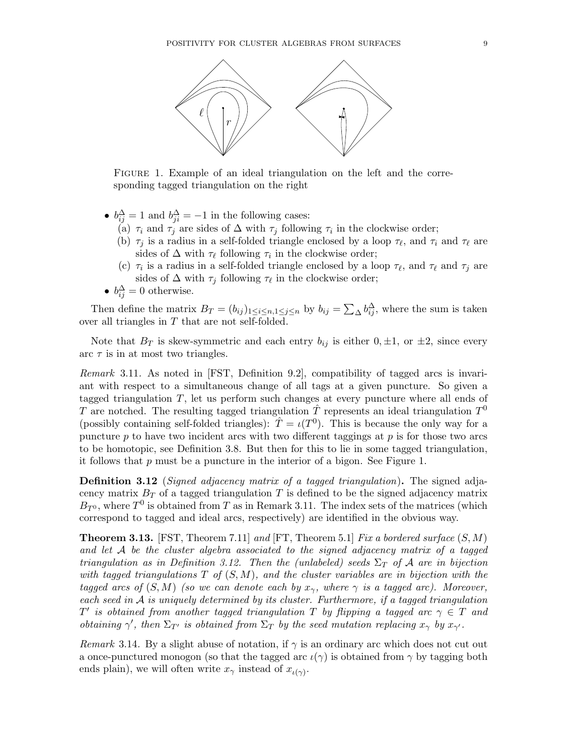

FIGURE 1. Example of an ideal triangulation on the left and the corresponding tagged triangulation on the right

- $b_{ij}^{\Delta} = 1$  and  $b_{ji}^{\Delta} = -1$  in the following cases:
	- (a)  $\tau_i$  and  $\tau_j$  are sides of  $\Delta$  with  $\tau_j$  following  $\tau_i$  in the clockwise order;
	- (b)  $\tau_j$  is a radius in a self-folded triangle enclosed by a loop  $\tau_{\ell}$ , and  $\tau_i$  and  $\tau_{\ell}$  are sides of  $\Delta$  with  $\tau_{\ell}$  following  $\tau_i$  in the clockwise order;
	- (c)  $\tau_i$  is a radius in a self-folded triangle enclosed by a loop  $\tau_{\ell}$ , and  $\tau_{\ell}$  and  $\tau_j$  are sides of  $\Delta$  with  $\tau_j$  following  $\tau_\ell$  in the clockwise order;
- $b_{ij}^{\Delta} = 0$  otherwise.

Then define the matrix  $B_T = (b_{ij})_{1 \le i \le n, 1 \le j \le n}$  by  $b_{ij} = \sum_{\Delta} b_{ij}^{\Delta}$ , where the sum is taken over all triangles in T that are not self-folded.

Note that  $B_T$  is skew-symmetric and each entry  $b_{ij}$  is either  $0, \pm 1$ , or  $\pm 2$ , since every arc  $\tau$  is in at most two triangles.

Remark 3.11. As noted in [FST, Definition 9.2], compatibility of tagged arcs is invariant with respect to a simultaneous change of all tags at a given puncture. So given a tagged triangulation  $T$ , let us perform such changes at every puncture where all ends of T are notched. The resulting tagged triangulation  $\hat{T}$  represents an ideal triangulation  $T^0$ (possibly containing self-folded triangles):  $\hat{T} = \iota(T^0)$ . This is because the only way for a puncture  $p$  to have two incident arcs with two different taggings at  $p$  is for those two arcs to be homotopic, see Definition 3.8. But then for this to lie in some tagged triangulation, it follows that  $p$  must be a puncture in the interior of a bigon. See Figure 1.

**Definition 3.12** (Signed adjacency matrix of a tagged triangulation). The signed adjacency matrix  $B_T$  of a tagged triangulation T is defined to be the signed adjacency matrix  $B_T$ <sup>0</sup>, where  $T^0$  is obtained from T as in Remark 3.11. The index sets of the matrices (which correspond to tagged and ideal arcs, respectively) are identified in the obvious way.

**Theorem 3.13.** [FST, Theorem 7.11] and [FT, Theorem 5.1] Fix a bordered surface  $(S, M)$ and let  $A$  be the cluster algebra associated to the signed adjacency matrix of a tagged triangulation as in Definition 3.12. Then the (unlabeled) seeds  $\Sigma_T$  of A are in bijection with tagged triangulations  $T$  of  $(S, M)$ , and the cluster variables are in bijection with the tagged arcs of  $(S, M)$  (so we can denote each by  $x_{\gamma}$ , where  $\gamma$  is a tagged arc). Moreover, each seed in  $A$  is uniquely determined by its cluster. Furthermore, if a tagged triangulation  $T'$  is obtained from another tagged triangulation T by flipping a tagged arc  $\gamma \in T$  and obtaining  $\gamma'$ , then  $\Sigma_{T'}$  is obtained from  $\Sigma_T$  by the seed mutation replacing  $x_{\gamma}$  by  $x_{\gamma'}$ .

Remark 3.14. By a slight abuse of notation, if  $\gamma$  is an ordinary arc which does not cut out a once-punctured monogon (so that the tagged arc  $\iota(\gamma)$  is obtained from  $\gamma$  by tagging both ends plain), we will often write  $x_{\gamma}$  instead of  $x_{\iota(\gamma)}$ .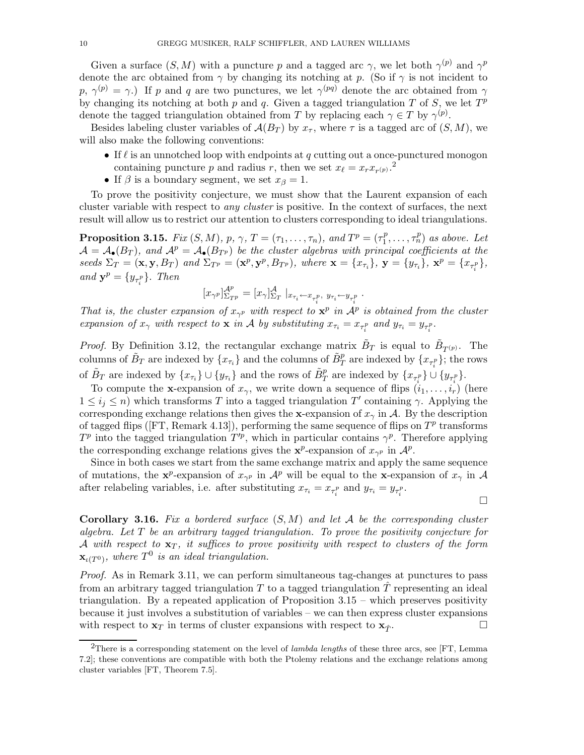Given a surface  $(S, M)$  with a puncture p and a tagged arc  $\gamma$ , we let both  $\gamma^{(p)}$  and  $\gamma^p$ denote the arc obtained from  $\gamma$  by changing its notching at p. (So if  $\gamma$  is not incident to  $p, \gamma^{(p)} = \gamma.$  If p and q are two punctures, we let  $\gamma^{(pq)}$  denote the arc obtained from  $\gamma$ by changing its notching at both p and q. Given a tagged triangulation T of S, we let  $T<sup>p</sup>$ denote the tagged triangulation obtained from T by replacing each  $\gamma \in T$  by  $\gamma^{(p)}$ .

Besides labeling cluster variables of  $\mathcal{A}(B_T)$  by  $x_{\tau}$ , where  $\tau$  is a tagged arc of  $(S, M)$ , we will also make the following conventions:

- If  $\ell$  is an unnotched loop with endpoints at q cutting out a once-punctured monogon containing puncture p and radius r, then we set  $x_{\ell} = x_r x_{r^{(p)}}$ .<sup>2</sup>
- If  $\beta$  is a boundary segment, we set  $x_{\beta} = 1$ .

To prove the positivity conjecture, we must show that the Laurent expansion of each cluster variable with respect to *any cluster* is positive. In the context of surfaces, the next result will allow us to restrict our attention to clusters corresponding to ideal triangulations.

**Proposition 3.15.** Fix  $(S, M)$ , p,  $\gamma$ ,  $T = (\tau_1, \ldots, \tau_n)$ , and  $T^p = (\tau_1^p)$  $\tau_1^p, \ldots, \tau_n^p$  as above. Let  $\mathcal{A} = \mathcal{A}_{\bullet}(B_T)$ , and  $\mathcal{A}^p = \mathcal{A}_{\bullet}(B_{T^p})$  be the cluster algebras with principal coefficients at the seeds  $\Sigma_T = (\mathbf{x}, \mathbf{y}, B_T)$  and  $\Sigma_{T^p} = (\mathbf{x}^p, \mathbf{y}^p, B_{T^p})$ , where  $\mathbf{x} = \{x_{\tau_i}\}, \mathbf{y} = \{y_{\tau_i}\}, \mathbf{x}^p = \{x_{\tau_i^p}\},$ and  $\mathbf{y}^p = \{y_{\tau_i^p}\}$ . Then

$$
[x_{\gamma^p}]_{\Sigma_{T^p}}^{\mathcal{A}^p} = [x_{\gamma}]_{\Sigma_{T}}^{\mathcal{A}} \mid_{x_{\tau_i} \leftarrow x_{\tau_i^p}, y_{\tau_i} \leftarrow y_{\tau_i^p}}.
$$

That is, the cluster expansion of  $x_{\gamma^p}$  with respect to  $x^p$  in  $\mathcal{A}^p$  is obtained from the cluster expansion of  $x_{\gamma}$  with respect to **x** in A by substituting  $x_{\tau_i} = x_{\tau_i^p}$  and  $y_{\tau_i} = y_{\tau_i^p}$ .

*Proof.* By Definition 3.12, the rectangular exchange matrix  $\tilde{B}_T$  is equal to  $\tilde{B}_{T^{(p)}}$ . The columns of  $\tilde{B}_T$  are indexed by  $\{x_{\tau_i}\}$  and the columns of  $\tilde{B}_T^p$  are indexed by  $\{x_{\tau_i^p}\}$ ; the rows of  $\tilde{B}_T$  are indexed by  $\{x_{\tau_i}\}\cup\{y_{\tau_i}\}\$  and the rows of  $\tilde{B}_T^p$  are indexed by  $\{x_{\tau_i^p}\}\cup\{y_{\tau_i^p}\}.$ 

To compute the x-expansion of  $x_{\gamma}$ , we write down a sequence of flips  $(i_1,\ldots,i_r)$  (here  $1 \leq i_j \leq n$ ) which transforms T into a tagged triangulation T' containing  $\gamma$ . Applying the corresponding exchange relations then gives the x-expansion of  $x<sub>\gamma</sub>$  in A. By the description of tagged flips ([FT, Remark 4.13]), performing the same sequence of flips on  $T^p$  transforms  $T^p$  into the tagged triangulation  $T'^p$ , which in particular contains  $\gamma^p$ . Therefore applying the corresponding exchange relations gives the  $\mathbf{x}^p$ -expansion of  $x_{\gamma^p}$  in  $\mathcal{A}^p$ .

Since in both cases we start from the same exchange matrix and apply the same sequence of mutations, the **x**<sup>*p*</sup>-expansion of  $x_{\gamma}$ <sup>*p*</sup> in  $\mathcal{A}^p$  will be equal to the **x**-expansion of  $x_{\gamma}$  in  $\mathcal{A}$ after relabeling variables, i.e. after substituting  $x_{\tau_i} = x_{\tau_i^p}$  and  $y_{\tau_i} = y_{\tau_i^p}$ .

 $\Box$ 

**Corollary 3.16.** Fix a bordered surface  $(S, M)$  and let A be the corresponding cluster algebra. Let  $T$  be an arbitrary tagged triangulation. To prove the positivity conjecture for A with respect to  $\mathbf{x}_T$ , it suffices to prove positivity with respect to clusters of the form  $\mathbf{x}_{\iota(T^0)}$ , where  $T^0$  is an ideal triangulation.

Proof. As in Remark 3.11, we can perform simultaneous tag-changes at punctures to pass from an arbitrary tagged triangulation T to a tagged triangulation  $\overline{T}$  representing an ideal triangulation. By a repeated application of Proposition 3.15 – which preserves positivity because it just involves a substitution of variables – we can then express cluster expansions with respect to  $\mathbf{x}_T$  in terms of cluster expansions with respect to  $\mathbf{x}_{\hat{T}}$ .

<sup>&</sup>lt;sup>2</sup>There is a corresponding statement on the level of *lambda lengths* of these three arcs, see [FT, Lemma 7.2]; these conventions are compatible with both the Ptolemy relations and the exchange relations among cluster variables [FT, Theorem 7.5].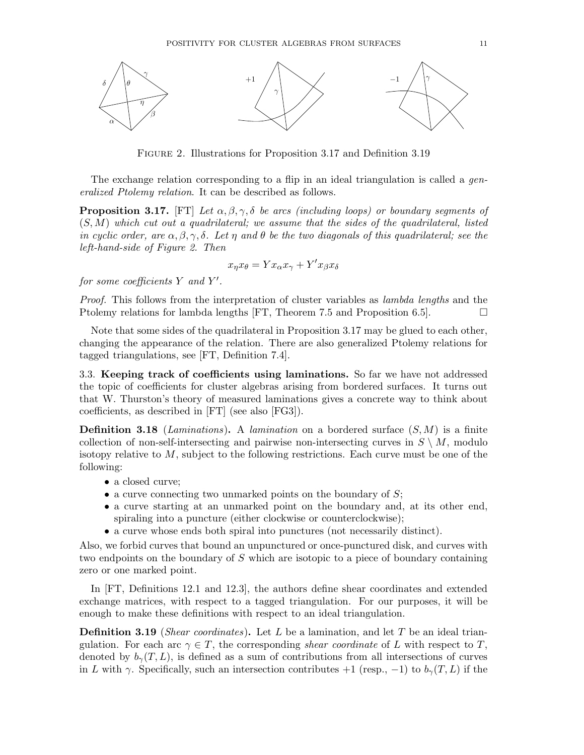

FIGURE 2. Illustrations for Proposition 3.17 and Definition 3.19

The exchange relation corresponding to a flip in an ideal triangulation is called a *gen*eralized Ptolemy relation. It can be described as follows.

**Proposition 3.17.** [FT] Let  $\alpha, \beta, \gamma, \delta$  be arcs (including loops) or boundary segments of  $(S, M)$  which cut out a quadrilateral; we assume that the sides of the quadrilateral, listed in cyclic order, are  $\alpha, \beta, \gamma, \delta$ . Let  $\eta$  and  $\theta$  be the two diagonals of this quadrilateral; see the left-hand-side of Figure 2. Then

$$
x_{\eta}x_{\theta} = Yx_{\alpha}x_{\gamma} + Y'x_{\beta}x_{\delta}
$$

for some coefficients  $Y$  and  $Y'$ .

Proof. This follows from the interpretation of cluster variables as *lambda lengths* and the Ptolemy relations for lambda lengths [FT, Theorem 7.5 and Proposition 6.5].

Note that some sides of the quadrilateral in Proposition 3.17 may be glued to each other, changing the appearance of the relation. There are also generalized Ptolemy relations for tagged triangulations, see [FT, Definition 7.4].

3.3. Keeping track of coefficients using laminations. So far we have not addressed the topic of coefficients for cluster algebras arising from bordered surfaces. It turns out that W. Thurston's theory of measured laminations gives a concrete way to think about coefficients, as described in [FT] (see also [FG3]).

**Definition 3.18** (Laminations). A lamination on a bordered surface  $(S, M)$  is a finite collection of non-self-intersecting and pairwise non-intersecting curves in  $S \setminus M$ , modulo isotopy relative to  $M$ , subject to the following restrictions. Each curve must be one of the following:

- a closed curve;
- a curve connecting two unmarked points on the boundary of  $S$ ;
- a curve starting at an unmarked point on the boundary and, at its other end, spiraling into a puncture (either clockwise or counterclockwise);
- a curve whose ends both spiral into punctures (not necessarily distinct).

Also, we forbid curves that bound an unpunctured or once-punctured disk, and curves with two endpoints on the boundary of S which are isotopic to a piece of boundary containing zero or one marked point.

In [FT, Definitions 12.1 and 12.3], the authors define shear coordinates and extended exchange matrices, with respect to a tagged triangulation. For our purposes, it will be enough to make these definitions with respect to an ideal triangulation.

**Definition 3.19** (*Shear coordinates*). Let L be a lamination, and let T be an ideal triangulation. For each arc  $\gamma \in T$ , the corresponding shear coordinate of L with respect to T, denoted by  $b_{\gamma}(T,L)$ , is defined as a sum of contributions from all intersections of curves in L with  $\gamma$ . Specifically, such an intersection contributes +1 (resp., -1) to  $b_{\gamma}(T,L)$  if the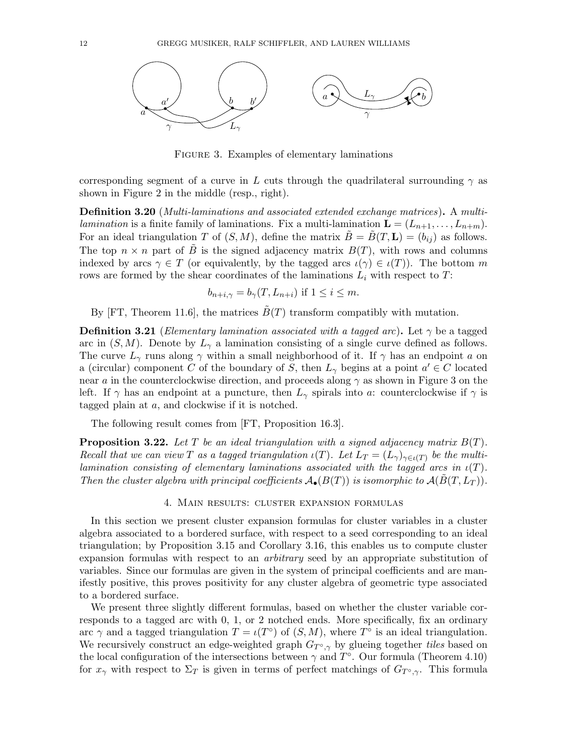

FIGURE 3. Examples of elementary laminations

corresponding segment of a curve in L cuts through the quadrilateral surrounding  $\gamma$  as shown in Figure 2 in the middle (resp., right).

Definition 3.20 (Multi-laminations and associated extended exchange matrices). A multilamination is a finite family of laminations. Fix a multi-lamination  $\mathbf{L} = (L_{n+1}, \ldots, L_{n+m}).$ For an ideal triangulation T of  $(S, M)$ , define the matrix  $B = B(T, L) = (b_{ij})$  as follows. The top  $n \times n$  part of B is the signed adjacency matrix  $B(T)$ , with rows and columns indexed by arcs  $\gamma \in T$  (or equivalently, by the tagged arcs  $\iota(\gamma) \in \iota(T)$ ). The bottom m rows are formed by the shear coordinates of the laminations  $L_i$  with respect to T:

$$
b_{n+i,\gamma} = b_{\gamma}(T, L_{n+i})
$$
 if  $1 \leq i \leq m$ .

By [FT, Theorem 11.6], the matrices  $\hat{B}(T)$  transform compatibly with mutation.

**Definition 3.21** (Elementary lamination associated with a tagged arc). Let  $\gamma$  be a tagged arc in  $(S, M)$ . Denote by  $L_{\gamma}$  a lamination consisting of a single curve defined as follows. The curve  $L_{\gamma}$  runs along  $\gamma$  within a small neighborhood of it. If  $\gamma$  has an endpoint a on a (circular) component C of the boundary of S, then  $L_{\gamma}$  begins at a point  $a' \in C$  located near a in the counterclockwise direction, and proceeds along  $\gamma$  as shown in Figure 3 on the left. If  $\gamma$  has an endpoint at a puncture, then  $L_{\gamma}$  spirals into a: counterclockwise if  $\gamma$  is tagged plain at a, and clockwise if it is notched.

The following result comes from [FT, Proposition 16.3].

**Proposition 3.22.** Let T be an ideal triangulation with a signed adjacency matrix  $B(T)$ . Recall that we can view T as a tagged triangulation  $\iota(T)$ . Let  $L_T = (L_\gamma)_{\gamma \in \iota(T)}$  be the multilamination consisting of elementary laminations associated with the tagged arcs in  $\iota(T)$ . Then the cluster algebra with principal coefficients  $\mathcal{A}_{\bullet}(B(T))$  is isomorphic to  $\mathcal{A}(B(T,L_T))$ .

#### 4. Main results: cluster expansion formulas

In this section we present cluster expansion formulas for cluster variables in a cluster algebra associated to a bordered surface, with respect to a seed corresponding to an ideal triangulation; by Proposition 3.15 and Corollary 3.16, this enables us to compute cluster expansion formulas with respect to an arbitrary seed by an appropriate substitution of variables. Since our formulas are given in the system of principal coefficients and are manifestly positive, this proves positivity for any cluster algebra of geometric type associated to a bordered surface.

We present three slightly different formulas, based on whether the cluster variable corresponds to a tagged arc with 0, 1, or 2 notched ends. More specifically, fix an ordinary arc  $\gamma$  and a tagged triangulation  $T = \iota(T^{\circ})$  of  $(S, M)$ , where  $T^{\circ}$  is an ideal triangulation. We recursively construct an edge-weighted graph  $G_{T^{\circ} \gamma}$  by glueing together tiles based on the local configuration of the intersections between  $\gamma$  and  $T^{\circ}$ . Our formula (Theorem 4.10) for  $x_{\gamma}$  with respect to  $\Sigma_T$  is given in terms of perfect matchings of  $G_{T^{\circ},\gamma}$ . This formula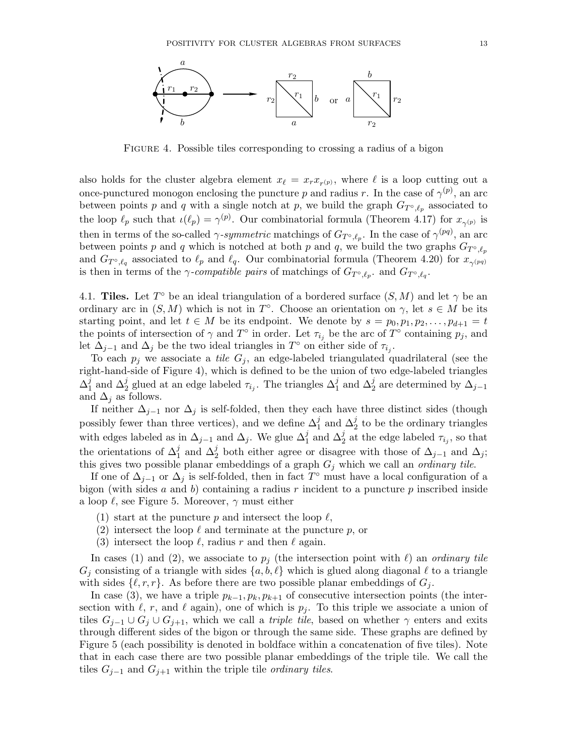

FIGURE 4. Possible tiles corresponding to crossing a radius of a bigon

also holds for the cluster algebra element  $x_{\ell} = x_r x_{r^{(p)}}$ , where  $\ell$  is a loop cutting out a once-punctured monogon enclosing the puncture p and radius r. In the case of  $\gamma^{(p)}$ , an arc between points p and q with a single notch at p, we build the graph  $G_{T^{\circ},\ell_p}$  associated to the loop  $\ell_p$  such that  $\iota(\ell_p) = \gamma^{(p)}$ . Our combinatorial formula (Theorem 4.17) for  $x_{\gamma^{(p)}}$  is then in terms of the so-called  $\gamma$ -symmetric matchings of  $G_{T^{\circ},\ell_p}$ . In the case of  $\gamma^{(pq)}$ , an arc between points p and q which is notched at both p and q, we build the two graphs  $G_{T^{\circ},\ell_p}$ and  $G_{T^{\circ}, \ell_q}$  associated to  $\ell_p$  and  $\ell_q$ . Our combinatorial formula (Theorem 4.20) for  $x_{\gamma^{(pq)}}$ is then in terms of the  $\gamma$ -compatible pairs of matchings of  $G_{T^{\circ},\ell_p}$  and  $G_{T^{\circ},\ell_q}$ .

4.1. Tiles. Let  $T^{\circ}$  be an ideal triangulation of a bordered surface  $(S, M)$  and let  $\gamma$  be an ordinary arc in  $(S, M)$  which is not in  $T^{\circ}$ . Choose an orientation on  $\gamma$ , let  $s \in M$  be its starting point, and let  $t \in M$  be its endpoint. We denote by  $s = p_0, p_1, p_2, \ldots, p_{d+1} = t$ the points of intersection of  $\gamma$  and  $T^{\circ}$  in order. Let  $\tau_{i_j}$  be the arc of  $T^{\circ}$  containing  $p_j$ , and let  $\Delta_{j-1}$  and  $\Delta_j$  be the two ideal triangles in  $T^{\circ}$  on either side of  $\tau_{i_j}$ .

To each  $p_i$  we associate a tile  $G_i$ , an edge-labeled triangulated quadrilateral (see the right-hand-side of Figure 4), which is defined to be the union of two edge-labeled triangles  $\Delta_1^j$  $\frac{j}{1}$  and  $\Delta_2^j$  glued at an edge labeled  $\tau_{i_j}$ . The triangles  $\Delta_1^j$  and  $\Delta_2^j$  are determined by  $\Delta_{j-1}$ and  $\Delta_j$  as follows.

If neither  $\Delta_{j-1}$  nor  $\Delta_j$  is self-folded, then they each have three distinct sides (though possibly fewer than three vertices), and we define  $\Delta_1^j$  and  $\Delta_2^j$  to be the ordinary triangles with edges labeled as in  $\Delta_{j-1}$  and  $\Delta_j$ . We glue  $\Delta_1^j$  and  $\Delta_2^j$  at the edge labeled  $\tau_{i_j}$ , so that the orientations of  $\Delta_1^j$  and  $\Delta_2^j$  both either agree or disagree with those of  $\Delta_{j-1}$  and  $\Delta_j$ ; this gives two possible planar embeddings of a graph  $G_j$  which we call an *ordinary tile*.

If one of  $\Delta_{j-1}$  or  $\Delta_j$  is self-folded, then in fact  $T^{\circ}$  must have a local configuration of a bigon (with sides a and b) containing a radius r incident to a puncture  $p$  inscribed inside a loop  $\ell$ , see Figure 5. Moreover,  $\gamma$  must either

- (1) start at the puncture p and intersect the loop  $\ell$ ,
- (2) intersect the loop  $\ell$  and terminate at the puncture p, or
- (3) intersect the loop  $\ell$ , radius r and then  $\ell$  again.

In cases (1) and (2), we associate to  $p_i$  (the intersection point with  $\ell$ ) an ordinary tile  $G_i$  consisting of a triangle with sides  $\{a,b,\ell\}$  which is glued along diagonal  $\ell$  to a triangle with sides  $\{\ell, r, r\}$ . As before there are two possible planar embeddings of  $G_i$ .

In case (3), we have a triple  $p_{k-1}, p_k, p_{k+1}$  of consecutive intersection points (the intersection with  $\ell$ , r, and  $\ell$  again), one of which is  $p_j$ . To this triple we associate a union of tiles  $G_{j-1} \cup G_j \cup G_{j+1}$ , which we call a *triple tile*, based on whether  $\gamma$  enters and exits through different sides of the bigon or through the same side. These graphs are defined by Figure 5 (each possibility is denoted in boldface within a concatenation of five tiles). Note that in each case there are two possible planar embeddings of the triple tile. We call the tiles  $G_{j-1}$  and  $G_{j+1}$  within the triple tile *ordinary tiles*.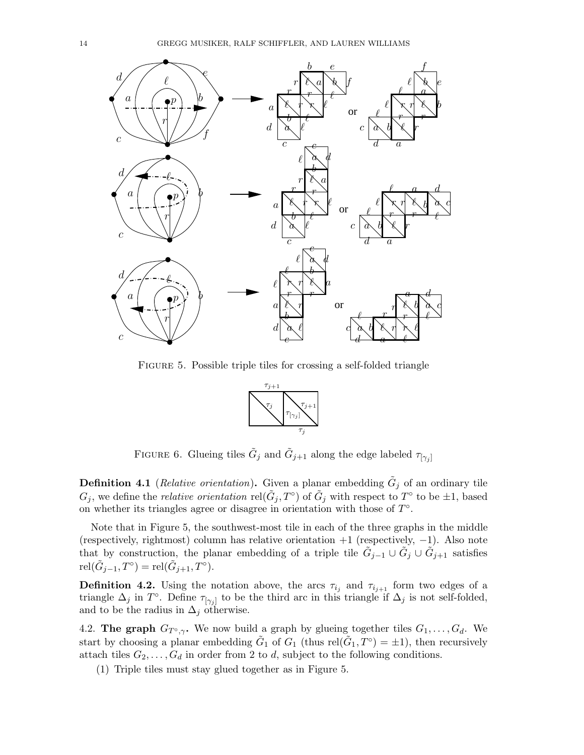

FIGURE 5. Possible triple tiles for crossing a self-folded triangle



FIGURE 6. Glueing tiles  $\tilde{G}_j$  and  $\tilde{G}_{j+1}$  along the edge labeled  $\tau_{[\gamma_j]}$ 

**Definition 4.1** (*Relative orientation*). Given a planar embedding  $\tilde{G}_j$  of an ordinary tile  $G_j$ , we define the *relative orientation* rel $(\tilde{G}_j, T^{\circ})$  of  $\tilde{G}_j$  with respect to  $T^{\circ}$  to be  $\pm 1$ , based on whether its triangles agree or disagree in orientation with those of  $T^{\circ}$ .

Note that in Figure 5, the southwest-most tile in each of the three graphs in the middle (respectively, rightmost) column has relative orientation  $+1$  (respectively,  $-1$ ). Also note that by construction, the planar embedding of a triple tile  $\tilde{G}_{j-1} \cup \tilde{G}_j \cup \tilde{G}_{j+1}$  satisfies  $\text{rel}(\tilde{G}_{j-1}, T^{\circ}) = \text{rel}(\tilde{G}_{j+1}, T^{\circ}).$ 

**Definition 4.2.** Using the notation above, the arcs  $\tau_{i_j}$  and  $\tau_{i_{j+1}}$  form two edges of a triangle  $\Delta_j$  in  $T^{\circ}$ . Define  $\tau_{[\gamma_j]}$  to be the third arc in this triangle if  $\Delta_j$  is not self-folded, and to be the radius in  $\Delta_i$  otherwise.

4.2. The graph  $G_{T^{\circ},\gamma}$ . We now build a graph by glueing together tiles  $G_1,\ldots,G_d$ . We start by choosing a planar embedding  $\tilde{G}_1$  of  $G_1$  (thus rel( $\tilde{G}_1$ ,  $T^{\circ}$ ) =  $\pm 1$ ), then recursively attach tiles  $G_2, \ldots, G_d$  in order from 2 to d, subject to the following conditions.

(1) Triple tiles must stay glued together as in Figure 5.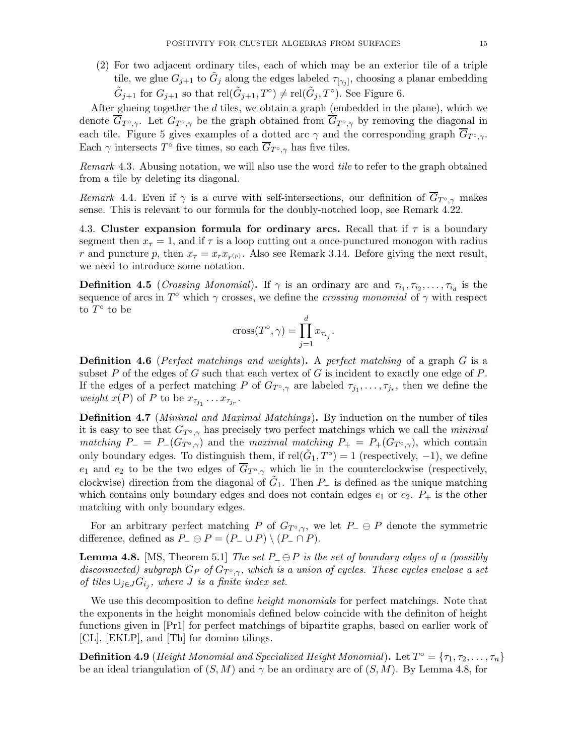(2) For two adjacent ordinary tiles, each of which may be an exterior tile of a triple tile, we glue  $G_{j+1}$  to  $\tilde{G}_j$  along the edges labeled  $\tau_{[\gamma_j]}$ , choosing a planar embedding  $\tilde{G}_{j+1}$  for  $G_{j+1}$  so that  $rel(\tilde{G}_{j+1},T^{\circ}) \neq rel(\tilde{G}_{j},T^{\circ})$ . See Figure 6.

After glueing together the  $d$  tiles, we obtain a graph (embedded in the plane), which we denote  $\overline{G}_{T^{\circ},\gamma}$ . Let  $G_{T^{\circ},\gamma}$  be the graph obtained from  $\overline{G}_{T^{\circ},\gamma}$  by removing the diagonal in each tile. Figure 5 gives examples of a dotted arc  $\gamma$  and the corresponding graph  $\overline{G}_{T^{\circ},\gamma}$ . Each  $\gamma$  intersects  $T^{\circ}$  five times, so each  $\overline{G}_{T^{\circ},\gamma}$  has five tiles.

Remark 4.3. Abusing notation, we will also use the word tile to refer to the graph obtained from a tile by deleting its diagonal.

Remark 4.4. Even if  $\gamma$  is a curve with self-intersections, our definition of  $\overline{G}_{T^{\circ},\gamma}$  makes sense. This is relevant to our formula for the doubly-notched loop, see Remark 4.22.

4.3. Cluster expansion formula for ordinary arcs. Recall that if  $\tau$  is a boundary segment then  $x_{\tau} = 1$ , and if  $\tau$  is a loop cutting out a once-punctured monogon with radius r and puncture p, then  $x_{\tau} = x_{r}x_{r(p)}$ . Also see Remark 3.14. Before giving the next result, we need to introduce some notation.

**Definition 4.5** (*Crossing Monomial*). If  $\gamma$  is an ordinary arc and  $\tau_{i_1}, \tau_{i_2}, \ldots, \tau_{i_d}$  is the sequence of arcs in  $T^{\circ}$  which  $\gamma$  crosses, we define the *crossing monomial* of  $\gamma$  with respect to  $T^{\circ}$  to be

$$
cross(T^{\circ}, \gamma) = \prod_{j=1}^{d} x_{\tau_{i_j}}.
$$

**Definition 4.6** (Perfect matchings and weights). A perfect matching of a graph  $G$  is a subset P of the edges of G such that each vertex of G is incident to exactly one edge of P. If the edges of a perfect matching P of  $G_{T^{\circ}, \gamma}$  are labeled  $\tau_{j_1}, \ldots, \tau_{j_r}$ , then we define the weight  $x(P)$  of P to be  $x_{\tau_{j_1}} \dots x_{\tau_{j_r}}$ .

**Definition 4.7** (*Minimal and Maximal Matchings*). By induction on the number of tiles it is easy to see that  $G_{T^{\circ} \gamma}$  has precisely two perfect matchings which we call the minimal matching  $P_+ = P_-(G_{T^{\circ},\gamma})$  and the maximal matching  $P_+ = P_+(G_{T^{\circ},\gamma})$ , which contain only boundary edges. To distinguish them, if  $rel(\tilde{G}_1, T^{\circ}) = 1$  (respectively, -1), we define  $e_1$  and  $e_2$  to be the two edges of  $\overline{G}_{T^{\circ},\gamma}$  which lie in the counterclockwise (respectively, clockwise) direction from the diagonal of  $\tilde{G}_1$ . Then  $P_-\$  is defined as the unique matching which contains only boundary edges and does not contain edges  $e_1$  or  $e_2$ .  $P_+$  is the other matching with only boundary edges.

For an arbitrary perfect matching P of  $G_{T^{\circ},\gamma}$ , we let  $P_{-}\oplus P$  denote the symmetric difference, defined as  $P_-\ominus P = (P_-\cup P) \setminus (P_-\cap P)$ .

**Lemma 4.8.** [MS, Theorem 5.1] The set  $P_{\perp} \oplus P$  is the set of boundary edges of a (possibly disconnected) subgraph  $G_P$  of  $G_{T^{\circ},\gamma}$ , which is a union of cycles. These cycles enclose a set of tiles  $\cup_{j\in J} G_{i_j}$ , where J is a finite index set.

We use this decomposition to define *height monomials* for perfect matchings. Note that the exponents in the height monomials defined below coincide with the definiton of height functions given in [Pr1] for perfect matchings of bipartite graphs, based on earlier work of [CL], [EKLP], and [Th] for domino tilings.

**Definition 4.9** (Height Monomial and Specialized Height Monomial). Let  $T^{\circ} = \{\tau_1, \tau_2, \ldots, \tau_n\}$ be an ideal triangulation of  $(S, M)$  and  $\gamma$  be an ordinary arc of  $(S, M)$ . By Lemma 4.8, for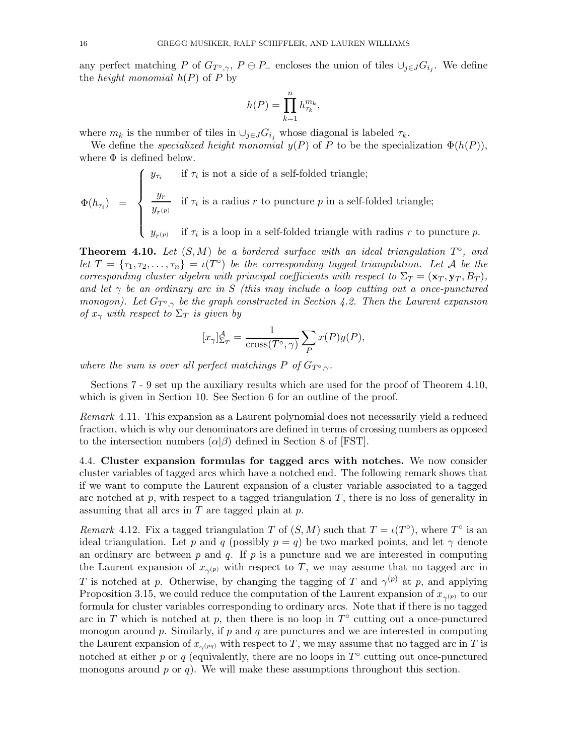any perfect matching P of  $G_{T^{\circ}, \gamma}$ ,  $P \ominus P_{-}$  encloses the union of tiles  $\cup_{j \in J} G_{i_j}$ . We define the *height monomial*  $h(P)$  of P by

$$
h(P) = \prod_{k=1}^n h_{\tau_k}^{m_k},
$$

where  $m_k$  is the number of tiles in  $\cup_{j\in J} G_{i_j}$  whose diagonal is labeled  $\tau_k$ .

We define the *specialized height monomial*  $y(P)$  of P to be the specialization  $\Phi(h(P))$ , where  $\Phi$  is defined below.

$$
\Phi(h_{\tau_i}) = \begin{cases} y_{\tau_i} & \text{if } \tau_i \text{ is not a side of a self-folded triangle;} \\ \frac{y_r}{y_{r^{(p)}}} & \text{if } \tau_i \text{ is a radius } r \text{ to puncture } p \text{ in a self-folded triangle;} \\ y_{r^{(p)}} & \text{if } \tau_i \text{ is a loop in a self-folded triangle with radius } r \text{ to puncture } p. \end{cases}
$$

**Theorem 4.10.** Let  $(S, M)$  be a bordered surface with an ideal triangulation  $T^{\circ}$ , and let  $T = {\tau_1, \tau_2, ..., \tau_n} = \iota(T^{\circ})$  be the corresponding tagged triangulation. Let A be the corresponding cluster algebra with principal coefficients with respect to  $\Sigma_T = (\mathbf{x}_T, \mathbf{y}_T, B_T)$ , and let  $\gamma$  be an ordinary arc in S (this may include a loop cutting out a once-punctured monogon). Let  $G_{T^{\circ},\gamma}$  be the graph constructed in Section 4.2. Then the Laurent expansion of  $x_{\gamma}$  with respect to  $\Sigma_T$  is given by

$$
[x_{\gamma}]_{\Sigma_T}^{\mathcal{A}} = \frac{1}{\text{cross}(T^{\circ}, \gamma)} \sum_{P} x(P)y(P),
$$

where the sum is over all perfect matchings P of  $G_{T^{\circ},\gamma}$ .

Sections 7 - 9 set up the auxiliary results which are used for the proof of Theorem 4.10, which is given in Section 10. See Section 6 for an outline of the proof.

Remark 4.11. This expansion as a Laurent polynomial does not necessarily yield a reduced fraction, which is why our denominators are defined in terms of crossing numbers as opposed to the intersection numbers  $(\alpha|\beta)$  defined in Section 8 of [FST].

4.4. Cluster expansion formulas for tagged arcs with notches. We now consider cluster variables of tagged arcs which have a notched end. The following remark shows that if we want to compute the Laurent expansion of a cluster variable associated to a tagged arc notched at  $p$ , with respect to a tagged triangulation  $T$ , there is no loss of generality in assuming that all arcs in  $T$  are tagged plain at  $p$ .

Remark 4.12. Fix a tagged triangulation T of  $(S, M)$  such that  $T = \iota(T^{\circ})$ , where  $T^{\circ}$  is an ideal triangulation. Let p and q (possibly  $p = q$ ) be two marked points, and let  $\gamma$  denote an ordinary arc between  $p$  and  $q$ . If  $p$  is a puncture and we are interested in computing the Laurent expansion of  $x_{\gamma^{(p)}}$  with respect to T, we may assume that no tagged arc in T is notched at p. Otherwise, by changing the tagging of T and  $\gamma^{(p)}$  at p, and applying Proposition 3.15, we could reduce the computation of the Laurent expansion of  $x_{\gamma^{(p)}}$  to our formula for cluster variables corresponding to ordinary arcs. Note that if there is no tagged arc in T which is notched at p, then there is no loop in  $T^{\circ}$  cutting out a once-punctured monogon around  $p$ . Similarly, if  $p$  and  $q$  are punctures and we are interested in computing the Laurent expansion of  $x_{\gamma^{(pq)}}$  with respect to T, we may assume that no tagged arc in T is notched at either p or q (equivalently, there are no loops in  $T^{\circ}$  cutting out once-punctured monogons around p or q). We will make these assumptions throughout this section.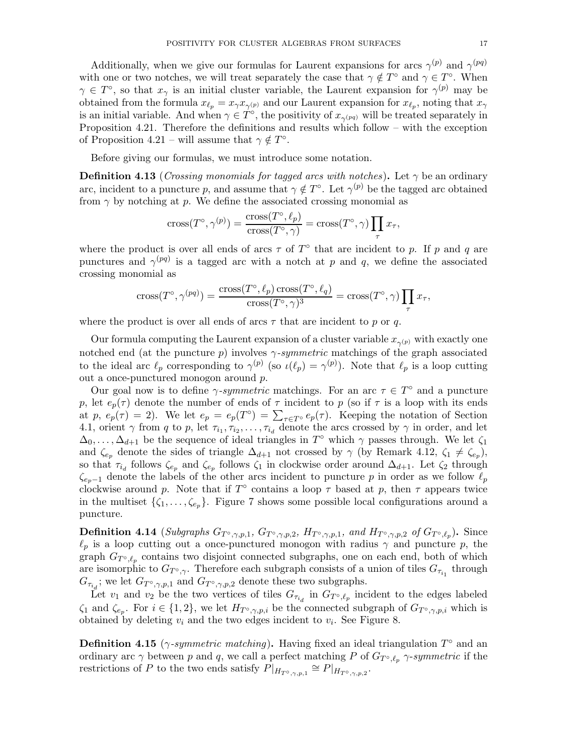Additionally, when we give our formulas for Laurent expansions for arcs  $\gamma^{(p)}$  and  $\gamma^{(pq)}$ with one or two notches, we will treat separately the case that  $\gamma \notin T^{\circ}$  and  $\gamma \in T^{\circ}$ . When  $\gamma \in T^{\circ}$ , so that  $x_{\gamma}$  is an initial cluster variable, the Laurent expansion for  $\gamma^{(p)}$  may be obtained from the formula  $x_{\ell_p} = x_\gamma x_{\gamma^{(p)}}$  and our Laurent expansion for  $x_{\ell_p}$ , noting that  $x_\gamma$ is an initial variable. And when  $\gamma \in T^{\circ}$ , the positivity of  $x_{\gamma^{(pq)}}$  will be treated separately in Proposition 4.21. Therefore the definitions and results which follow – with the exception of Proposition 4.21 – will assume that  $\gamma \notin T^{\circ}$ .

Before giving our formulas, we must introduce some notation.

**Definition 4.13** (Crossing monomials for tagged arcs with notches). Let  $\gamma$  be an ordinary arc, incident to a puncture p, and assume that  $\gamma \notin T^{\circ}$ . Let  $\gamma^{(p)}$  be the tagged arc obtained from  $\gamma$  by notching at p. We define the associated crossing monomial as

$$
cross(T^{\circ}, \gamma^{(p)}) = \frac{cross(T^{\circ}, \ell_p)}{cross(T^{\circ}, \gamma)} = cross(T^{\circ}, \gamma) \prod_{\tau} x_{\tau},
$$

where the product is over all ends of arcs  $\tau$  of  $T^{\circ}$  that are incident to p. If p and q are punctures and  $\gamma^{(pq)}$  is a tagged arc with a notch at p and q, we define the associated crossing monomial as

$$
cross(T^{\circ}, \gamma^{(pq)}) = \frac{cross(T^{\circ}, \ell_p) \cos(T^{\circ}, \ell_q)}{cross(T^{\circ}, \gamma)^3} = cross(T^{\circ}, \gamma) \prod_{\tau} x_{\tau},
$$

where the product is over all ends of arcs  $\tau$  that are incident to p or q.

Our formula computing the Laurent expansion of a cluster variable  $x_{\gamma^{(p)}}$  with exactly one notched end (at the puncture p) involves  $\gamma$ -symmetric matchings of the graph associated to the ideal arc  $\ell_p$  corresponding to  $\gamma^{(p)}$  (so  $\iota(\ell_p) = \gamma^{(p)}$ ). Note that  $\ell_p$  is a loop cutting out a once-punctured monogon around p.

Our goal now is to define  $\gamma$ -symmetric matchings. For an arc  $\tau \in T^{\circ}$  and a puncture p, let  $e_p(\tau)$  denote the number of ends of  $\tau$  incident to p (so if  $\tau$  is a loop with its ends at p,  $e_p(\tau) = 2$ ). We let  $e_p = e_p(T^{\circ}) = \sum_{\tau \in T^{\circ}} e_p(\tau)$ . Keeping the notation of Section 4.1, orient  $\gamma$  from q to p, let  $\tau_{i_1}, \tau_{i_2}, \ldots, \tau_{i_d}$  denote the arcs crossed by  $\gamma$  in order, and let  $\Delta_0,\ldots,\Delta_{d+1}$  be the sequence of ideal triangles in  $T^{\circ}$  which  $\gamma$  passes through. We let  $\zeta_1$ and  $\zeta_{e_p}$  denote the sides of triangle  $\Delta_{d+1}$  not crossed by  $\gamma$  (by Remark 4.12,  $\zeta_1 \neq \zeta_{e_p}$ ), so that  $\tau_{i_d}$  follows  $\zeta_{e_p}$  and  $\zeta_{e_p}$  follows  $\zeta_1$  in clockwise order around  $\Delta_{d+1}$ . Let  $\zeta_2$  through  $\zeta_{e_n-1}$  denote the labels of the other arcs incident to puncture p in order as we follow  $\ell_p$ clockwise around p. Note that if  $T^{\circ}$  contains a loop  $\tau$  based at p, then  $\tau$  appears twice in the multiset  $\{\zeta_1,\ldots,\zeta_{e_p}\}$ . Figure 7 shows some possible local configurations around a puncture.

**Definition 4.14** (Subgraphs  $G_{T^{\circ},\gamma,p,1}$ ,  $G_{T^{\circ},\gamma,p,2}$ ,  $H_{T^{\circ},\gamma,p,1}$ , and  $H_{T^{\circ},\gamma,p,2}$  of  $G_{T^{\circ},\ell_p}$ ). Since  $\ell_p$  is a loop cutting out a once-punctured monogon with radius  $\gamma$  and puncture p, the graph  $G_{T^{\circ}, \ell_p}$  contains two disjoint connected subgraphs, one on each end, both of which are isomorphic to  $G_{T^{\circ}, \gamma}$ . Therefore each subgraph consists of a union of tiles  $G_{\tau_{i_1}}$  through  $G_{\tau_{i_d}}$ ; we let  $G_{T^{\circ}, \gamma, p, 1}$  and  $G_{T^{\circ}, \gamma, p, 2}$  denote these two subgraphs.

Let  $v_1$  and  $v_2$  be the two vertices of tiles  $G_{\tau_{i_d}}$  in  $G_{T^{\circ},\ell_p}$  incident to the edges labeled  $\zeta_1$  and  $\zeta_{e_p}$ . For  $i \in \{1,2\}$ , we let  $H_{T^{\circ},\gamma,p,i}$  be the connected subgraph of  $G_{T^{\circ},\gamma,p,i}$  which is obtained by deleting  $v_i$  and the two edges incident to  $v_i$ . See Figure 8.

**Definition 4.15** ( $\gamma$ -symmetric matching). Having fixed an ideal triangulation  $T^{\circ}$  and an ordinary arc  $\gamma$  between p and q, we call a perfect matching P of  $G_{T^{\circ},\ell_{n}}$   $\gamma$ -symmetric if the restrictions of P to the two ends satisfy  $P|_{H_{T^{\circ}, \gamma, p, 1}} \cong P|_{H_{T^{\circ}, \gamma, p, 2}}$ .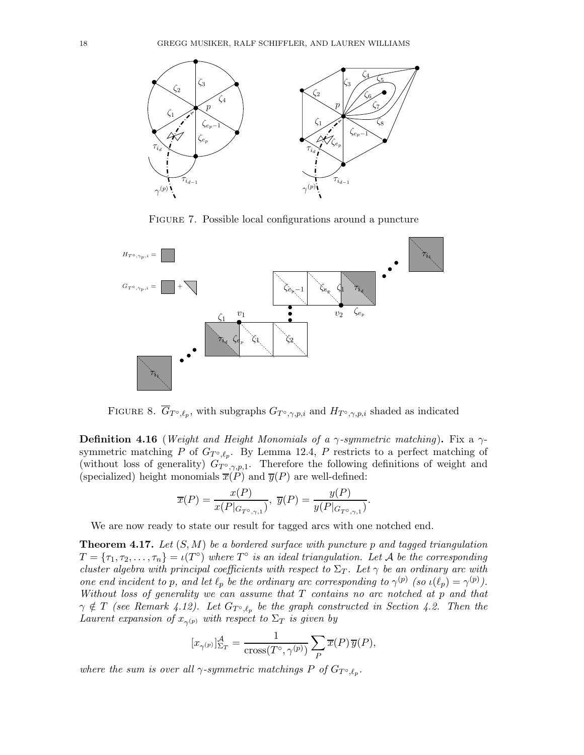

FIGURE 7. Possible local configurations around a puncture



FIGURE 8.  $\overline{G}_{T^{\circ},\ell_p}$ , with subgraphs  $G_{T^{\circ},\gamma,p,i}$  and  $H_{T^{\circ},\gamma,p,i}$  shaded as indicated

**Definition 4.16** (Weight and Height Monomials of a  $\gamma$ -symmetric matching). Fix a  $\gamma$ symmetric matching P of  $G_{T^{\circ},\ell_p}$ . By Lemma 12.4, P restricts to a perfect matching of (without loss of generality)  $G_{T^{\circ}, \gamma, p, 1}$ . Therefore the following definitions of weight and (specialized) height monomials  $\overline{x}(P)$  and  $\overline{y}(P)$  are well-defined:

.

$$
\overline{x}(P) = \frac{x(P)}{x(P|_{G_{T^{\circ},\gamma,1}})}, \ \overline{y}(P) = \frac{y(P)}{y(P|_{G_{T^{\circ},\gamma,1}})}
$$

We are now ready to state our result for tagged arcs with one notched end.

**Theorem 4.17.** Let  $(S, M)$  be a bordered surface with puncture p and tagged triangulation  $T = \{\tau_1, \tau_2, \ldots, \tau_n\} = \iota(T^{\circ})$  where  $T^{\circ}$  is an ideal triangulation. Let A be the corresponding cluster algebra with principal coefficients with respect to  $\Sigma_T$ . Let  $\gamma$  be an ordinary arc with one end incident to p, and let  $\ell_p$  be the ordinary arc corresponding to  $\gamma^{(p)}$  (so  $\iota(\ell_p) = \gamma^{(p)}$ ). Without loss of generality we can assume that T contains no arc notched at p and that  $\gamma \notin T$  (see Remark 4.12). Let  $G_{T^{\circ},\ell_p}$  be the graph constructed in Section 4.2. Then the Laurent expansion of  $x_{\gamma^{(p)}}$  with respect to  $\Sigma_T$  is given by

$$
[x_{\gamma^{(p)}}]_{\Sigma_T}^{\mathcal{A}} = \frac{1}{\text{cross}(T^{\circ}, \gamma^{(p)})} \sum_P \overline{x}(P) \overline{y}(P),
$$

where the sum is over all  $\gamma$ -symmetric matchings P of  $G_{T^{\circ},\ell_p}$ .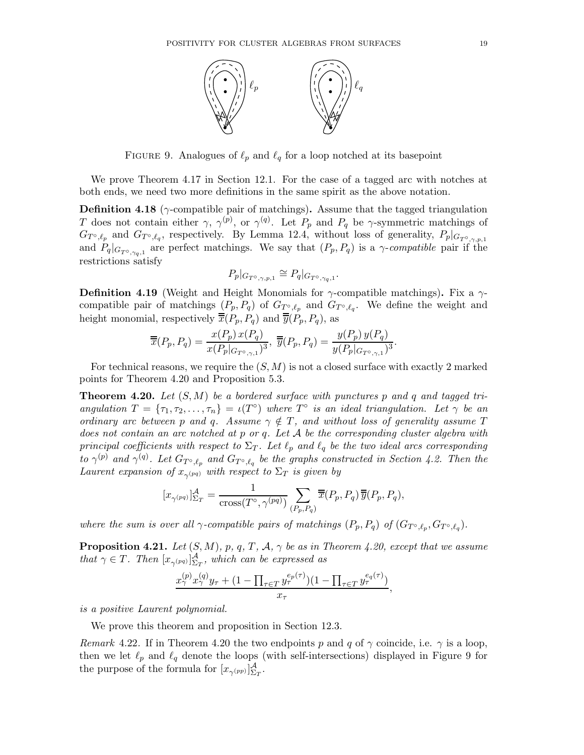

FIGURE 9. Analogues of  $\ell_p$  and  $\ell_q$  for a loop notched at its basepoint

We prove Theorem 4.17 in Section 12.1. For the case of a tagged arc with notches at both ends, we need two more definitions in the same spirit as the above notation.

**Definition 4.18** ( $\gamma$ -compatible pair of matchings). Assume that the tagged triangulation T does not contain either  $\gamma$ ,  $\gamma^{(p)}$ , or  $\gamma^{(q)}$ . Let  $P_p$  and  $P_q$  be  $\gamma$ -symmetric matchings of  $G_{T^{\circ},\ell_p}$  and  $G_{T^{\circ},\ell_q}$ , respectively. By Lemma 12.4, without loss of generality,  $P_p|_{G_{T^{\circ},\gamma,p,1}}$ and  $P_q|_{G_{T^{\circ},\gamma_q,1}}$  are perfect matchings. We say that  $(P_p, P_q)$  is a  $\gamma$ -compatible pair if the restrictions satisfy

$$
P_p|_{G_{T^{\circ},\gamma,p,1}} \cong P_q|_{G_{T^{\circ},\gamma_q,1}}.
$$

**Definition 4.19** (Weight and Height Monomials for  $\gamma$ -compatible matchings). Fix a  $\gamma$ compatible pair of matchings  $(P_p, P_q)$  of  $G_{T^{\circ}, \ell_p}$  and  $G_{T^{\circ}, \ell_q}$ . We define the weight and height monomial, respectively  $\overline{\overline{x}}(P_p,P_q)$  and  $\overline{\overline{y}}(P_p,P_q)$ , as

$$
\overline{\overline{x}}(P_p, P_q) = \frac{x(P_p) x(P_q)}{x(P_p|_{G_{T^{\circ}, \gamma, 1}})^3}, \overline{\overline{y}}(P_p, P_q) = \frac{y(P_p) y(P_q)}{y(P_p|_{G_{T^{\circ}, \gamma, 1}})^3}.
$$

For technical reasons, we require the  $(S, M)$  is not a closed surface with exactly 2 marked points for Theorem 4.20 and Proposition 5.3.

**Theorem 4.20.** Let  $(S, M)$  be a bordered surface with punctures p and q and tagged triangulation  $T = \{\tau_1, \tau_2, \ldots, \tau_n\} = \iota(T^{\circ})$  where  $T^{\circ}$  is an ideal triangulation. Let  $\gamma$  be an ordinary arc between p and q. Assume  $\gamma \notin T$ , and without loss of generality assume T does not contain an arc notched at p or q. Let A be the corresponding cluster algebra with principal coefficients with respect to  $\Sigma_T$ . Let  $\ell_p$  and  $\ell_q$  be the two ideal arcs corresponding to  $\gamma^{(p)}$  and  $\gamma^{(q)}$ . Let  $G_{T^{\circ},\ell_p}$  and  $G_{T^{\circ},\ell_q}$  be the graphs constructed in Section 4.2. Then the Laurent expansion of  $x_{\gamma^{(pq)}}$  with respect to  $\Sigma_T$  is given by

$$
[x_{\gamma(pq)}]_{\Sigma_T}^{\mathcal{A}} = \frac{1}{\text{cross}(T^{\circ}, \gamma^{(pq)})} \sum_{(P_p, P_q)} \overline{\overline{x}}(P_p, P_q) \overline{\overline{y}}(P_p, P_q),
$$

where the sum is over all  $\gamma$ -compatible pairs of matchings  $(P_p, P_q)$  of  $(G_{T^{\circ}, \ell_p}, G_{T^{\circ}, \ell_q})$ .

**Proposition 4.21.** Let  $(S, M)$ , p, q, T, A,  $\gamma$  be as in Theorem 4.20, except that we assume that  $\gamma \in T$ . Then  $[x_{\gamma^{(pq)}}]_{\Sigma_T}^{\mathcal{A}}$ , which can be expressed as

$$
\frac{x_\gamma^{(p)}x_\gamma^{(q)}y_\tau+(1-\prod_{\tau\in T}y_\tau^{e_p(\tau)})(1-\prod_{\tau\in T}y_\tau^{e_q(\tau)})}{x_\tau},
$$

is a positive Laurent polynomial.

We prove this theorem and proposition in Section 12.3.

Remark 4.22. If in Theorem 4.20 the two endpoints p and q of  $\gamma$  coincide, i.e.  $\gamma$  is a loop, then we let  $\ell_p$  and  $\ell_q$  denote the loops (with self-intersections) displayed in Figure 9 for the purpose of the formula for  $[x_{\gamma^{(pp)}}]_{\Sigma_T}^{\mathcal{A}}$ .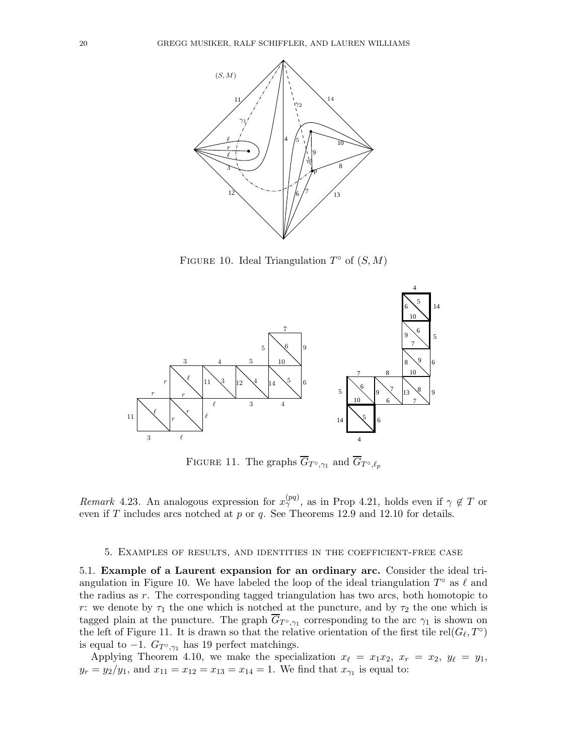

FIGURE 10. Ideal Triangulation  $T^{\circ}$  of  $(S, M)$ 



FIGURE 11. The graphs  $\overline{G}_{T^{\circ},\gamma_1}$  and  $\overline{G}_{T^{\circ},\ell_p}$ 

*Remark* 4.23. An analogous expression for  $x_{\gamma}^{(pq)}$ , as in Prop 4.21, holds even if  $\gamma \notin T$  or even if  $T$  includes arcs notched at  $p$  or  $q$ . See Theorems 12.9 and 12.10 for details.

# 5. Examples of results, and identities in the coefficient-free case

5.1. Example of a Laurent expansion for an ordinary arc. Consider the ideal triangulation in Figure 10. We have labeled the loop of the ideal triangulation  $T^{\circ}$  as  $\ell$  and the radius as  $r$ . The corresponding tagged triangulation has two arcs, both homotopic to r: we denote by  $\tau_1$  the one which is notched at the puncture, and by  $\tau_2$  the one which is tagged plain at the puncture. The graph  $G_{T^{\circ}, \gamma_1}$  corresponding to the arc  $\gamma_1$  is shown on the left of Figure 11. It is drawn so that the relative orientation of the first tile  $rel(G_{\ell}, T^{\circ})$ is equal to  $-1$ .  $G_{T^{\circ} \gamma_1}$  has 19 perfect matchings.

Applying Theorem 4.10, we make the specialization  $x_{\ell} = x_1 x_2, x_r = x_2, y_{\ell} = y_1$ ,  $y_r = y_2/y_1$ , and  $x_{11} = x_{12} = x_{13} = x_{14} = 1$ . We find that  $x_{\gamma_1}$  is equal to: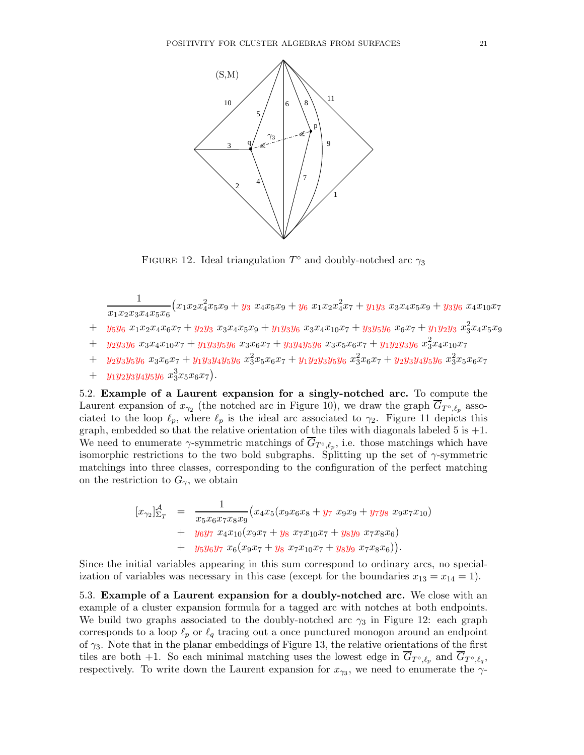

FIGURE 12. Ideal triangulation  $T^{\circ}$  and doubly-notched arc  $\gamma_3$ 

- 1  $x_1x_2x_3x_4x_5x_6$  $(x_1x_2x_4^2x_5x_9 + y_3 x_4x_5x_9 + y_6 x_1x_2x_4^2x_7 + y_1y_3 x_3x_4x_5x_9 + y_3y_6 x_4x_{10}x_7$
- $+$   $y_5y_6$   $x_1x_2x_4x_6x_7 + y_2y_3$   $x_3x_4x_5x_9 + y_1y_3y_6$   $x_3x_4x_{10}x_7 + y_3y_5y_6$   $x_6x_7 + y_1y_2y_3$   $x_3^2x_4x_5x_9$
- $+$   $y_2y_3y_6$   $x_3x_4x_{10}x_7 + y_1y_3y_5y_6$   $x_3x_6x_7 + y_3y_4y_5y_6$   $x_3x_5x_6x_7 + y_1y_2y_3y_6$   $x_3^2x_4x_{10}x_7$
- $+$   $y_2y_3y_5y_6$   $x_3x_6x_7 + y_1y_3y_4y_5y_6$   $x_3^2x_5x_6x_7 + y_1y_2y_3y_5y_6$   $x_3^2x_6x_7 + y_2y_3y_4y_5y_6$   $x_3^2x_5x_6x_7$
- $+$   $y_1 y_2 y_3 y_4 y_5 y_6 x_3^3 x_5 x_6 x_7$ .

5.2. Example of a Laurent expansion for a singly-notched arc. To compute the Laurent expansion of  $x_{\gamma_2}$  (the notched arc in Figure 10), we draw the graph  $G_{T^{\circ},\ell_p}$  associated to the loop  $\ell_p$ , where  $\ell_p$  is the ideal arc associated to  $\gamma_2$ . Figure 11 depicts this graph, embedded so that the relative orientation of the tiles with diagonals labeled  $5$  is  $+1$ . We need to enumerate  $\gamma$ -symmetric matchings of  $G_{T^{\circ},\ell_p}$ , i.e. those matchings which have isomorphic restrictions to the two bold subgraphs. Splitting up the set of  $\gamma$ -symmetric matchings into three classes, corresponding to the configuration of the perfect matching on the restriction to  $G_{\gamma}$ , we obtain

$$
\begin{array}{rcl}\n[x_{\gamma_2}]^{\mathcal{A}}_{\Sigma_T} & = & \frac{1}{x_5 x_6 x_7 x_8 x_9} \big( x_4 x_5 (x_9 x_6 x_8 + y_7 \ x_9 x_9 + y_7 y_8 \ x_9 x_7 x_{10} \big) \\
& & + & y_6 y_7 \ x_4 x_{10} (x_9 x_7 + y_8 \ x_7 x_{10} x_7 + y_8 y_9 \ x_7 x_8 x_6 \big) \\
& & + & y_5 y_6 y_7 \ x_6 (x_9 x_7 + y_8 \ x_7 x_{10} x_7 + y_8 y_9 \ x_7 x_8 x_6 \big)\big).\n\end{array}
$$

Since the initial variables appearing in this sum correspond to ordinary arcs, no specialization of variables was necessary in this case (except for the boundaries  $x_{13} = x_{14} = 1$ ).

5.3. Example of a Laurent expansion for a doubly-notched arc. We close with an example of a cluster expansion formula for a tagged arc with notches at both endpoints. We build two graphs associated to the doubly-notched arc  $\gamma_3$  in Figure 12: each graph corresponds to a loop  $\ell_p$  or  $\ell_q$  tracing out a once punctured monogon around an endpoint of  $\gamma_3$ . Note that in the planar embeddings of Figure 13, the relative orientations of the first tiles are both +1. So each minimal matching uses the lowest edge in  $G_{T^{\circ},\ell_p}$  and  $G_{T^{\circ},\ell_q}$ , respectively. To write down the Laurent expansion for  $x_{\gamma_3}$ , we need to enumerate the  $\gamma$ -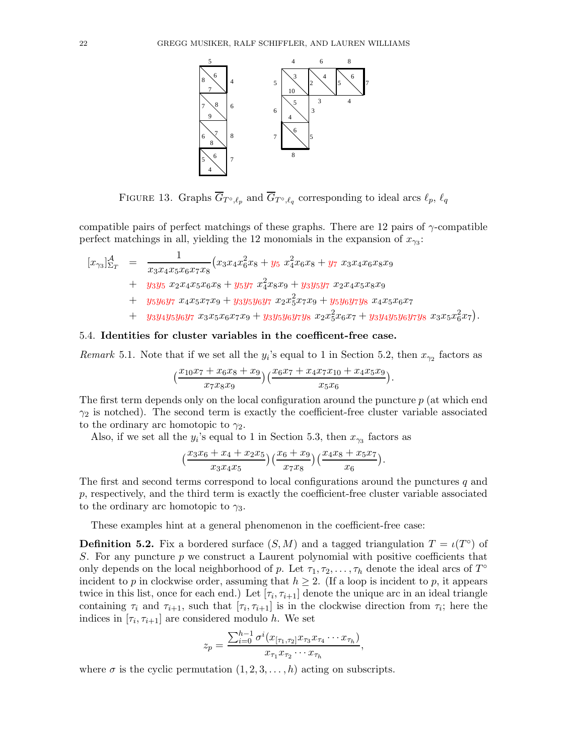

FIGURE 13. Graphs  $G_{T^{\circ},\ell_p}$  and  $G_{T^{\circ},\ell_q}$  corresponding to ideal arcs  $\ell_p$ ,  $\ell_q$ 

compatible pairs of perfect matchings of these graphs. There are 12 pairs of  $\gamma$ -compatible perfect matchings in all, yielding the 12 monomials in the expansion of  $x_{\gamma_3}$ :

$$
\begin{array}{rcl}\n[x_{\gamma 3}]_{\Sigma_{T}}^{A} & = & \frac{1}{x_{3}x_{4}x_{5}x_{6}x_{7}x_{8}}(x_{3}x_{4}x_{6}^{2}x_{8} + y_{5} x_{4}^{2}x_{6}x_{8} + y_{7} x_{3}x_{4}x_{6}x_{8}x_{9} \\
& & + & y_{3}y_{5} x_{2}x_{4}x_{5}x_{6}x_{8} + y_{5}y_{7} x_{4}^{2}x_{8}x_{9} + y_{3}y_{5}y_{7} x_{2}x_{4}x_{5}x_{8}x_{9} \\
& & + & y_{5}y_{6}y_{7} x_{4}x_{5}x_{7}x_{9} + y_{3}y_{5}y_{6}y_{7} x_{2}x_{5}^{2}x_{7}x_{9} + y_{5}y_{6}y_{7}y_{8} x_{4}x_{5}x_{6}x_{7} \\
& & + & y_{3}y_{4}y_{5}y_{6}y_{7} x_{3}x_{5}x_{6}x_{7}x_{9} + y_{3}y_{5}y_{6}y_{7}y_{8} x_{2}x_{5}^{2}x_{6}x_{7} + y_{3}y_{4}y_{5}y_{6}y_{7}y_{8} x_{3}x_{5}x_{6}^{2}x_{7}\n\end{array}
$$

.

#### 5.4. Identities for cluster variables in the coefficent-free case.

*Remark* 5.1. Note that if we set all the  $y_i$ 's equal to 1 in Section 5.2, then  $x_{\gamma_2}$  factors as

$$
\left(\frac{x_{10}x_7+x_6x_8+x_9}{x_7x_8x_9}\right)\left(\frac{x_6x_7+x_4x_7x_{10}+x_4x_5x_9}{x_5x_6}\right).
$$

The first term depends only on the local configuration around the puncture  $p$  (at which end  $\gamma_2$  is notched). The second term is exactly the coefficient-free cluster variable associated to the ordinary arc homotopic to  $\gamma_2$ .

Also, if we set all the  $y_i$ 's equal to 1 in Section 5.3, then  $x_{\gamma_3}$  factors as

$$
\big(\frac{x_3x_6+x_4+x_2x_5}{x_3x_4x_5}\big)\big(\frac{x_6+x_9}{x_7x_8}\big)\big(\frac{x_4x_8+x_5x_7}{x_6}\big).
$$

The first and second terms correspond to local configurations around the punctures q and  $p$ , respectively, and the third term is exactly the coefficient-free cluster variable associated to the ordinary arc homotopic to  $\gamma_3$ .

These examples hint at a general phenomenon in the coefficient-free case:

**Definition 5.2.** Fix a bordered surface  $(S, M)$  and a tagged triangulation  $T = \iota(T^{\circ})$  of S. For any puncture  $p$  we construct a Laurent polynomial with positive coefficients that only depends on the local neighborhood of p. Let  $\tau_1, \tau_2, \ldots, \tau_h$  denote the ideal arcs of  $T^{\circ}$ incident to p in clockwise order, assuming that  $h \geq 2$ . (If a loop is incident to p, it appears twice in this list, once for each end.) Let  $[\tau_i, \tau_{i+1}]$  denote the unique arc in an ideal triangle containing  $\tau_i$  and  $\tau_{i+1}$ , such that  $[\tau_i, \tau_{i+1}]$  is in the clockwise direction from  $\tau_i$ ; here the indices in  $[\tau_i, \tau_{i+1}]$  are considered modulo h. We set

$$
z_p = \frac{\sum_{i=0}^{h-1} \sigma^i(x_{[\tau_1, \tau_2]} x_{\tau_3} x_{\tau_4} \cdots x_{\tau_h})}{x_{\tau_1} x_{\tau_2} \cdots x_{\tau_h}},
$$

where  $\sigma$  is the cyclic permutation  $(1, 2, 3, \ldots, h)$  acting on subscripts.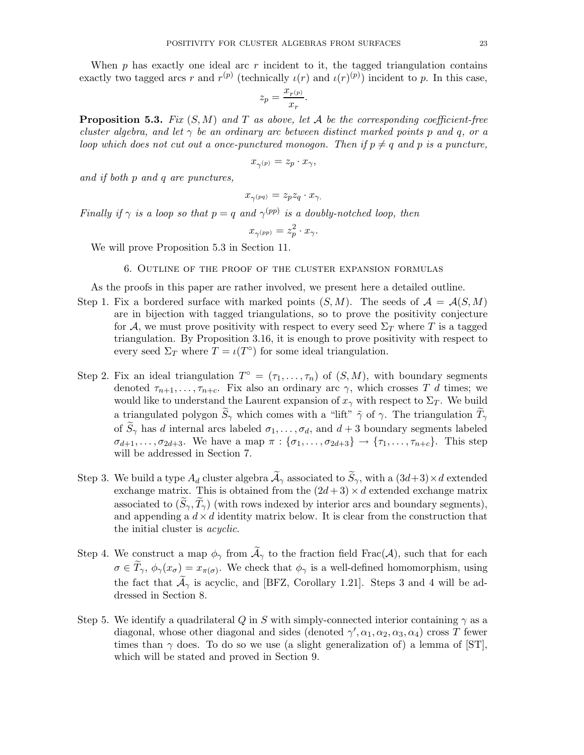$$
z_p = \frac{x_{r^{(p)}}}{x_r}.
$$

**Proposition 5.3.** Fix  $(S, M)$  and T as above, let A be the corresponding coefficient-free cluster algebra, and let  $\gamma$  be an ordinary arc between distinct marked points p and q, or a loop which does not cut out a once-punctured monogon. Then if  $p \neq q$  and p is a puncture,

$$
x_{\gamma^{(p)}} = z_p \cdot x_\gamma,
$$

and if both p and q are punctures,

$$
x_{\gamma^{(pq)}} = z_p z_q \cdot x_\gamma.
$$

Finally if  $\gamma$  is a loop so that  $p = q$  and  $\gamma^{(pp)}$  is a doubly-notched loop, then

$$
x_{\gamma^{(pp)}} = z_p^2 \cdot x_\gamma.
$$

We will prove Proposition 5.3 in Section 11.

#### 6. Outline of the proof of the cluster expansion formulas

As the proofs in this paper are rather involved, we present here a detailed outline.

- Step 1. Fix a bordered surface with marked points  $(S, M)$ . The seeds of  $\mathcal{A} = \mathcal{A}(S, M)$ are in bijection with tagged triangulations, so to prove the positivity conjecture for A, we must prove positivity with respect to every seed  $\Sigma_T$  where T is a tagged triangulation. By Proposition 3.16, it is enough to prove positivity with respect to every seed  $\Sigma_T$  where  $T = \iota(T^{\circ})$  for some ideal triangulation.
- Step 2. Fix an ideal triangulation  $T^{\circ} = (\tau_1, \ldots, \tau_n)$  of  $(S, M)$ , with boundary segments denoted  $\tau_{n+1},\ldots,\tau_{n+c}$ . Fix also an ordinary arc  $\gamma$ , which crosses T d times; we would like to understand the Laurent expansion of  $x_{\gamma}$  with respect to  $\Sigma_T$ . We build a triangulated polygon  $\widetilde{S}_{\gamma}$  which comes with a "lift"  $\widetilde{\gamma}$  of  $\gamma$ . The triangulation  $\widetilde{T}_{\gamma}$ of  $\widetilde{S}_{\gamma}$  has d internal arcs labeled  $\sigma_1,\ldots,\sigma_d$ , and  $d+3$  boundary segments labeled  $\sigma_{d+1},\ldots,\sigma_{2d+3}$ . We have a map  $\pi:\{\sigma_1,\ldots,\sigma_{2d+3}\}\to{\tau_1,\ldots,\tau_{n+c}}$ . This step will be addressed in Section 7.
- Step 3. We build a type  $A_d$  cluster algebra  $\widetilde{A}_{\gamma}$  associated to  $\widetilde{S}_{\gamma}$ , with a  $(3d+3) \times d$  extended exchange matrix. This is obtained from the  $(2d+3) \times d$  extended exchange matrix associated to  $(S_{\gamma}, T_{\gamma})$  (with rows indexed by interior arcs and boundary segments), and appending a  $d \times d$  identity matrix below. It is clear from the construction that the initial cluster is acyclic.
- Step 4. We construct a map  $\phi_{\gamma}$  from  $\widetilde{\mathcal{A}}_{\gamma}$  to the fraction field Frac( $\mathcal{A}$ ), such that for each  $\sigma \in T_{\gamma}, \phi_{\gamma}(x_{\sigma}) = x_{\pi(\sigma)}.$  We check that  $\phi_{\gamma}$  is a well-defined homomorphism, using the fact that  $\widetilde{\mathcal{A}}_{\gamma}$  is acyclic, and [BFZ, Corollary 1.21]. Steps 3 and 4 will be addressed in Section 8.
- Step 5. We identify a quadrilateral Q in S with simply-connected interior containing  $\gamma$  as a diagonal, whose other diagonal and sides (denoted  $\gamma', \alpha_1, \alpha_2, \alpha_3, \alpha_4$ ) cross T fewer times than  $\gamma$  does. To do so we use (a slight generalization of) a lemma of [ST], which will be stated and proved in Section 9.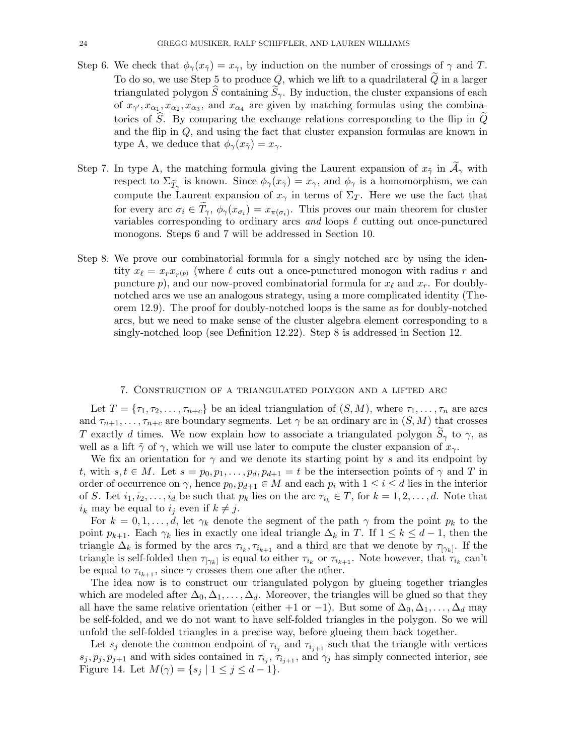- Step 6. We check that  $\phi_{\gamma}(x_{\tilde{\gamma}}) = x_{\gamma}$ , by induction on the number of crossings of  $\gamma$  and T. To do so, we use Step 5 to produce  $Q$ , which we lift to a quadrilateral  $\overline{Q}$  in a larger triangulated polygon  $\hat{S}$  containing  $\hat{S}_{\gamma}$ . By induction, the cluster expansions of each of  $x_{\gamma'}$ ,  $x_{\alpha_1}$ ,  $x_{\alpha_2}$ ,  $x_{\alpha_3}$ , and  $x_{\alpha_4}$  are given by matching formulas using the combinatorics of  $\hat{S}$ . By comparing the exchange relations corresponding to the flip in  $Q$ and the flip in Q, and using the fact that cluster expansion formulas are known in type A, we deduce that  $\phi_{\gamma}(x_{\tilde{\gamma}})=x_{\gamma}$ .
- Step 7. In type A, the matching formula giving the Laurent expansion of  $x_{\tilde{\gamma}}$  in  $\mathcal{A}_{\gamma}$  with respect to  $\Sigma_{\widetilde{T}_\gamma}$  is known. Since  $\phi_\gamma(x_{\widetilde{\gamma}})=x_\gamma$ , and  $\phi_\gamma$  is a homomorphism, we can compute the Laurent expansion of  $x_{\gamma}$  in terms of  $\Sigma_T$ . Here we use the fact that for every arc  $\sigma_i \in T_{\gamma}, \ \phi_{\gamma}(x_{\sigma_i}) = x_{\pi(\sigma_i)}$ . This proves our main theorem for cluster variables corresponding to ordinary arcs and loops  $\ell$  cutting out once-punctured monogons. Steps 6 and 7 will be addressed in Section 10.
- Step 8. We prove our combinatorial formula for a singly notched arc by using the identity  $x_{\ell} = x_r x_{r^{(p)}}$  (where  $\ell$  cuts out a once-punctured monogon with radius r and puncture p), and our now-proved combinatorial formula for  $x_{\ell}$  and  $x_{r}$ . For doublynotched arcs we use an analogous strategy, using a more complicated identity (Theorem 12.9). The proof for doubly-notched loops is the same as for doubly-notched arcs, but we need to make sense of the cluster algebra element corresponding to a singly-notched loop (see Definition 12.22). Step 8 is addressed in Section 12.

#### 7. Construction of a triangulated polygon and a lifted arc

Let  $T = {\tau_1, \tau_2, ..., \tau_{n+c}}$  be an ideal triangulation of  $(S, M)$ , where  $\tau_1, ..., \tau_n$  are arcs and  $\tau_{n+1},\ldots,\tau_{n+c}$  are boundary segments. Let  $\gamma$  be an ordinary arc in  $(S,M)$  that crosses T exactly d times. We now explain how to associate a triangulated polygon  $S_{\gamma}$  to  $\gamma$ , as well as a lift  $\tilde{\gamma}$  of  $\gamma$ , which we will use later to compute the cluster expansion of  $x_{\gamma}$ .

We fix an orientation for  $\gamma$  and we denote its starting point by s and its endpoint by t, with  $s, t \in M$ . Let  $s = p_0, p_1, \ldots, p_d, p_{d+1} = t$  be the intersection points of  $\gamma$  and T in order of occurrence on  $\gamma$ , hence  $p_0, p_{d+1} \in M$  and each  $p_i$  with  $1 \leq i \leq d$  lies in the interior of S. Let  $i_1, i_2, \ldots, i_d$  be such that  $p_k$  lies on the arc  $\tau_{i_k} \in T$ , for  $k = 1, 2, \ldots, d$ . Note that  $i_k$  may be equal to  $i_j$  even if  $k \neq j$ .

For  $k = 0, 1, \ldots, d$ , let  $\gamma_k$  denote the segment of the path  $\gamma$  from the point  $p_k$  to the point  $p_{k+1}$ . Each  $\gamma_k$  lies in exactly one ideal triangle  $\Delta_k$  in T. If  $1 \leq k \leq d-1$ , then the triangle  $\Delta_k$  is formed by the arcs  $\tau_{i_k}, \tau_{i_{k+1}}$  and a third arc that we denote by  $\tau_{[\gamma_k]}$ . If the triangle is self-folded then  $\tau_{[\gamma_k]}$  is equal to either  $\tau_{i_k}$  or  $\tau_{i_{k+1}}$ . Note however, that  $\tau_{i_k}$  can't be equal to  $\tau_{i_{k+1}}$ , since  $\gamma$  crosses them one after the other.

The idea now is to construct our triangulated polygon by glueing together triangles which are modeled after  $\Delta_0, \Delta_1, \ldots, \Delta_d$ . Moreover, the triangles will be glued so that they all have the same relative orientation (either +1 or -1). But some of  $\Delta_0, \Delta_1, \ldots, \Delta_d$  may be self-folded, and we do not want to have self-folded triangles in the polygon. So we will unfold the self-folded triangles in a precise way, before glueing them back together.

Let  $s_j$  denote the common endpoint of  $\tau_{i_j}$  and  $\tau_{i_{j+1}}$  such that the triangle with vertices  $s_j, p_j, p_{j+1}$  and with sides contained in  $\tau_{i_j}, \tau_{i_{j+1}},$  and  $\gamma_j$  has simply connected interior, see Figure 14. Let  $M(\gamma) = \{s_j \mid 1 \le j \le d-1\}.$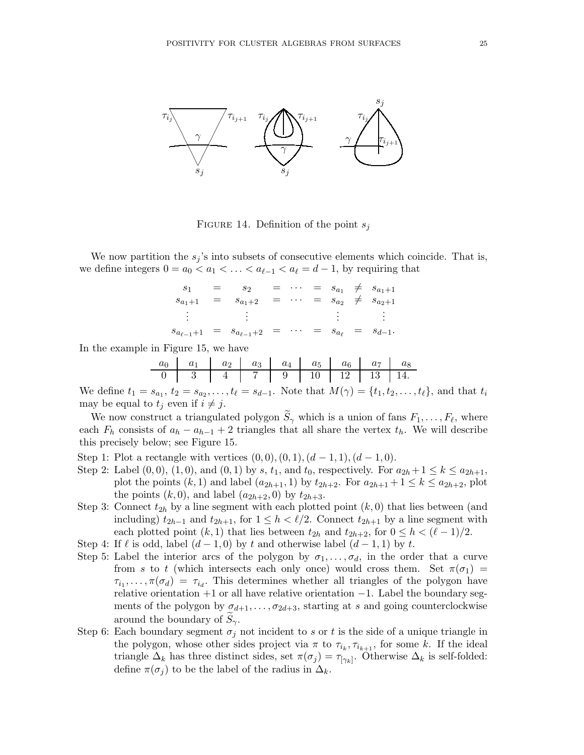

FIGURE 14. Definition of the point  $s_i$ 

We now partition the  $s_j$ 's into subsets of consecutive elements which coincide. That is, we define integers  $0 = a_0 < a_1 < \ldots < a_{\ell-1} < a_{\ell} = d - 1$ , by requiring that

| S <sub>1</sub> | $=$ $s_2$                                                                |  |  | $= \cdots = s_{a_1} \neq s_{a_1+1}$                |
|----------------|--------------------------------------------------------------------------|--|--|----------------------------------------------------|
| $s_{a_1+1}$    | $= s_{a_1+2}$                                                            |  |  | $= \cdots = s_{a_2} \neq s_{a_2+1}$                |
| 医手术 医心脏病       |                                                                          |  |  | $\mathbb{R}^2$ , $\mathbb{R}^2$ , $\mathbb{R}^2$ , |
|                | $s_{a_{\ell-1}+1} = s_{a_{\ell-1}+2} = \cdots = s_{a_{\ell}} = s_{d-1}.$ |  |  |                                                    |

In the example in Figure 15, we have

| $a_0$ | $a_1$ | $a_2$ | $a_3$ | $a_4$ | $a_5$ | $a_6$ | $a_7$ | $a_8$ |
|-------|-------|-------|-------|-------|-------|-------|-------|-------|
| 0     | 3     | 4     | 7     | 9     | 10    | 12    | 13    | 14.   |

We define  $t_1 = s_{a_1}, t_2 = s_{a_2}, \ldots, t_{\ell} = s_{d-1}$ . Note that  $M(\gamma) = \{t_1, t_2, \ldots, t_{\ell}\}$ , and that  $t_i$ may be equal to  $t_j$  even if  $i \neq j$ .

We now construct a triangulated polygon  $S_{\gamma}$  which is a union of fans  $F_1, \ldots, F_{\ell}$ , where each  $F_h$  consists of  $a_h - a_{h-1} + 2$  triangles that all share the vertex  $t_h$ . We will describe this precisely below; see Figure 15.

- Step 1: Plot a rectangle with vertices  $(0, 0), (0, 1), (d 1, 1), (d 1, 0)$ .
- Step 2: Label  $(0, 0)$ ,  $(1, 0)$ , and  $(0, 1)$  by s,  $t_1$ , and  $t_0$ , respectively. For  $a_{2h}+1 \leq k \leq a_{2h+1}$ , plot the points  $(k, 1)$  and label  $(a_{2h+1}, 1)$  by  $t_{2h+2}$ . For  $a_{2h+1} + 1 \leq k \leq a_{2h+2}$ , plot the points  $(k, 0)$ , and label  $(a_{2h+2}, 0)$  by  $t_{2h+3}$ .
- Step 3: Connect  $t_{2h}$  by a line segment with each plotted point  $(k, 0)$  that lies between (and including)  $t_{2h-1}$  and  $t_{2h+1}$ , for  $1 \leq h < \ell/2$ . Connect  $t_{2h+1}$  by a line segment with each plotted point  $(k, 1)$  that lies between  $t_{2h}$  and  $t_{2h+2}$ , for  $0 \leq h < (\ell - 1)/2$ .
- Step 4: If  $\ell$  is odd, label  $(d-1,0)$  by t and otherwise label  $(d-1,1)$  by t.
- Step 5: Label the interior arcs of the polygon by  $\sigma_1, \ldots, \sigma_d$ , in the order that a curve from s to t (which intersects each only once) would cross them. Set  $\pi(\sigma_1)$  =  $\tau_{i_1}, \ldots, \tau(\sigma_d) = \tau_{i_d}$ . This determines whether all triangles of the polygon have relative orientation +1 or all have relative orientation −1. Label the boundary segments of the polygon by  $\sigma_{d+1}, \ldots, \sigma_{2d+3}$ , starting at s and going counterclockwise around the boundary of  $S_{\gamma}$ .
- Step 6: Each boundary segment  $\sigma_i$  not incident to s or t is the side of a unique triangle in the polygon, whose other sides project via  $\pi$  to  $\tau_{i_k}, \tau_{i_{k+1}},$  for some k. If the ideal triangle  $\Delta_k$  has three distinct sides, set  $\pi(\sigma_j) = \tau_{[\gamma_k]}$ . Otherwise  $\Delta_k$  is self-folded: define  $\pi(\sigma_i)$  to be the label of the radius in  $\Delta_k$ .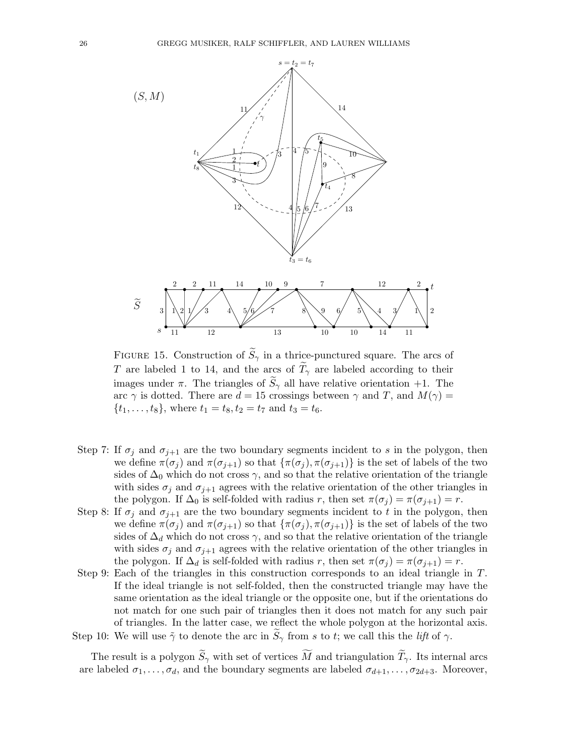

FIGURE 15. Construction of  $S_{\gamma}$  in a thrice-punctured square. The arcs of T are labeled 1 to 14, and the arcs of  $T_{\gamma}$  are labeled according to their images under  $\pi$ . The triangles of  $S_{\gamma}$  all have relative orientation +1. The arc  $\gamma$  is dotted. There are  $d = 15$  crossings between  $\gamma$  and  $T$ , and  $M(\gamma) =$  $\{t_1,\ldots,t_8\}$ , where  $t_1 = t_8, t_2 = t_7$  and  $t_3 = t_6$ .

- Step 7: If  $\sigma_j$  and  $\sigma_{j+1}$  are the two boundary segments incident to s in the polygon, then we define  $\pi(\sigma_i)$  and  $\pi(\sigma_{i+1})$  so that  $\{\pi(\sigma_i), \pi(\sigma_{i+1})\}$  is the set of labels of the two sides of  $\Delta_0$  which do not cross  $\gamma$ , and so that the relative orientation of the triangle with sides  $\sigma_j$  and  $\sigma_{j+1}$  agrees with the relative orientation of the other triangles in the polygon. If  $\Delta_0$  is self-folded with radius r, then set  $\pi(\sigma_i) = \pi(\sigma_{i+1}) = r$ .
- Step 8: If  $\sigma_i$  and  $\sigma_{i+1}$  are the two boundary segments incident to t in the polygon, then we define  $\pi(\sigma_i)$  and  $\pi(\sigma_{i+1})$  so that  $\{\pi(\sigma_i), \pi(\sigma_{i+1})\}$  is the set of labels of the two sides of  $\Delta_d$  which do not cross  $\gamma$ , and so that the relative orientation of the triangle with sides  $\sigma_j$  and  $\sigma_{j+1}$  agrees with the relative orientation of the other triangles in the polygon. If  $\Delta_d$  is self-folded with radius r, then set  $\pi(\sigma_i) = \pi(\sigma_{i+1}) = r$ .
- Step 9: Each of the triangles in this construction corresponds to an ideal triangle in T. If the ideal triangle is not self-folded, then the constructed triangle may have the same orientation as the ideal triangle or the opposite one, but if the orientations do not match for one such pair of triangles then it does not match for any such pair of triangles. In the latter case, we reflect the whole polygon at the horizontal axis. Step 10: We will use  $\tilde{\gamma}$  to denote the arc in  $\tilde{S}_{\gamma}$  from s to t; we call this the lift of  $\gamma$ .

The result is a polygon  $\widetilde{S}_{\gamma}$  with set of vertices  $\widetilde{M}$  and triangulation  $\widetilde{T}_{\gamma}$ . Its internal arcs are labeled  $\sigma_1,\ldots,\sigma_d$ , and the boundary segments are labeled  $\sigma_{d+1},\ldots,\sigma_{2d+3}$ . Moreover,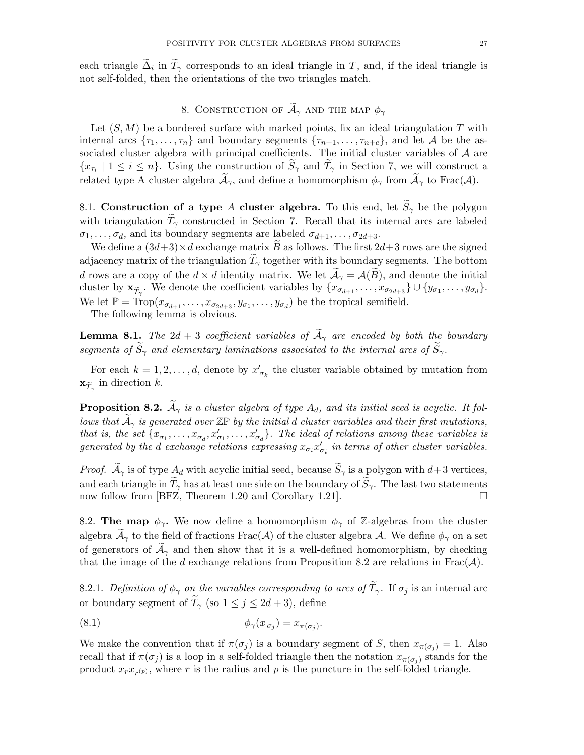each triangle  $\Delta_i$  in  $T_\gamma$  corresponds to an ideal triangle in T, and, if the ideal triangle is not self-folded, then the orientations of the two triangles match.

# 8. CONSTRUCTION OF  $\widetilde{\mathcal{A}}_{\gamma}$  and the map  $\phi_{\gamma}$

Let  $(S, M)$  be a bordered surface with marked points, fix an ideal triangulation T with internal arcs  $\{\tau_1,\ldots,\tau_n\}$  and boundary segments  $\{\tau_{n+1},\ldots,\tau_{n+c}\}\$ , and let A be the associated cluster algebra with principal coefficients. The initial cluster variables of  $A$  are  $\{x_{\tau_i} \mid 1 \leq i \leq n\}$ . Using the construction of  $S_{\gamma}$  and  $T_{\gamma}$  in Section 7, we will construct a related type A cluster algebra  $\tilde{\mathcal{A}}_{\gamma}$ , and define a homomorphism  $\phi_{\gamma}$  from  $\tilde{\mathcal{A}}_{\gamma}$  to Frac( $\mathcal{A}$ ).

8.1. Construction of a type A cluster algebra. To this end, let  $\widetilde{S}_{\gamma}$  be the polygon with triangulation  $\widetilde{T}_{\gamma}$  constructed in Section 7. Recall that its internal arcs are labeled  $\sigma_1,\ldots,\sigma_d$ , and its boundary segments are labeled  $\sigma_{d+1},\ldots,\sigma_{2d+3}$ .

We define a  $(3d+3) \times d$  exchange matrix  $\tilde{B}$  as follows. The first  $2d+3$  rows are the signed adjacency matrix of the triangulation  $T_{\gamma}$  together with its boundary segments. The bottom d rows are a copy of the  $d \times d$  identity matrix. We let  $\mathcal{A}_{\gamma} = \mathcal{A}(B)$ , and denote the initial cluster by  $\mathbf{x}_{\widetilde{T}_{\gamma}}$ . We denote the coefficient variables by  $\{x_{\sigma_{d+1}}, \ldots, x_{\sigma_{2d+3}}\} \cup \{y_{\sigma_1}, \ldots, y_{\sigma_d}\}.$ We let  $\mathbb{P} = \text{Top}(x_{\sigma_{d+1}}, \ldots, x_{\sigma_{2d+3}}, y_{\sigma_1}, \ldots, y_{\sigma_d})$  be the tropical semifield.

The following lemma is obvious.

**Lemma 8.1.** The 2d + 3 coefficient variables of  $\tilde{A}_{\gamma}$  are encoded by both the boundary segments of  $S_{\gamma}$  and elementary laminations associated to the internal arcs of  $S_{\gamma}$ .

For each  $k = 1, 2, \ldots, d$ , denote by  $x'_{\sigma_k}$  the cluster variable obtained by mutation from  $\mathbf{x}_{\widetilde{T}_{\gamma}}$  in direction k.

**Proposition 8.2.**  $\widetilde{A}_{\gamma}$  is a cluster algebra of type  $A_d$ , and its initial seed is acyclic. It follows that  $\mathcal{A}_{\gamma}$  is generated over  $\mathbb{Z}\mathbb{P}$  by the initial d cluster variables and their first mutations, that is, the set  $\{x_{\sigma_1}, \ldots, x_{\sigma_d}, x'_{\sigma_1}, \ldots, x'_{\sigma_d}\}$ . The ideal of relations among these variables is generated by the d exchange relations expressing  $x_{\sigma_i} x'_{\sigma_i}$  in terms of other cluster variables.

*Proof.*  $\widetilde{A}_{\gamma}$  is of type  $A_d$  with acyclic initial seed, because  $\widetilde{S}_{\gamma}$  is a polygon with  $d+3$  vertices, and each triangle in  $\widetilde{T}_{\gamma}$  has at least one side on the boundary of  $\widetilde{S}_{\gamma}$ . The last two statements now follow from [BFZ, Theorem 1.20 and Corollary 1.21]. now follow from [BFZ, Theorem 1.20 and Corollary 1.21].

8.2. The map  $\phi_{\gamma}$ . We now define a homomorphism  $\phi_{\gamma}$  of Z-algebras from the cluster algebra  $\mathcal{A}_{\gamma}$  to the field of fractions Frac( $\mathcal{A}$ ) of the cluster algebra  $\mathcal{A}$ . We define  $\phi_{\gamma}$  on a set of generators of  $\tilde{\mathcal{A}}_{\gamma}$  and then show that it is a well-defined homomorphism, by checking that the image of the d exchange relations from Proposition 8.2 are relations in Frac $(A)$ .

8.2.1. Definition of  $\phi_{\gamma}$  on the variables corresponding to arcs of  $\widetilde{T}_{\gamma}$ . If  $\sigma_j$  is an internal arc or boundary segment of  $\widetilde{T}_{\gamma}$  (so  $1 \leq j \leq 2d+3$ ), define

$$
\phi_{\gamma}(x_{\sigma_j}) = x_{\pi(\sigma_j)}.
$$

We make the convention that if  $\pi(\sigma_j)$  is a boundary segment of S, then  $x_{\pi(\sigma_j)} = 1$ . Also recall that if  $\pi(\sigma_j)$  is a loop in a self-folded triangle then the notation  $x_{\pi(\sigma_j)}$  stands for the product  $x_r x_{r^{(p)}}$ , where r is the radius and p is the puncture in the self-folded triangle.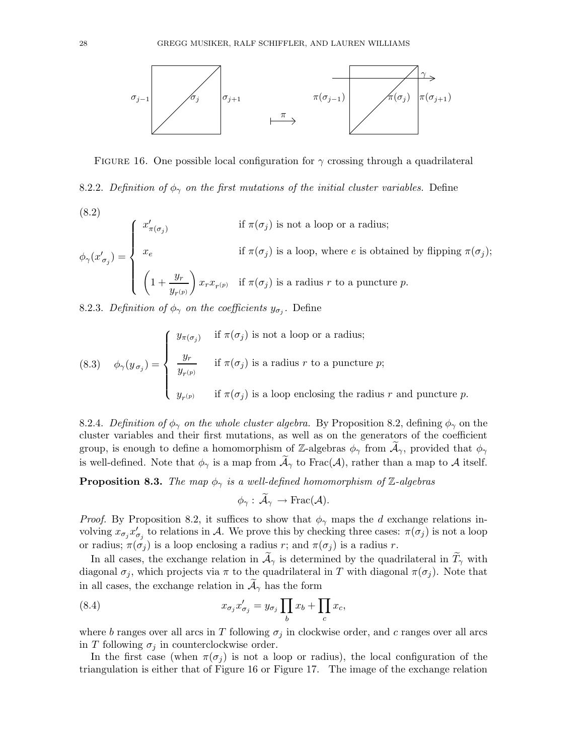

FIGURE 16. One possible local configuration for  $\gamma$  crossing through a quadrilateral

8.2.2. Definition of  $\phi_{\gamma}$  on the first mutations of the initial cluster variables. Define

(8.2)  
\n
$$
\phi_{\gamma}(x'_{\sigma_j}) = \begin{cases}\nx'_{\pi(\sigma_j)} & \text{if } \pi(\sigma_j) \text{ is not a loop or a radius;} \\
x_e & \text{if } \pi(\sigma_j) \text{ is a loop, where } e \text{ is obtained by flipping } \pi(\sigma_j); \\
\left(1 + \frac{y_r}{y_{r^{(p)}}}\right) x_r x_{r^{(p)}} & \text{if } \pi(\sigma_j) \text{ is a radius } r \text{ to a puncture } p.\n\end{cases}
$$

8.2.3. Definition of  $\phi_{\gamma}$  on the coefficients  $y_{\sigma_j}$ . Define

(8.3) 
$$
\phi_{\gamma}(y_{\sigma_j}) = \begin{cases} y_{\pi(\sigma_j)} & \text{if } \pi(\sigma_j) \text{ is not a loop or a radius;} \\ \frac{y_r}{y_{r^{(p)}}} & \text{if } \pi(\sigma_j) \text{ is a radius } r \text{ to a puncture } p; \\ y_{r^{(p)}} & \text{if } \pi(\sigma_j) \text{ is a loop enclosing the radius } r \text{ and puncture } p. \end{cases}
$$

8.2.4. Definition of  $\phi_{\gamma}$  on the whole cluster algebra. By Proposition 8.2, defining  $\phi_{\gamma}$  on the cluster variables and their first mutations, as well as on the generators of the coefficient group, is enough to define a homomorphism of Z-algebras  $\phi_{\gamma}$  from  $\mathcal{A}_{\gamma}$ , provided that  $\phi_{\gamma}$ is well-defined. Note that  $\phi_{\gamma}$  is a map from  $\tilde{\mathcal{A}}_{\gamma}$  to Frac( $\mathcal{A}$ ), rather than a map to  $\mathcal{A}$  itself.

**Proposition 8.3.** The map  $\phi_{\gamma}$  is a well-defined homomorphism of Z-algebras

$$
\phi_\gamma:\,\widetilde{\cal A}_\gamma\,\rightarrow {\rm Frac}({\cal A}).
$$

*Proof.* By Proposition 8.2, it suffices to show that  $\phi_{\gamma}$  maps the d exchange relations involving  $x_{\sigma_j} x'_{\sigma_j}$  to relations in A. We prove this by checking three cases:  $\pi(\sigma_j)$  is not a loop or radius;  $\pi(\sigma_j)$  is a loop enclosing a radius r; and  $\pi(\sigma_j)$  is a radius r.

In all cases, the exchange relation in  $\mathcal{A}_{\gamma}$  is determined by the quadrilateral in  $T_{\gamma}$  with diagonal  $\sigma_j$ , which projects via  $\pi$  to the quadrilateral in T with diagonal  $\pi(\sigma_j)$ . Note that in all cases, the exchange relation in  $\mathcal{A}_{\gamma}$  has the form

(8.4) 
$$
x_{\sigma_j} x'_{\sigma_j} = y_{\sigma_j} \prod_b x_b + \prod_c x_c,
$$

where b ranges over all arcs in T following  $\sigma_j$  in clockwise order, and c ranges over all arcs in T following  $\sigma_i$  in counterclockwise order.

In the first case (when  $\pi(\sigma_j)$  is not a loop or radius), the local configuration of the triangulation is either that of Figure 16 or Figure 17. The image of the exchange relation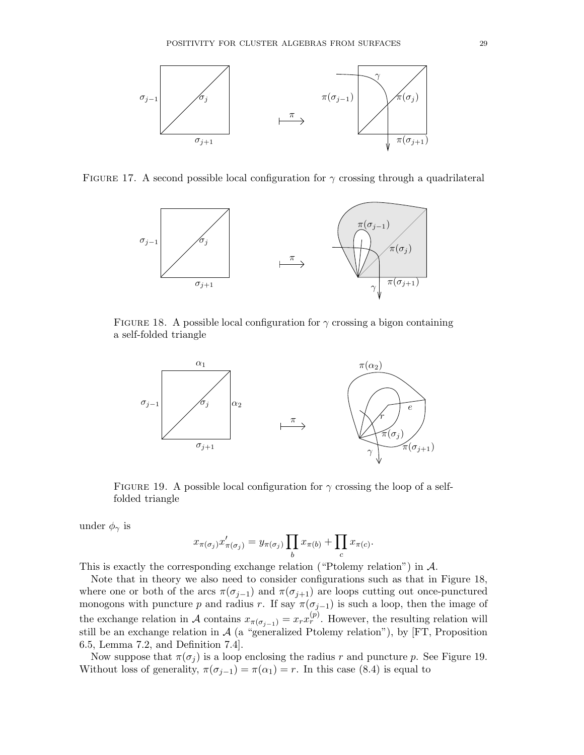

FIGURE 17. A second possible local configuration for  $\gamma$  crossing through a quadrilateral



FIGURE 18. A possible local configuration for  $\gamma$  crossing a bigon containing a self-folded triangle



FIGURE 19. A possible local configuration for  $\gamma$  crossing the loop of a selffolded triangle

under  $\phi_{\gamma}$  is

$$
x_{\pi(\sigma_j)} x'_{\pi(\sigma_j)} = y_{\pi(\sigma_j)} \prod_b x_{\pi(b)} + \prod_c x_{\pi(c)}.
$$

This is exactly the corresponding exchange relation ("Ptolemy relation") in  $\mathcal{A}$ .

Note that in theory we also need to consider configurations such as that in Figure 18, where one or both of the arcs  $\pi(\sigma_{j-1})$  and  $\pi(\sigma_{j+1})$  are loops cutting out once-punctured monogons with puncture p and radius r. If say  $\pi(\sigma_{j-1})$  is such a loop, then the image of the exchange relation in A contains  $x_{\pi(\sigma_{j-1})} = x_r x_r^{(p)}$ . However, the resulting relation will still be an exchange relation in  $A$  (a "generalized Ptolemy relation"), by [FT, Proposition 6.5, Lemma 7.2, and Definition 7.4].

Now suppose that  $\pi(\sigma_j)$  is a loop enclosing the radius r and puncture p. See Figure 19. Without loss of generality,  $\pi(\sigma_{j-1}) = \pi(\alpha_1) = r$ . In this case (8.4) is equal to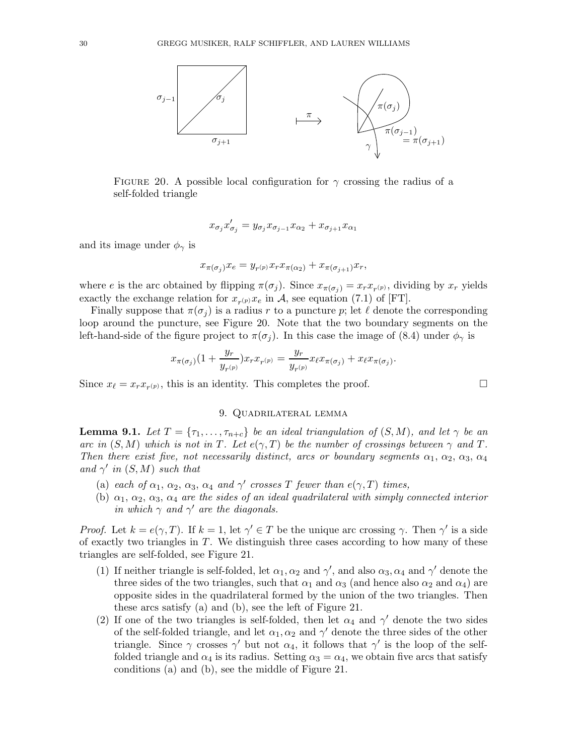

FIGURE 20. A possible local configuration for  $\gamma$  crossing the radius of a self-folded triangle

$$
x_{\sigma_j} x'_{\sigma_j} = y_{\sigma_j} x_{\sigma_{j-1}} x_{\alpha_2} + x_{\sigma_{j+1}} x_{\alpha_1}
$$

and its image under  $\phi_{\gamma}$  is

$$
x_{\pi(\sigma_j)} x_e = y_{r^{(p)}} x_r x_{\pi(\alpha_2)} + x_{\pi(\sigma_{j+1})} x_r,
$$

where *e* is the arc obtained by flipping  $\pi(\sigma_j)$ . Since  $x_{\pi(\sigma_j)} = x_r x_{r^{(p)}}$ , dividing by  $x_r$  yields exactly the exchange relation for  $x_{r(p)}x_e$  in A, see equation (7.1) of [FT].

Finally suppose that  $\pi(\sigma_i)$  is a radius r to a puncture p; let  $\ell$  denote the corresponding loop around the puncture, see Figure 20. Note that the two boundary segments on the left-hand-side of the figure project to  $\pi(\sigma_i)$ . In this case the image of (8.4) under  $\phi_\gamma$  is

$$
x_{\pi(\sigma_j)}(1+\frac{y_r}{y_{r^{(p)}}})x_rx_{r^{(p)}}=\frac{y_r}{y_{r^{(p)}}}x_{\ell}x_{\pi(\sigma_j)}+x_{\ell}x_{\pi(\sigma_j)}.
$$

Since  $x_{\ell} = x_r x_{r^{(p)}}$ , this is an identity. This completes the proof.

# 9. Quadrilateral lemma

**Lemma 9.1.** Let  $T = \{\tau_1, \ldots, \tau_{n+c}\}\$  be an ideal triangulation of  $(S, M)$ , and let  $\gamma$  be an arc in  $(S, M)$  which is not in T. Let  $e(\gamma, T)$  be the number of crossings between  $\gamma$  and T. Then there exist five, not necessarily distinct, arcs or boundary segments  $\alpha_1, \alpha_2, \alpha_3, \alpha_4$ and  $\gamma'$  in  $(S, M)$  such that

- (a) each of  $\alpha_1$ ,  $\alpha_2$ ,  $\alpha_3$ ,  $\alpha_4$  and  $\gamma'$  crosses T fewer than  $e(\gamma, T)$  times,
- (b)  $\alpha_1, \alpha_2, \alpha_3, \alpha_4$  are the sides of an ideal quadrilateral with simply connected interior in which  $\gamma$  and  $\gamma'$  are the diagonals.

*Proof.* Let  $k = e(\gamma, T)$ . If  $k = 1$ , let  $\gamma' \in T$  be the unique arc crossing  $\gamma$ . Then  $\gamma'$  is a side of exactly two triangles in  $T$ . We distinguish three cases according to how many of these triangles are self-folded, see Figure 21.

- (1) If neither triangle is self-folded, let  $\alpha_1, \alpha_2$  and  $\gamma'$ , and also  $\alpha_3, \alpha_4$  and  $\gamma'$  denote the three sides of the two triangles, such that  $\alpha_1$  and  $\alpha_3$  (and hence also  $\alpha_2$  and  $\alpha_4$ ) are opposite sides in the quadrilateral formed by the union of the two triangles. Then these arcs satisfy (a) and (b), see the left of Figure 21.
- (2) If one of the two triangles is self-folded, then let  $\alpha_4$  and  $\gamma'$  denote the two sides of the self-folded triangle, and let  $\alpha_1, \alpha_2$  and  $\gamma'$  denote the three sides of the other triangle. Since  $\gamma$  crosses  $\gamma'$  but not  $\alpha_4$ , it follows that  $\gamma'$  is the loop of the selffolded triangle and  $\alpha_4$  is its radius. Setting  $\alpha_3 = \alpha_4$ , we obtain five arcs that satisfy conditions (a) and (b), see the middle of Figure 21.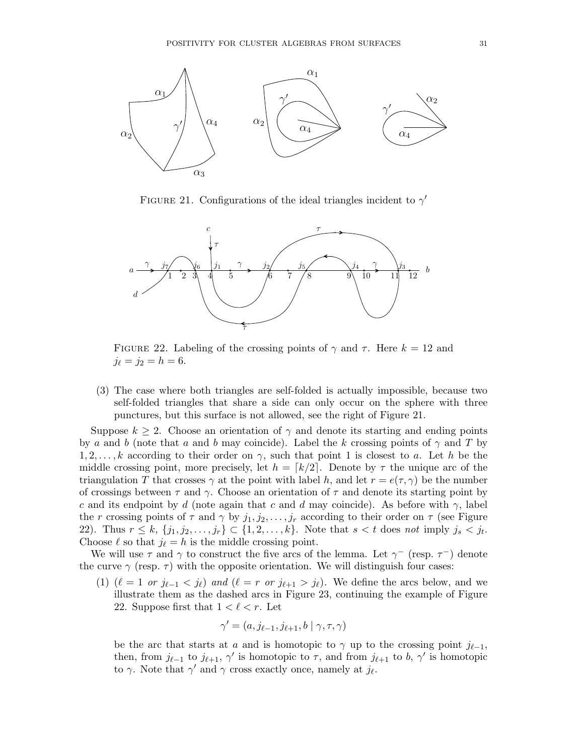

FIGURE 21. Configurations of the ideal triangles incident to  $\gamma'$ 



FIGURE 22. Labeling of the crossing points of  $\gamma$  and  $\tau$ . Here  $k = 12$  and  $j_{\ell} = j_2 = h = 6.$ 

(3) The case where both triangles are self-folded is actually impossible, because two self-folded triangles that share a side can only occur on the sphere with three punctures, but this surface is not allowed, see the right of Figure 21.

Suppose  $k \geq 2$ . Choose an orientation of  $\gamma$  and denote its starting and ending points by a and b (note that a and b may coincide). Label the k crossing points of  $\gamma$  and T by  $1, 2, \ldots, k$  according to their order on  $\gamma$ , such that point 1 is closest to a. Let h be the middle crossing point, more precisely, let  $h = \lceil k/2 \rceil$ . Denote by  $\tau$  the unique arc of the triangulation T that crosses  $\gamma$  at the point with label h, and let  $r = e(\tau, \gamma)$  be the number of crossings between  $\tau$  and  $\gamma$ . Choose an orientation of  $\tau$  and denote its starting point by c and its endpoint by d (note again that c and d may coincide). As before with  $\gamma$ , label the r crossing points of  $\tau$  and  $\gamma$  by  $j_1, j_2, \ldots, j_r$  according to their order on  $\tau$  (see Figure 22). Thus  $r \leq k$ ,  $\{j_1, j_2, \ldots, j_r\} \subset \{1, 2, \ldots, k\}$ . Note that  $s < t$  does not imply  $j_s < j_t$ . Choose  $\ell$  so that  $j_{\ell} = h$  is the middle crossing point.

We will use  $\tau$  and  $\gamma$  to construct the five arcs of the lemma. Let  $\gamma^-$  (resp.  $\tau^-$ ) denote the curve  $\gamma$  (resp.  $\tau$ ) with the opposite orientation. We will distinguish four cases:

(1)  $(\ell = 1 \text{ or } j_{\ell-1} < j_{\ell})$  and  $(\ell = r \text{ or } j_{\ell+1} > j_{\ell})$ . We define the arcs below, and we illustrate them as the dashed arcs in Figure 23, continuing the example of Figure 22. Suppose first that  $1 < \ell < r$ . Let

$$
\gamma' = (a, j_{\ell-1}, j_{\ell+1}, b \mid \gamma, \tau, \gamma)
$$

be the arc that starts at a and is homotopic to  $\gamma$  up to the crossing point  $j_{\ell-1}$ , then, from  $j_{\ell-1}$  to  $j_{\ell+1}$ ,  $\gamma'$  is homotopic to  $\tau$ , and from  $j_{\ell+1}$  to  $b$ ,  $\gamma'$  is homotopic to  $\gamma$ . Note that  $\gamma'$  and  $\gamma$  cross exactly once, namely at  $j_{\ell}$ .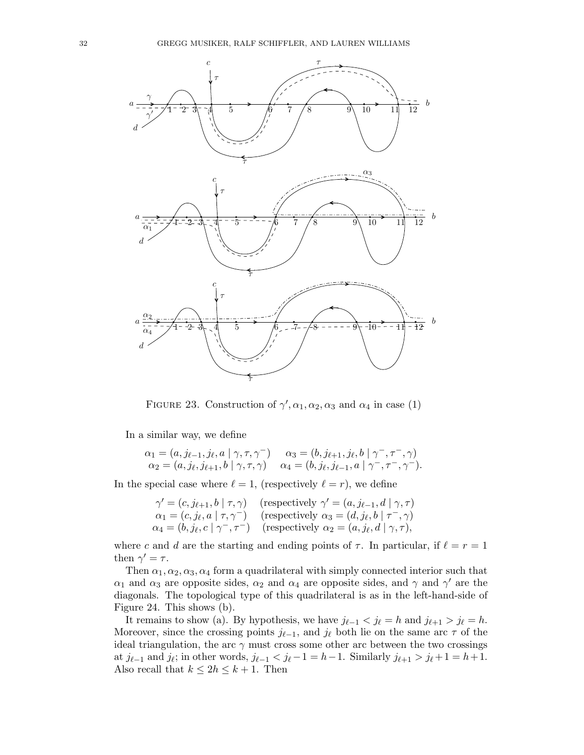

FIGURE 23. Construction of  $\gamma', \alpha_1, \alpha_2, \alpha_3$  and  $\alpha_4$  in case (1)

In a similar way, we define

$$
\begin{array}{ll}\n\alpha_1 = (a, j_{\ell-1}, j_{\ell}, a \mid \gamma, \tau, \gamma^-) & \alpha_3 = (b, j_{\ell+1}, j_{\ell}, b \mid \gamma^-, \tau^-, \gamma) \\
\alpha_2 = (a, j_{\ell}, j_{\ell+1}, b \mid \gamma, \tau, \gamma) & \alpha_4 = (b, j_{\ell}, j_{\ell-1}, a \mid \gamma^-, \tau^-, \gamma^-).\n\end{array}
$$

In the special case where  $\ell = 1$ , (respectively  $\ell = r$ ), we define

$$
\begin{array}{ll}\n\gamma' = (c, j_{\ell+1}, b \mid \tau, \gamma) & \text{(respectively } \gamma' = (a, j_{\ell-1}, d \mid \gamma, \tau) \\
\alpha_1 = (c, j_{\ell}, a \mid \tau, \gamma^-) & \text{(respectively } \alpha_3 = (d, j_{\ell}, b \mid \tau^-, \gamma) \\
\alpha_4 = (b, j_{\ell}, c \mid \gamma^-, \tau^-) & \text{(respectively } \alpha_2 = (a, j_{\ell}, d \mid \gamma, \tau),\n\end{array}
$$

where c and d are the starting and ending points of  $\tau$ . In particular, if  $\ell = r = 1$ then  $\gamma' = \tau$ .

Then  $\alpha_1, \alpha_2, \alpha_3, \alpha_4$  form a quadrilateral with simply connected interior such that  $\alpha_1$  and  $\alpha_3$  are opposite sides,  $\alpha_2$  and  $\alpha_4$  are opposite sides, and  $\gamma$  and  $\gamma'$  are the diagonals. The topological type of this quadrilateral is as in the left-hand-side of Figure 24. This shows (b).

It remains to show (a). By hypothesis, we have  $j_{\ell-1} < j_{\ell} = h$  and  $j_{\ell+1} > j_{\ell} = h$ . Moreover, since the crossing points  $j_{\ell-1}$ , and  $j_{\ell}$  both lie on the same arc  $\tau$  of the ideal triangulation, the arc  $\gamma$  must cross some other arc between the two crossings at  $j_{\ell-1}$  and  $j_{\ell}$ ; in other words,  $j_{\ell-1} < j_{\ell}-1 = h-1$ . Similarly  $j_{\ell+1} > j_{\ell}+1 = h+1$ . Also recall that  $k \leq 2h \leq k+1$ . Then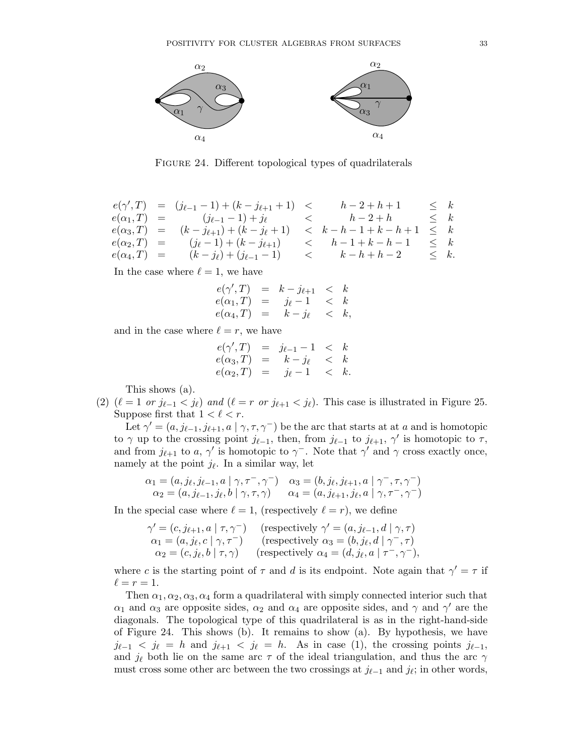

FIGURE 24. Different topological types of quadrilaterals

$$
e(\gamma',T) = (j_{\ell-1}-1) + (k-j_{\ell+1}+1) < h-2+h+1 \le k
$$
  
\n
$$
e(\alpha_1,T) = (j_{\ell-1}-1) + j_{\ell} < h-2+h \le k
$$
  
\n
$$
e(\alpha_3,T) = (k-j_{\ell+1}) + (k-j_{\ell}+1) < k-h-1+k-h+1 \le k
$$
  
\n
$$
e(\alpha_2,T) = (j_{\ell}-1) + (k-j_{\ell+1}) < h-1+k-h-1 \le k
$$
  
\n
$$
e(\alpha_4,T) = (k-j_{\ell}) + (j_{\ell-1}-1) < k-h+h-2 \le k.
$$

In the case where  $\ell = 1$ , we have

$$
\begin{array}{rcl}\ne(\gamma',T) & = & k - j_{\ell+1} < & k \\
e(\alpha_1,T) & = & j_{\ell} - 1 < & k \\
e(\alpha_4,T) & = & k - j_{\ell} < & k,\n\end{array}
$$

and in the case where  $\ell = r$ , we have

$$
e(\gamma', T) = j_{\ell-1} - 1 < k
$$
\n
$$
e(\alpha_3, T) = k - j_{\ell} < k
$$
\n
$$
e(\alpha_2, T) = j_{\ell} - 1 < k.
$$

This shows (a).

(2)  $(\ell = 1 \text{ or } j_{\ell-1} < j_{\ell})$  and  $(\ell = r \text{ or } j_{\ell+1} < j_{\ell})$ . This case is illustrated in Figure 25. Suppose first that  $1 < \ell < r$ .

Let  $\gamma' = (a, j_{\ell-1}, j_{\ell+1}, a \mid \gamma, \tau, \gamma^{-})$  be the arc that starts at at a and is homotopic to  $\gamma$  up to the crossing point  $j_{\ell-1}$ , then, from  $j_{\ell-1}$  to  $j_{\ell+1}$ ,  $\gamma'$  is homotopic to  $\tau$ , and from  $j_{\ell+1}$  to a,  $\gamma'$  is homotopic to  $\gamma^-$ . Note that  $\gamma'$  and  $\gamma$  cross exactly once, namely at the point  $j_{\ell}$ . In a similar way, let

$$
\alpha_1 = (a, j_{\ell}, j_{\ell-1}, a \mid \gamma, \tau^-, \gamma^-) \quad \alpha_3 = (b, j_{\ell}, j_{\ell+1}, a \mid \gamma^-, \tau, \gamma^-) \n\alpha_2 = (a, j_{\ell-1}, j_{\ell}, b \mid \gamma, \tau, \gamma) \quad \alpha_4 = (a, j_{\ell+1}, j_{\ell}, a \mid \gamma, \tau^-, \gamma^-)
$$

In the special case where  $\ell = 1$ , (respectively  $\ell = r$ ), we define

$$
\gamma' = (c, j_{\ell+1}, a \mid \tau, \gamma^{-})
$$
 (respectively 
$$
\gamma' = (a, j_{\ell-1}, d \mid \gamma, \tau)
$$
  
\n
$$
\alpha_1 = (a, j_{\ell}, c \mid \gamma, \tau^{-})
$$
 (respectively 
$$
\alpha_3 = (b, j_{\ell}, d \mid \gamma^{-}, \tau)
$$
  
\n
$$
\alpha_2 = (c, j_{\ell}, b \mid \tau, \gamma)
$$
 (respectively 
$$
\alpha_4 = (d, j_{\ell}, a \mid \tau^{-}, \gamma^{-}),
$$

where c is the starting point of  $\tau$  and d is its endpoint. Note again that  $\gamma' = \tau$  if  $\ell = r = 1.$ 

Then  $\alpha_1, \alpha_2, \alpha_3, \alpha_4$  form a quadrilateral with simply connected interior such that  $\alpha_1$  and  $\alpha_3$  are opposite sides,  $\alpha_2$  and  $\alpha_4$  are opposite sides, and  $\gamma$  and  $\gamma'$  are the diagonals. The topological type of this quadrilateral is as in the right-hand-side of Figure 24. This shows (b). It remains to show (a). By hypothesis, we have  $j_{\ell-1} < j_{\ell} = h$  and  $j_{\ell+1} < j_{\ell} = h$ . As in case (1), the crossing points  $j_{\ell-1}$ , and  $j_{\ell}$  both lie on the same arc  $\tau$  of the ideal triangulation, and thus the arc  $\gamma$ must cross some other arc between the two crossings at  $j_{\ell-1}$  and  $j_{\ell}$ ; in other words,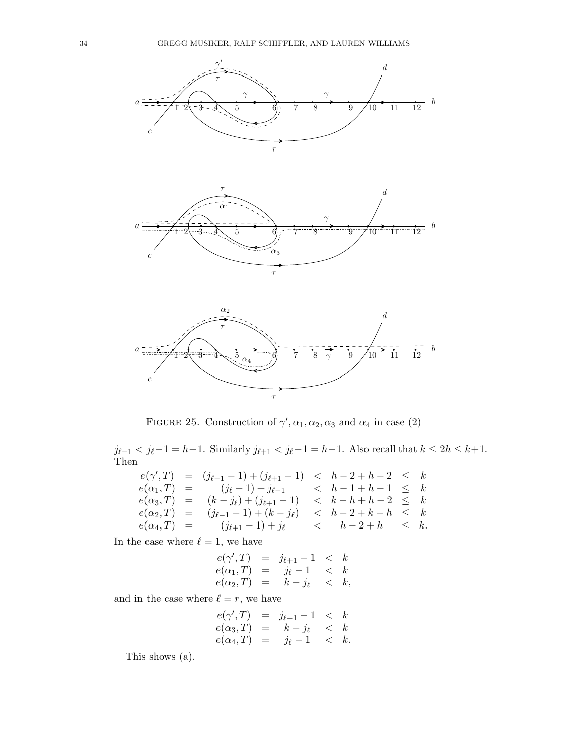

FIGURE 25. Construction of  $\gamma', \alpha_1, \alpha_2, \alpha_3$  and  $\alpha_4$  in case (2)

 $j_{\ell-1} < j_{\ell}-1 = h-1$ . Similarly  $j_{\ell+1} < j_{\ell}-1 = h-1$ . Also recall that  $k \leq 2h \leq k+1$ . Then

$$
e(\gamma', T) = (j_{\ell-1}-1) + (j_{\ell+1}-1) < h-2+h-2 \leq k
$$
  
\n
$$
e(\alpha_1, T) = (j_{\ell}-1) + j_{\ell-1} < h-1+h-1 \leq k
$$
  
\n
$$
e(\alpha_3, T) = (k-j_{\ell}) + (j_{\ell+1}-1) < k-h+h-2 \leq k
$$
  
\n
$$
e(\alpha_2, T) = (j_{\ell-1}-1) + (k-j_{\ell}) < h-2+k-h \leq k
$$
  
\n
$$
e(\alpha_4, T) = (j_{\ell+1}-1) + j_{\ell} < h-2+h \leq k.
$$

In the case where  $\ell = 1$ , we have

$$
e(\gamma',T) = j_{\ell+1} - 1 < k
$$
\n
$$
e(\alpha_1,T) = j_{\ell} - 1 < k
$$
\n
$$
e(\alpha_2,T) = k - j_{\ell} < k,
$$

and in the case where  $\ell = r$ , we have

$$
e(\gamma',T) = j_{\ell-1}-1 < k
$$
  
\n
$$
e(\alpha_3,T) = k - j_{\ell} < k
$$
  
\n
$$
e(\alpha_4,T) = j_{\ell}-1 < k.
$$

This shows (a).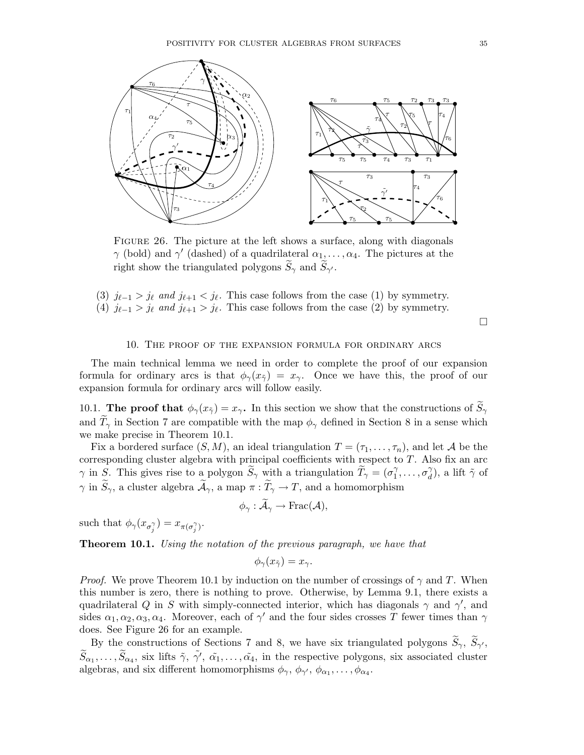

Figure 26. The picture at the left shows a surface, along with diagonals  $\gamma$  (bold) and  $\gamma'$  (dashed) of a quadrilateral  $\alpha_1, \ldots, \alpha_4$ . The pictures at the right show the triangulated polygons  $S_{\gamma}$  and  $S_{\gamma'}$ .

- (3)  $j_{\ell-1} > j_{\ell}$  and  $j_{\ell+1} < j_{\ell}$ . This case follows from the case (1) by symmetry.
- (4)  $j_{\ell-1} > j_{\ell}$  and  $j_{\ell+1} > j_{\ell}$ . This case follows from the case (2) by symmetry.

 $\Box$ 

# 10. The proof of the expansion formula for ordinary arcs

The main technical lemma we need in order to complete the proof of our expansion formula for ordinary arcs is that  $\phi_{\gamma}(x_{\tilde{\gamma}}) = x_{\gamma}$ . Once we have this, the proof of our expansion formula for ordinary arcs will follow easily.

10.1. The proof that  $\phi_{\gamma}(x_{\tilde{\gamma}})=x_{\gamma}$ . In this section we show that the constructions of  $\tilde{S}_{\gamma}$ and  $T_{\gamma}$  in Section 7 are compatible with the map  $\phi_{\gamma}$  defined in Section 8 in a sense which we make precise in Theorem 10.1.

Fix a bordered surface  $(S, M)$ , an ideal triangulation  $T = (\tau_1, \ldots, \tau_n)$ , and let A be the corresponding cluster algebra with principal coefficients with respect to  $T$ . Also fix an arc  $\gamma$  in  $\tilde{S}$ . This gives rise to a polygon  $\tilde{S}_{\gamma}$  with a triangulation  $\tilde{T}_{\gamma} = (\sigma_1^{\gamma})$  $\sigma_1^{\gamma}, \ldots, \sigma_d^{\gamma}$  $\tilde{d}$ ), a lift  $\tilde{\gamma}$  of  $\gamma$  in  $\widetilde{S}_{\gamma}$ , a cluster algebra  $\widetilde{\mathcal{A}}_{\gamma}$ , a map  $\pi : \widetilde{T}_{\gamma} \to T$ , and a homomorphism

$$
\phi_\gamma : \mathcal{A}_\gamma \to \text{Frac}(\mathcal{A}),
$$

such that  $\phi_{\gamma}(x_{\sigma_j^{\gamma}}) = x_{\pi(\sigma_j^{\gamma})}$ .

Theorem 10.1. Using the notation of the previous paragraph, we have that

$$
\phi_{\gamma}(x_{\tilde{\gamma}})=x_{\gamma}.
$$

*Proof.* We prove Theorem 10.1 by induction on the number of crossings of  $\gamma$  and T. When this number is zero, there is nothing to prove. Otherwise, by Lemma 9.1, there exists a quadrilateral Q in S with simply-connected interior, which has diagonals  $\gamma$  and  $\gamma'$ , and sides  $\alpha_1, \alpha_2, \alpha_3, \alpha_4$ . Moreover, each of  $\gamma'$  and the four sides crosses T fewer times than  $\gamma$ does. See Figure 26 for an example.

By the constructions of Sections 7 and 8, we have six triangulated polygons  $S_{\gamma}$ ,  $S_{\gamma'}$ ,  $\widetilde{S}_{\alpha_1},\ldots,\widetilde{S}_{\alpha_4}$ , six lifts  $\widetilde{\gamma},\ \widetilde{\gamma'},\ \widetilde{\alpha_1},\ldots,\widetilde{\alpha_4}$ , in the respective polygons, six associated cluster algebras, and six different homomorphisms  $\phi_{\gamma}, \phi_{\gamma'}, \phi_{\alpha_1}, \dots, \phi_{\alpha_4}$ .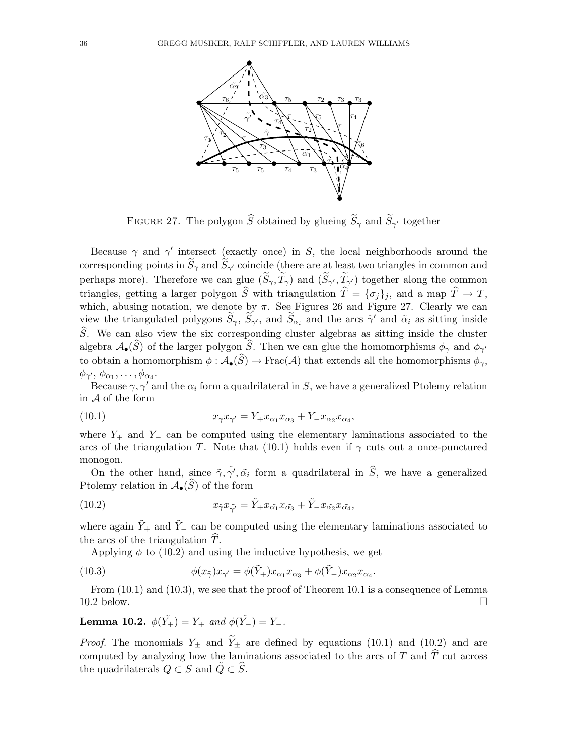

FIGURE 27. The polygon S obtained by glueing  $S_{\gamma}$  and  $S_{\gamma'}$  together

Because  $\gamma$  and  $\gamma'$  intersect (exactly once) in S, the local neighborhoods around the corresponding points in  $S_{\gamma}$  and  $S_{\gamma'}$  coincide (there are at least two triangles in common and perhaps more). Therefore we can glue  $(S_{\gamma}, T_{\gamma})$  and  $(S_{\gamma'}, T_{\gamma'})$  together along the common triangles, getting a larger polygon  $\widehat{S}$  with triangulation  $\widehat{T} = {\{\sigma_j\}_j}$ , and a map  $\widehat{T} \to T$ , which, abusing notation, we denote by  $\pi$ . See Figures 26 and Figure 27. Clearly we can view the triangulated polygons  $\tilde{S}_{\gamma}$ ,  $\tilde{S}_{\gamma'}$ , and  $\tilde{S}_{\alpha_i}$  and the arcs  $\tilde{\gamma}'$  and  $\tilde{\alpha}_i$  as sitting inside  $S$ . We can also view the six corresponding cluster algebras as sitting inside the cluster algebra  $\mathcal{A}_{\bullet}(S)$  of the larger polygon S. Then we can glue the homomorphisms  $\phi_{\gamma}$  and  $\phi_{\gamma'}$ to obtain a homomorphism  $\phi : \mathcal{A}_{\bullet}(\widehat{S}) \to \text{Frac}(\mathcal{A})$  that extends all the homomorphisms  $\phi_{\gamma}$ ,  $\phi_{\gamma'},\,\phi_{\alpha_1},\ldots,\phi_{\alpha_4}.$ 

Because  $\gamma$ ,  $\gamma'$  and the  $\alpha_i$  form a quadrilateral in S, we have a generalized Ptolemy relation in A of the form

(10.1) 
$$
x_{\gamma} x_{\gamma'} = Y_{+} x_{\alpha_{1}} x_{\alpha_{3}} + Y_{-} x_{\alpha_{2}} x_{\alpha_{4}},
$$

where  $Y_+$  and  $Y_-\$ can be computed using the elementary laminations associated to the arcs of the triangulation T. Note that (10.1) holds even if  $\gamma$  cuts out a once-punctured monogon.

On the other hand, since  $\tilde{\gamma}, \tilde{\gamma'}, \tilde{\alpha_i}$  form a quadrilateral in  $\hat{S}$ , we have a generalized Ptolemy relation in  $\mathcal{A}_{\bullet}(\widehat{S})$  of the form

(10.2) 
$$
x_{\tilde{\gamma}} x_{\tilde{\gamma'}} = \tilde{Y}_+ x_{\tilde{\alpha_1}} x_{\tilde{\alpha_3}} + \tilde{Y}_- x_{\tilde{\alpha_2}} x_{\tilde{\alpha_4}},
$$

where again  $\tilde{Y}_+$  and  $\tilde{Y}_-$  can be computed using the elementary laminations associated to the arcs of the triangulation  $T$ .

Applying  $\phi$  to (10.2) and using the inductive hypothesis, we get

(10.3) 
$$
\phi(x_{\tilde{\gamma}})x_{\gamma'} = \phi(\tilde{Y}_+)x_{\alpha_1}x_{\alpha_3} + \phi(\tilde{Y}_-)x_{\alpha_2}x_{\alpha_4}.
$$

From  $(10.1)$  and  $(10.3)$ , we see that the proof of Theorem 10.1 is a consequence of Lemma  $10.2$  below.

**Lemma 10.2.**  $\phi(\tilde{Y_+}) = Y_+$  and  $\phi(\tilde{Y_-}) = Y_-$ .

*Proof.* The monomials  $Y_{\pm}$  and  $Y_{\pm}$  are defined by equations (10.1) and (10.2) and are computed by analyzing how the laminations associated to the arcs of T and  $\widehat{T}$  cut across the quadrilaterals  $Q \subset S$  and  $\tilde{Q} \subset \widehat{S}$ .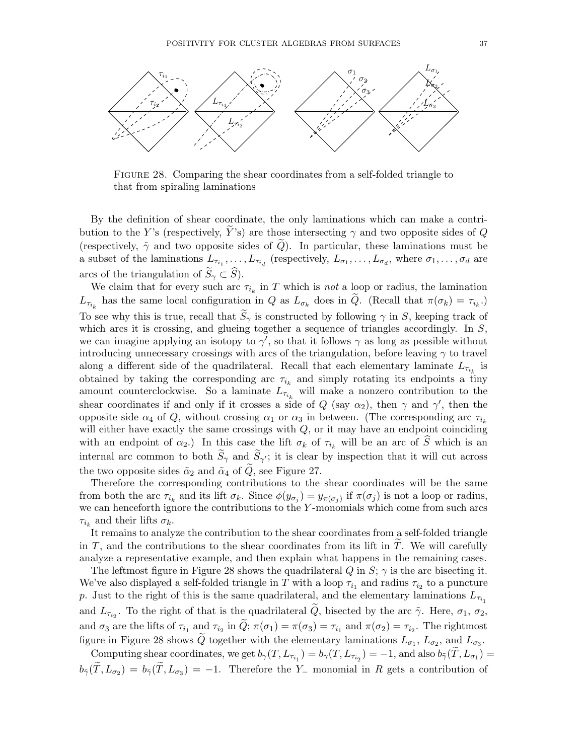

Figure 28. Comparing the shear coordinates from a self-folded triangle to that from spiraling laminations

By the definition of shear coordinate, the only laminations which can make a contribution to the Y's (respectively, Y's) are those intersecting  $\gamma$  and two opposite sides of Q (respectively,  $\tilde{\gamma}$  and two opposite sides of  $\tilde{Q}$ ). In particular, these laminations must be a subset of the laminations  $L_{\tau_{i_1}}, \ldots, L_{\tau_{i_d}}$  (respectively,  $L_{\sigma_1}, \ldots, L_{\sigma_d}$ , where  $\sigma_1, \ldots, \sigma_d$  are arcs of the triangulation of  $S_{\gamma} \subset S$ ).

We claim that for every such arc  $\tau_{i_k}$  in T which is not a loop or radius, the lamination  $L_{\tau_{i_k}}$  has the same local configuration in Q as  $L_{\sigma_k}$  does in Q. (Recall that  $\pi(\sigma_k) = \tau_{i_k}$ .) To see why this is true, recall that  $\widetilde{S}_{\gamma}$  is constructed by following  $\gamma$  in S, keeping track of which arcs it is crossing, and glueing together a sequence of triangles accordingly. In S, we can imagine applying an isotopy to  $\gamma'$ , so that it follows  $\gamma$  as long as possible without introducing unnecessary crossings with arcs of the triangulation, before leaving  $\gamma$  to travel along a different side of the quadrilateral. Recall that each elementary laminate  $L_{\tau_{i_k}}$  is obtained by taking the corresponding arc  $\tau_{i_k}$  and simply rotating its endpoints a tiny amount counterclockwise. So a laminate  $L_{\tau_{i_k}}$  will make a nonzero contribution to the shear coordinates if and only if it crosses a side of Q (say  $\alpha_2$ ), then  $\gamma$  and  $\gamma'$ , then the opposite side  $\alpha_4$  of Q, without crossing  $\alpha_1$  or  $\alpha_3$  in between. (The corresponding arc  $\tau_{i_k}$ will either have exactly the same crossings with  $Q$ , or it may have an endpoint coinciding with an endpoint of  $\alpha_2$ .) In this case the lift  $\sigma_k$  of  $\tau_{i_k}$  will be an arc of  $\widehat{S}$  which is an internal arc common to both  $S_{\gamma}$  and  $S_{\gamma}$ ; it is clear by inspection that it will cut across the two opposite sides  $\tilde{\alpha}_2$  and  $\tilde{\alpha}_4$  of Q, see Figure 27.

Therefore the corresponding contributions to the shear coordinates will be the same from both the arc  $\tau_{i_k}$  and its lift  $\sigma_k$ . Since  $\phi(y_{\sigma_j}) = y_{\pi(\sigma_j)}$  if  $\pi(\sigma_j)$  is not a loop or radius, we can henceforth ignore the contributions to the Y-monomials which come from such arcs  $\tau_{i_k}$  and their lifts  $\sigma_k$ .

It remains to analyze the contribution to the shear coordinates from a self-folded triangle in  $T$ , and the contributions to the shear coordinates from its lift in  $T$ . We will carefully analyze a representative example, and then explain what happens in the remaining cases.

The leftmost figure in Figure 28 shows the quadrilateral Q in  $S$ ;  $\gamma$  is the arc bisecting it. We've also displayed a self-folded triangle in T with a loop  $\tau_{i_1}$  and radius  $\tau_{i_2}$  to a puncture p. Just to the right of this is the same quadrilateral, and the elementary laminations  $L_{\tau_{i_1}}$ and  $L_{\tau_{i_2}}$ . To the right of that is the quadrilateral Q, bisected by the arc  $\tilde{\gamma}$ . Here,  $\sigma_1$ ,  $\sigma_2$ , and  $\sigma_3$  are the lifts of  $\tau_{i_1}$  and  $\tau_{i_2}$  in  $Q$ ;  $\pi(\sigma_1) = \pi(\sigma_3) = \tau_{i_1}$  and  $\pi(\sigma_2) = \tau_{i_2}$ . The rightmost figure in Figure 28 shows Q together with the elementary laminations  $L_{\sigma_1}$ ,  $L_{\sigma_2}$ , and  $L_{\sigma_3}$ .

Computing shear coordinates, we get  $b_{\gamma}(T, L_{\tau_{i_1}}) = b_{\gamma}(T, L_{\tau_{i_2}}) = -1$ , and also  $b_{\tilde{\gamma}}(T, L_{\sigma_1}) =$  $b_{\tilde{\gamma}}(T,L_{\sigma_2}) = b_{\tilde{\gamma}}(T,L_{\sigma_3}) = -1$ . Therefore the Y<sub>-</sub> monomial in R gets a contribution of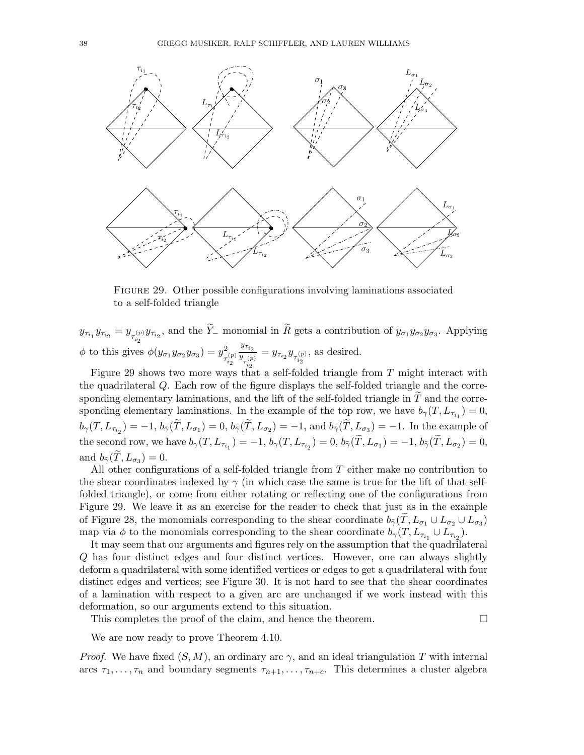

Figure 29. Other possible configurations involving laminations associated to a self-folded triangle

 $y_{\tau_{i_1}} y_{\tau_{i_2}} = y_{\tau_{i_2}^{(p)}} y_{\tau_{i_2}}$ , and the Y<sub>-</sub> monomial in R gets a contribution of  $y_{\sigma_1} y_{\sigma_2} y_{\sigma_3}$ . Applying  $\phi$  to this gives  $\phi(y_{\sigma_1}y_{\sigma_2}y_{\sigma_3})=y_{\sigma}^2$  $\tau_{i_2}^{(p)}$  $\frac{y_{\tau_{i_2}}}{y_{\tau_{i_2}}(p)}} = y_{\tau_{i_2}} y_{\tau_{i_2}^{(p)}}$ , as desired.

Figure 29 shows two more ways that a self-folded triangle from T might interact with the quadrilateral Q. Each row of the figure displays the self-folded triangle and the corresponding elementary laminations, and the lift of the self-folded triangle in  $T$  and the corresponding elementary laminations. In the example of the top row, we have  $b_{\gamma}(T, L_{\tau_{i_1}}) = 0$ ,  $b_{\gamma}(T, L_{\tau_{i_2}}) = -1, b_{\tilde{\gamma}}(T, L_{\sigma_1}) = 0, b_{\tilde{\gamma}}(T, L_{\sigma_2}) = -1, \text{ and } b_{\tilde{\gamma}}(T, L_{\sigma_3}) = -1.$  In the example of the second row, we have  $b_{\gamma}(T, L_{\tau_{i_1}}) = -1$ ,  $b_{\gamma}(T, L_{\tau_{i_2}}) = 0$ ,  $b_{\tilde{\gamma}}(T, L_{\sigma_1}) = -1$ ,  $b_{\tilde{\gamma}}(T, L_{\sigma_2}) = 0$ , and  $b_{\tilde{\gamma}}(T, L_{\sigma_3}) = 0.$ 

All other configurations of a self-folded triangle from  $T$  either make no contribution to the shear coordinates indexed by  $\gamma$  (in which case the same is true for the lift of that selffolded triangle), or come from either rotating or reflecting one of the configurations from Figure 29. We leave it as an exercise for the reader to check that just as in the example of Figure 28, the monomials corresponding to the shear coordinate  $b_{\tilde{\gamma}}(T, L_{\sigma_1} \cup L_{\sigma_2} \cup L_{\sigma_3})$ map via  $\phi$  to the monomials corresponding to the shear coordinate  $b_{\gamma}(T, L_{\tau_{i_1}} \cup L_{\tau_{i_2}})$ .

It may seem that our arguments and figures rely on the assumption that the quadrilateral Q has four distinct edges and four distinct vertices. However, one can always slightly deform a quadrilateral with some identified vertices or edges to get a quadrilateral with four distinct edges and vertices; see Figure 30. It is not hard to see that the shear coordinates of a lamination with respect to a given arc are unchanged if we work instead with this deformation, so our arguments extend to this situation.

This completes the proof of the claim, and hence the theorem.  $\Box$ 

We are now ready to prove Theorem 4.10.

*Proof.* We have fixed  $(S, M)$ , an ordinary arc  $\gamma$ , and an ideal triangulation T with internal arcs  $\tau_1, \ldots, \tau_n$  and boundary segments  $\tau_{n+1}, \ldots, \tau_{n+c}$ . This determines a cluster algebra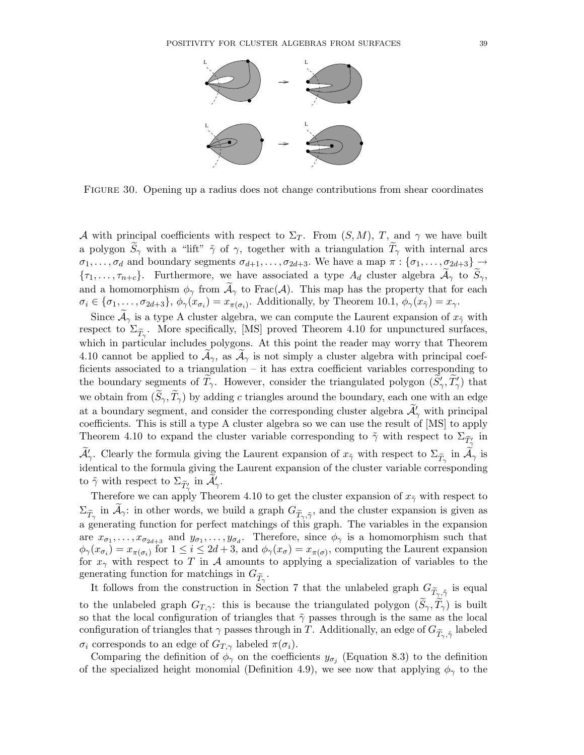

Figure 30. Opening up a radius does not change contributions from shear coordinates

A with principal coefficients with respect to  $\Sigma_T$ . From  $(S, M)$ , T, and  $\gamma$  we have built a polygon  $\widetilde{S}_{\gamma}$  with a "lift"  $\widetilde{\gamma}$  of  $\gamma$ , together with a triangulation  $\widetilde{T}_{\gamma}$  with internal arcs  $\sigma_1,\ldots,\sigma_d$  and boundary segments  $\sigma_{d+1},\ldots,\sigma_{2d+3}$ . We have a map  $\pi:\{\sigma_1,\ldots,\sigma_{2d+3}\}\to$  ${\tau_1,\ldots,\tau_{n+c}}$ . Furthermore, we have associated a type  $A_d$  cluster algebra  $\widetilde{A}_{\gamma}$  to  $\widetilde{S}_{\gamma}$ , and a homomorphism  $\phi_{\gamma}$  from  $\mathcal{A}_{\gamma}$  to Frac( $\mathcal{A}$ ). This map has the property that for each  $\sigma_i \in \{\sigma_1, \ldots, \sigma_{2d+3}\}, \ \phi_\gamma(x_{\sigma_i}) = x_{\pi(\sigma_i)}$ . Additionally, by Theorem 10.1,  $\phi_\gamma(x_{\tilde{\gamma}}) = x_\gamma$ .

Since  $\widetilde{\mathcal{A}}_{\gamma}$  is a type A cluster algebra, we can compute the Laurent expansion of  $x_{\tilde{\gamma}}$  with respect to  $\Sigma_{\widetilde{T}_{\gamma}}$ . More specifically, [MS] proved Theorem 4.10 for unpunctured surfaces, which in particular includes polygons. At this point the reader may worry that Theorem 4.10 cannot be applied to  $A_{\gamma}$ , as  $A_{\gamma}$  is not simply a cluster algebra with principal coefficients associated to a triangulation – it has extra coefficient variables corresponding to the boundary segments of  $\tilde{T}_{\gamma}$ . However, consider the triangulated polygon  $(\tilde{S}'_{\gamma}, \tilde{T}'_{\gamma})$  that we obtain from  $(\widetilde{S}_{\gamma}, \widetilde{T}_{\gamma})$  by adding c triangles around the boundary, each one with an edge at a boundary segment, and consider the corresponding cluster algebra  $\widetilde{\mathcal{A}}'_{\gamma}$  with principal coefficients. This is still a type A cluster algebra so we can use the result of [MS] to apply Theorem 4.10 to expand the cluster variable corresponding to  $\tilde{\gamma}$  with respect to  $\Sigma_{\widetilde{T}'_{\gamma}}$  in  $\mathcal{A}'_{\gamma}$ . Clearly the formula giving the Laurent expansion of  $x_{\tilde{\gamma}}$  with respect to  $\Sigma_{\widetilde{T}_{\gamma}}$  in  $\mathcal{A}_{\gamma}$  is identical to the formula giving the Laurent expansion of the cluster variable corresponding to  $\tilde{\gamma}$  with respect to  $\Sigma_{\widetilde{T}'_{\gamma}}$  in  $\widetilde{\mathcal{A}}'_{\gamma}$ .

Therefore we can apply Theorem 4.10 to get the cluster expansion of  $x_{\tilde{\gamma}}$  with respect to  $\Sigma_{\widetilde{T}_\gamma}$  in  $\mathcal{A}_\gamma$ : in other words, we build a graph  $G_{\widetilde{T}_\gamma,\tilde{\gamma}}$ , and the cluster expansion is given as a generating function for perfect matchings of this graph. The variables in the expansion are  $x_{\sigma_1}, \ldots, x_{\sigma_{2d+3}}$  and  $y_{\sigma_1}, \ldots, y_{\sigma_d}$ . Therefore, since  $\phi_\gamma$  is a homomorphism such that  $\phi_{\gamma}(x_{\sigma_i}) = x_{\pi(\sigma_i)}$  for  $1 \leq i \leq 2d+3$ , and  $\phi_{\gamma}(x_{\sigma}) = x_{\pi(\sigma)}$ , computing the Laurent expansion for  $x_{\gamma}$  with respect to T in A amounts to applying a specialization of variables to the generating function for matchings in  $G_{\widetilde{T}_{\gamma}}$ .

It follows from the construction in Section 7 that the unlabeled graph  $G_{\widetilde{T}_{\gamma},\tilde{\gamma}}$  is equal to the unlabeled graph  $G_{T,\gamma}$ : this is because the triangulated polygon  $(\widetilde{S}_{\gamma}, \widetilde{T}_{\gamma})$  is built so that the local configuration of triangles that  $\tilde{\gamma}$  passes through is the same as the local configuration of triangles that  $\gamma$  passes through in T. Additionally, an edge of  $G_{\widetilde T_\gamma,\tilde\gamma}$  labeled  $\sigma_i$  corresponds to an edge of  $G_{T,\gamma}$  labeled  $\pi(\sigma_i)$ .

Comparing the definition of  $\phi_{\gamma}$  on the coefficients  $y_{\sigma_j}$  (Equation 8.3) to the definition of the specialized height monomial (Definition 4.9), we see now that applying  $\phi_{\gamma}$  to the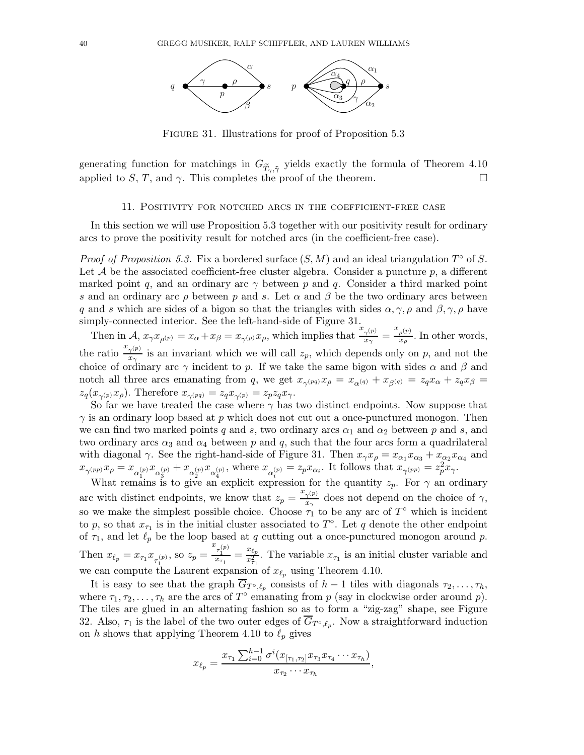

FIGURE 31. Illustrations for proof of Proposition 5.3

generating function for matchings in  $G_{\widetilde{T}_{\gamma},\tilde{\gamma}}$  yields exactly the formula of Theorem 4.10 applied to S, T, and  $\gamma$ . This completes the proof of the theorem.

#### 11. Positivity for notched arcs in the coefficient-free case

In this section we will use Proposition 5.3 together with our positivity result for ordinary arcs to prove the positivity result for notched arcs (in the coefficient-free case).

*Proof of Proposition 5.3.* Fix a bordered surface  $(S, M)$  and an ideal triangulation  $T^{\circ}$  of S. Let  $A$  be the associated coefficient-free cluster algebra. Consider a puncture  $p$ , a different marked point q, and an ordinary arc  $\gamma$  between p and q. Consider a third marked point s and an ordinary arc  $\rho$  between p and s. Let  $\alpha$  and  $\beta$  be the two ordinary arcs between q and s which are sides of a bigon so that the triangles with sides  $\alpha, \gamma, \rho$  and  $\beta, \gamma, \rho$  have simply-connected interior. See the left-hand-side of Figure 31.

Then in A,  $x_{\gamma} x_{\rho^{(p)}} = x_{\alpha} + x_{\beta} = x_{\gamma^{(p)}} x_{\rho}$ , which implies that  $\frac{x_{\gamma^{(p)}}}{x_{\gamma}}$  $\frac{\gamma(p)}{x_\gamma} = \frac{x_{\rho}(p)}{x_{\rho}}$  $\frac{\rho^{(p)}}{x_{\rho}}$ . In other words, the ratio  $\frac{x_{\gamma(p)}}{x_p}$  $\frac{\gamma^{(p)}}{x_{\gamma}}$  is an invariant which we will call  $z_p$ , which depends only on p, and not the choice of ordinary arc  $\gamma$  incident to p. If we take the same bigon with sides  $\alpha$  and  $\beta$  and notch all three arcs emanating from q, we get  $x_{\gamma(pq)}x_{\rho} = x_{\alpha(q)} + x_{\beta(q)} = z_qx_{\alpha} + z_qx_{\beta} =$  $z_q(x_{\gamma^{(p)}}x_\rho)$ . Therefore  $x_{\gamma^{(pq)}} = z_qx_{\gamma^{(p)}} = z_pz_qx_\gamma$ .

So far we have treated the case where  $\gamma$  has two distinct endpoints. Now suppose that  $\gamma$  is an ordinary loop based at p which does not cut out a once-punctured monogon. Then we can find two marked points q and s, two ordinary arcs  $\alpha_1$  and  $\alpha_2$  between p and s, and two ordinary arcs  $\alpha_3$  and  $\alpha_4$  between p and q, such that the four arcs form a quadrilateral with diagonal  $\gamma$ . See the right-hand-side of Figure 31. Then  $x_{\gamma}x_{\rho} = x_{\alpha_1}x_{\alpha_3} + x_{\alpha_2}x_{\alpha_4}$  and  $x_{\gamma^{(pp)}} x_{\rho} = x_{\alpha_1^{(p)}} x_{\alpha_3^{(p)}} + x_{\alpha_2^{(p)}} x_{\alpha_4^{(p)}}$ , where  $x_{\alpha_i^{(p)}} = z_p x_{\alpha_i}$ . It follows that  $x_{\gamma^{(pp)}} = z_p^2 x_{\gamma}$ .

What remains is to give an explicit expression for the quantity  $z_p$ . For  $\gamma$  an ordinary arc with distinct endpoints, we know that  $z_p = \frac{x_{\gamma(p)}}{x_p}$  $\frac{\gamma^{(\nu)}}{x_{\gamma}}$  does not depend on the choice of  $\gamma$ , so we make the simplest possible choice. Choose  $\tau_1$  to be any arc of  $T^{\circ}$  which is incident to p, so that  $x_{\tau_1}$  is in the initial cluster associated to  $T^{\circ}$ . Let q denote the other endpoint of  $\tau_1$ , and let  $\ell_p$  be the loop based at q cutting out a once-punctured monogon around p. Then  $x_{\ell_p} = x_{\tau_1} x_{\tau_1^{(p)}},$  so  $z_p =$  $\frac{x_{\tau_1^{(p)}}}{x_{\tau_1}} = \frac{x_{\ell_p}}{x_{\tau_1}^2}$  $\frac{x_{\ell p}}{x_{\tau_1}^2}$ . The variable  $x_{\tau_1}$  is an initial cluster variable and we can compute the Laurent expansion of  $x_{\ell_n}$  using Theorem 4.10.

It is easy to see that the graph  $G_{T^{\circ},\ell_p}$  consists of  $h-1$  tiles with diagonals  $\tau_2,\ldots,\tau_h$ , where  $\tau_1, \tau_2, \ldots, \tau_h$  are the arcs of  $T^{\circ}$  emanating from p (say in clockwise order around p). The tiles are glued in an alternating fashion so as to form a "zig-zag" shape, see Figure 32. Also,  $\tau_1$  is the label of the two outer edges of  $G_{T^{\circ},\ell_p}$ . Now a straightforward induction on h shows that applying Theorem 4.10 to  $\ell_p$  gives

$$
x_{\ell_p} = \frac{x_{\tau_1} \sum_{i=0}^{h-1} \sigma^i(x_{[\tau_1, \tau_2]} x_{\tau_3} x_{\tau_4} \cdots x_{\tau_h})}{x_{\tau_2} \cdots x_{\tau_h}},
$$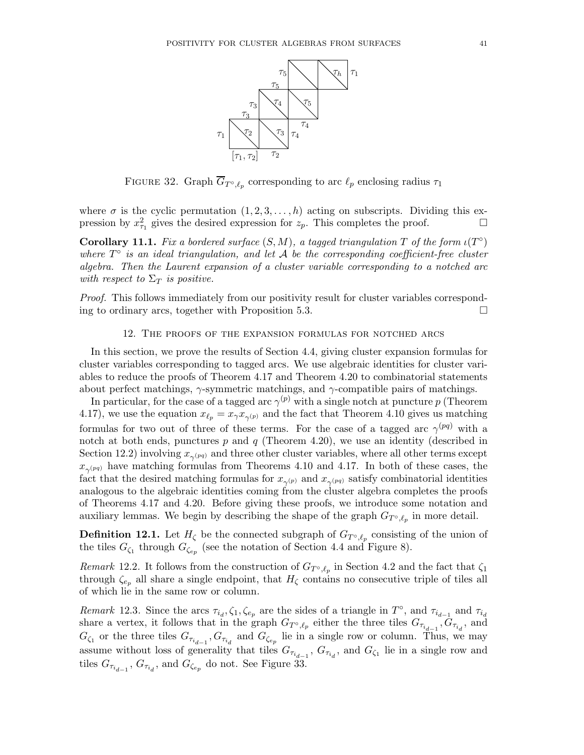

FIGURE 32. Graph  $\overline{G}_{T^{\circ},\ell_p}$  corresponding to arc  $\ell_p$  enclosing radius  $\tau_1$ 

where  $\sigma$  is the cyclic permutation  $(1, 2, 3, \ldots, h)$  acting on subscripts. Dividing this expression by  $x_{\tau_1}^2$  gives the desired expression for  $z_p$ . This completes the proof.

**Corollary 11.1.** Fix a bordered surface  $(S, M)$ , a tagged triangulation T of the form  $\iota(T^{\circ})$ where  $T^{\circ}$  is an ideal triangulation, and let A be the corresponding coefficient-free cluster algebra. Then the Laurent expansion of a cluster variable corresponding to a notched arc with respect to  $\Sigma_T$  is positive.

Proof. This follows immediately from our positivity result for cluster variables corresponding to ordinary arcs, together with Proposition 5.3.  $\Box$ 

#### 12. The proofs of the expansion formulas for notched arcs

In this section, we prove the results of Section 4.4, giving cluster expansion formulas for cluster variables corresponding to tagged arcs. We use algebraic identities for cluster variables to reduce the proofs of Theorem 4.17 and Theorem 4.20 to combinatorial statements about perfect matchings,  $\gamma$ -symmetric matchings, and  $\gamma$ -compatible pairs of matchings.

In particular, for the case of a tagged arc  $\gamma^{(p)}$  with a single notch at puncture p (Theorem 4.17), we use the equation  $x_{\ell_p} = x_{\gamma} x_{\gamma^{(p)}}$  and the fact that Theorem 4.10 gives us matching formulas for two out of three of these terms. For the case of a tagged arc  $\gamma^{(pq)}$  with a notch at both ends, punctures  $p$  and  $q$  (Theorem 4.20), we use an identity (described in Section 12.2) involving  $x_{\gamma^{(pq)}}$  and three other cluster variables, where all other terms except  $x_{\gamma^{(pq)}}$  have matching formulas from Theorems 4.10 and 4.17. In both of these cases, the fact that the desired matching formulas for  $x_{\gamma^{(p)}}$  and  $x_{\gamma^{(pq)}}$  satisfy combinatorial identities analogous to the algebraic identities coming from the cluster algebra completes the proofs of Theorems 4.17 and 4.20. Before giving these proofs, we introduce some notation and auxiliary lemmas. We begin by describing the shape of the graph  $G_{T^{\circ},\ell_p}$  in more detail.

**Definition 12.1.** Let  $H_{\zeta}$  be the connected subgraph of  $G_{T^{\circ}, \ell_p}$  consisting of the union of the tiles  $G_{\zeta_1}$  through  $G_{\zeta_{e_p}}$  (see the notation of Section 4.4 and Figure 8).

*Remark* 12.2. It follows from the construction of  $G_{T^{\circ}, \ell_p}$  in Section 4.2 and the fact that  $\zeta_1$ through  $\zeta_{e_p}$  all share a single endpoint, that  $H_{\zeta}$  contains no consecutive triple of tiles all of which lie in the same row or column.

Remark 12.3. Since the arcs  $\tau_{i_d}, \zeta_1, \zeta_{e_p}$  are the sides of a triangle in  $T^{\circ}$ , and  $\tau_{i_{d-1}}$  and  $\tau_{i_d}$ share a vertex, it follows that in the graph  $G_{T^{\circ},\ell_p}$  either the three tiles  $G_{\tau_{i_{d-1}}},G_{\tau_{i_d}},$  and  $G_{\zeta_1}$  or the three tiles  $G_{\tau_{i_{d-1}}}, G_{\tau_{i_d}}$  and  $G_{\zeta_{e_p}}$  lie in a single row or column. Thus, we may assume without loss of generality that tiles  $G_{\tau_{i_{d-1}}}$ ,  $G_{\tau_{i_d}}$ , and  $G_{\zeta_1}$  lie in a single row and tiles  $G_{\tau_{i_{d-1}}}, G_{\tau_{i_d}}$ , and  $G_{\zeta_{e_p}}$  do not. See Figure 33.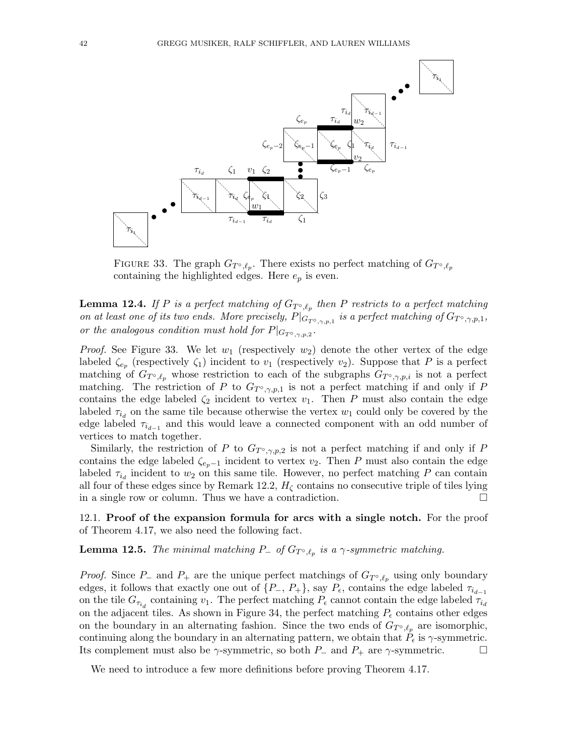

FIGURE 33. The graph  $G_{T^{\circ},\ell_p}$ . There exists no perfect matching of  $G_{T^{\circ},\ell_p}$ containing the highlighted edges. Here  $e_p$  is even.

**Lemma 12.4.** If P is a perfect matching of  $G_{T^{\circ},\ell_p}$  then P restricts to a perfect matching on at least one of its two ends. More precisely,  $P|_{G_{T^{\circ}, \gamma, p, 1}}$  is a perfect matching of  $G_{T^{\circ}, \gamma, p, 1}$ , or the analogous condition must hold for  $P|_{G_{T^{\circ}, \gamma, p, 2}}$ .

*Proof.* See Figure 33. We let  $w_1$  (respectively  $w_2$ ) denote the other vertex of the edge labeled  $\zeta_{e_p}$  (respectively  $\zeta_1$ ) incident to  $v_1$  (respectively  $v_2$ ). Suppose that P is a perfect matching of  $G_{T^{\circ}, \ell_p}$  whose restriction to each of the subgraphs  $G_{T^{\circ}, \gamma, p,i}$  is not a perfect matching. The restriction of P to  $G_{T^{\circ}, \gamma, p, 1}$  is not a perfect matching if and only if P contains the edge labeled  $\zeta_2$  incident to vertex  $v_1$ . Then P must also contain the edge labeled  $\tau_{i_d}$  on the same tile because otherwise the vertex  $w_1$  could only be covered by the edge labeled  $\tau_{i_{d-1}}$  and this would leave a connected component with an odd number of vertices to match together.

Similarly, the restriction of P to  $G_{T^{\circ}, \gamma, p, 2}$  is not a perfect matching if and only if P contains the edge labeled  $\zeta_{e_p-1}$  incident to vertex  $v_2$ . Then P must also contain the edge labeled  $\tau_{i_d}$  incident to  $w_2$  on this same tile. However, no perfect matching P can contain all four of these edges since by Remark 12.2,  $H_{\zeta}$  contains no consecutive triple of tiles lying in a single row or column. Thus we have a contradiction.

12.1. Proof of the expansion formula for arcs with a single notch. For the proof of Theorem 4.17, we also need the following fact.

**Lemma 12.5.** The minimal matching  $P_$  of  $G_{T^{\circ},\ell_p}$  is a  $\gamma$ -symmetric matching.

*Proof.* Since P<sub>-</sub> and P<sub>+</sub> are the unique perfect matchings of  $G_{T^{\circ}, \ell_p}$  using only boundary edges, it follows that exactly one out of  $\{P_-, P_+\}$ , say  $P_{\epsilon}$ , contains the edge labeled  $\tau_{i_{d-1}}$ on the tile  $G_{\tau_{i_d}}$  containing  $v_1$ . The perfect matching  $P_\epsilon$  cannot contain the edge labeled  $\tau_{i_d}$ on the adjacent tiles. As shown in Figure 34, the perfect matching  $P_{\epsilon}$  contains other edges on the boundary in an alternating fashion. Since the two ends of  $G_{T^{\circ},\ell_p}$  are isomorphic, continuing along the boundary in an alternating pattern, we obtain that  $P_{\epsilon}$  is  $\gamma$ -symmetric. Its complement must also be  $\gamma$ -symmetric, so both  $P_-\$  and  $P_+$  are  $\gamma$ -symmetric.

We need to introduce a few more definitions before proving Theorem 4.17.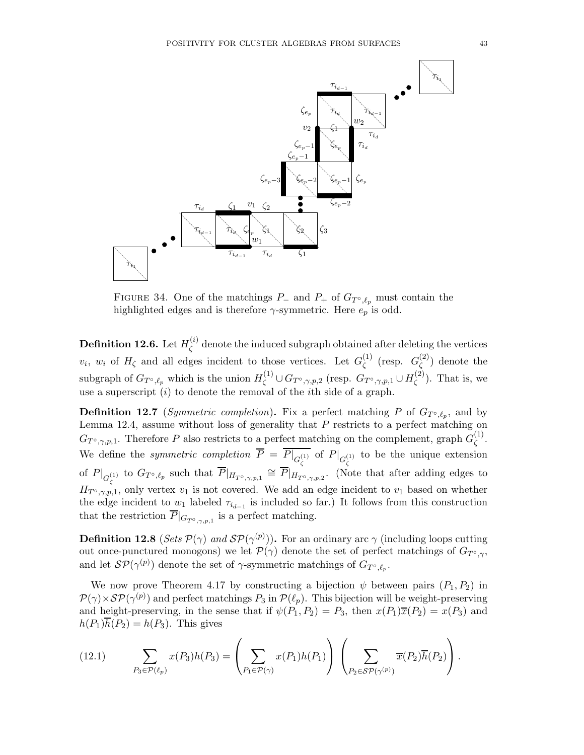

FIGURE 34. One of the matchings  $P_-\$  and  $P_+$  of  $G_{T^{\circ},\ell_p}$  must contain the highlighted edges and is therefore  $\gamma$ -symmetric. Here  $e_p$  is odd.

Definition 12.6. Let  $H^{(i)}_{\epsilon}$  $\zeta^{(i)}$  denote the induced subgraph obtained after deleting the vertices  $v_i, w_i$  of  $H_\zeta$  and all edges incident to those vertices. Let  $G_\zeta^{(1)}$  $\zeta^{(1)}$  (resp.  $G_{\zeta}^{(2)}$  $\zeta^{(2)}$  denote the subgraph of  $G_{T^{\circ},\ell_p}$  which is the union  $H_{\zeta}^{(1)} \cup G_{T^{\circ},\gamma,p,2}$  (resp.  $G_{T^{\circ},\gamma,p,1} \cup H_{\zeta}^{(2)}$  $\zeta^{(2)}$ ). That is, we use a superscript  $(i)$  to denote the removal of the *i*th side of a graph.

**Definition 12.7** (Symmetric completion). Fix a perfect matching P of  $G_{T^{\circ},\ell_p}$ , and by Lemma 12.4, assume without loss of generality that  $P$  restricts to a perfect matching on  $G_{T^{\circ}, \gamma, p, 1}$ . Therefore P also restricts to a perfect matching on the complement, graph  $G_{\zeta}^{(1)}$ ζ . We define the *symmetric completion*  $P = P|_{G_{\zeta}^{(1)}}$  of  $P|_{G_{\zeta}^{(1)}}$  to be the unique extension of  $P|_{G_{\zeta}^{(1)}}$  to  $G_{T^{\circ},\ell_p}$  such that  $\overline{P}|_{H_{T^{\circ},\gamma,p,1}} \cong \overline{P}|_{H_{T^{\circ},\gamma,p,2}}$ . (Note that after adding edges to  $H_{T^{\circ},\gamma,p,1}$ , only vertex  $v_1$  is not covered. We add an edge incident to  $v_1$  based on whether the edge incident to  $w_1$  labeled  $\tau_{i_{d-1}}$  is included so far.) It follows from this construction that the restriction  $P|_{G_{T^{\circ}, \gamma, p, 1}}$  is a perfect matching.

**Definition 12.8** (Sets  $\mathcal{P}(\gamma)$  and  $\mathcal{SP}(\gamma^{(p)}))$ ). For an ordinary arc  $\gamma$  (including loops cutting out once-punctured monogons) we let  $\mathcal{P}(\gamma)$  denote the set of perfect matchings of  $G_{T^{\circ},\gamma}$ , and let  $\mathcal{SP}(\gamma^{(p)})$  denote the set of  $\gamma$ -symmetric matchings of  $G_{T^{\circ}, \ell_p}$ .

We now prove Theorem 4.17 by constructing a bijection  $\psi$  between pairs  $(P_1, P_2)$  in  $\mathcal{P}(\gamma) \times \mathcal{SP}(\gamma^{(p)})$  and perfect matchings  $P_3$  in  $\mathcal{P}(\ell_p)$ . This bijection will be weight-preserving and height-preserving, in the sense that if  $\psi(P_1, P_2) = P_3$ , then  $x(P_1)\overline{x}(P_2) = x(P_3)$  and  $h(P_1)\overline{h}(P_2) = h(P_3)$ . This gives

(12.1) 
$$
\sum_{P_3 \in \mathcal{P}(\ell_p)} x(P_3)h(P_3) = \left(\sum_{P_1 \in \mathcal{P}(\gamma)} x(P_1)h(P_1)\right) \left(\sum_{P_2 \in \mathcal{SP}(\gamma^{(p)})} \overline{x}(P_2)\overline{h}(P_2)\right).
$$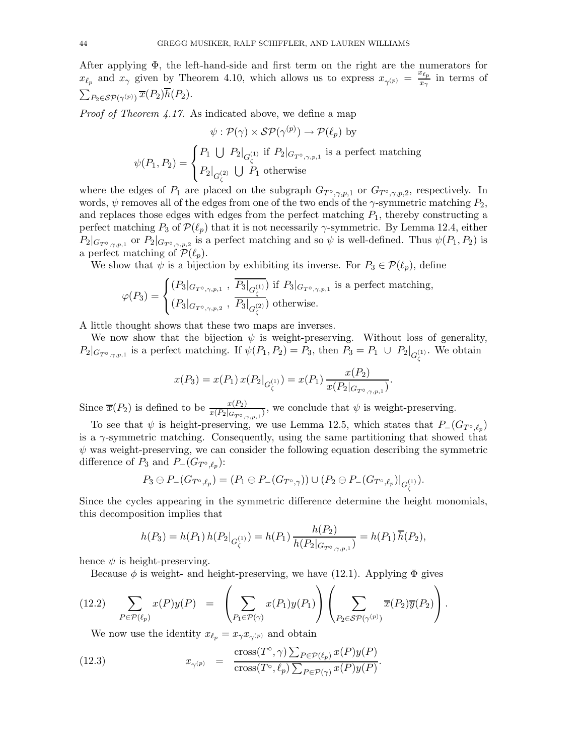After applying  $\Phi$ , the left-hand-side and first term on the right are the numerators for  $x_{\ell_p}$  and  $x_{\gamma}$  given by Theorem 4.10, which allows us to express  $x_{\gamma^{(p)}} = \frac{x_{\ell_p}}{x_{\gamma}}$  $rac{v_{\ell p}}{x_{\gamma}}$  in terms of  $\sum_{P_2\in \mathcal{SP}(\gamma^{(p)})}\overline{x}(P_2)\overline{h}(P_2).$ 

Proof of Theorem 4.17. As indicated above, we define a map

$$
\psi : \mathcal{P}(\gamma) \times \mathcal{SP}(\gamma^{(p)}) \to \mathcal{P}(\ell_p) \text{ by}
$$

$$
\psi(P_1, P_2) = \begin{cases} P_1 \cup P_2|_{G_{\zeta}^{(1)}} \text{ if } P_2|_{G_{T^{\circ}, \gamma, p, 1}} \text{ is a perfect matching} \\ P_2|_{G_{\zeta}^{(2)}} \cup P_1 \text{ otherwise} \end{cases}
$$

where the edges of  $P_1$  are placed on the subgraph  $G_{T^{\circ}, \gamma, p, 1}$  or  $G_{T^{\circ}, \gamma, p, 2}$ , respectively. In words,  $\psi$  removes all of the edges from one of the two ends of the  $\gamma$ -symmetric matching  $P_2$ , and replaces those edges with edges from the perfect matching  $P_1$ , thereby constructing a perfect matching  $P_3$  of  $\mathcal{P}(\ell_p)$  that it is not necessarily  $\gamma$ -symmetric. By Lemma 12.4, either  $P_2|_{G_{T^{\circ},\gamma,p,1}}$  or  $P_2|_{G_{T^{\circ},\gamma,p,2}}$  is a perfect matching and so  $\psi$  is well-defined. Thus  $\psi(P_1,P_2)$  is a perfect matching of  $\mathcal{P}(\ell_p)$ .

We show that  $\psi$  is a bijection by exhibiting its inverse. For  $P_3 \in \mathcal{P}(\ell_p)$ , define

$$
\varphi(P_3) = \begin{cases} (P_3|_{G_{T^{\circ},\gamma,p,1}} \text{ , } \overline{P_3|_{G_{\zeta}^{(1)}}}) \text{ if } P_3|_{G_{T^{\circ},\gamma,p,1}} \text{ is a perfect matching,} \\ (P_3|_{G_{T^{\circ},\gamma,p,2}} \text{ , } \overline{P_3|_{G_{\zeta}^{(2)}}}) \text{ otherwise.} \end{cases}
$$

A little thought shows that these two maps are inverses.

We now show that the bijection  $\psi$  is weight-preserving. Without loss of generality,  $P_2|_{G_{T^{\circ},\gamma,p,1}}$  is a perfect matching. If  $\psi(P_1,P_2)=P_3$ , then  $P_3=P_1 \cup P_2|_{G_{\zeta}}^{(1)}$ . We obtain

$$
x(P_3) = x(P_1) x(P_2|_{G_{\zeta}}^{(1)}) = x(P_1) \frac{x(P_2)}{x(P_2|_{G_{T^{\circ}, \gamma, p, 1}})}.
$$

Since  $\overline{x}(P_2)$  is defined to be  $\frac{x(P_2)}{x(P_2|_{G_{T^o, \gamma, p, 1}})}$ , we conclude that  $\psi$  is weight-preserving.

To see that  $\psi$  is height-preserving, we use Lemma 12.5, which states that  $P_{-}(G_{T^{\circ},\ell_{p}})$ is a  $\gamma$ -symmetric matching. Consequently, using the same partitioning that showed that  $\psi$  was weight-preserving, we can consider the following equation describing the symmetric difference of  $P_3$  and  $P_-(G_{T^{\circ},\ell_p})$ :

$$
P_3\ominus P_-(G_{T^\circ,\ell_p})=(P_1\ominus P_-(G_{T^\circ,\gamma}))\cup (P_2\ominus P_-(G_{T^\circ,\ell_p})|_{G_{\zeta}^{(1)}}).
$$

Since the cycles appearing in the symmetric difference determine the height monomials, this decomposition implies that

$$
h(P_3) = h(P_1) h(P_2|_{G_{\zeta}^{(1)}}) = h(P_1) \frac{h(P_2)}{h(P_2|_{G_{T^{\circ}, \gamma, p, 1}})} = h(P_1) \overline{h}(P_2),
$$

hence  $\psi$  is height-preserving.

Because  $\phi$  is weight- and height-preserving, we have (12.1). Applying  $\Phi$  gives

(12.2) 
$$
\sum_{P \in \mathcal{P}(\ell_p)} x(P)y(P) = \left( \sum_{P_1 \in \mathcal{P}(\gamma)} x(P_1)y(P_1) \right) \left( \sum_{P_2 \in \mathcal{SP}(\gamma^{(p)})} \overline{x}(P_2)\overline{y}(P_2) \right).
$$

We now use the identity  $x_{\ell_p} = x_{\gamma} x_{\gamma^{(p)}}$  and obtain

(12.3) 
$$
x_{\gamma^{(p)}} = \frac{\text{cross}(T^{\circ}, \gamma) \sum_{P \in \mathcal{P}(\ell_p)} x(P)y(P)}{\text{cross}(T^{\circ}, \ell_p) \sum_{P \in \mathcal{P}(\gamma)} x(P)y(P)}.
$$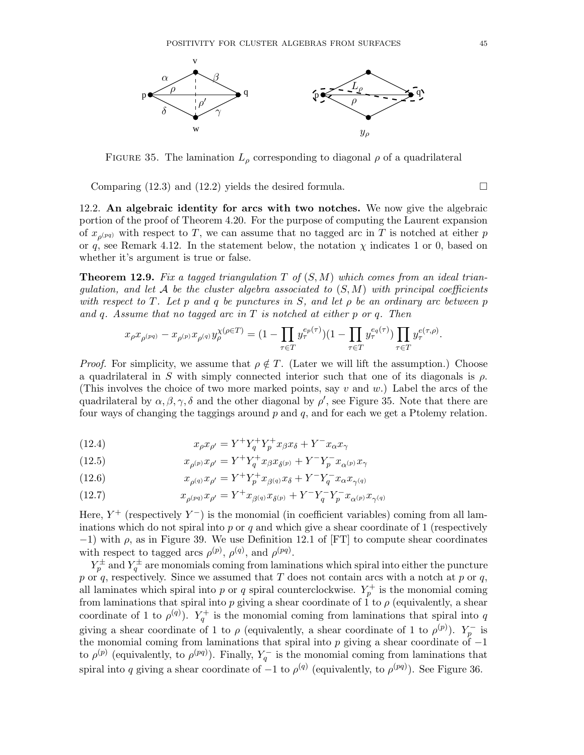

FIGURE 35. The lamination  $L_\rho$  corresponding to diagonal  $\rho$  of a quadrilateral

Comparing  $(12.3)$  and  $(12.2)$  yields the desired formula.

12.2. An algebraic identity for arcs with two notches. We now give the algebraic portion of the proof of Theorem 4.20. For the purpose of computing the Laurent expansion of  $x_{\rho^{(pq)}}$  with respect to T, we can assume that no tagged arc in T is notched at either p or q, see Remark 4.12. In the statement below, the notation  $\chi$  indicates 1 or 0, based on whether it's argument is true or false.

**Theorem 12.9.** Fix a tagged triangulation T of  $(S, M)$  which comes from an ideal trianqulation, and let A be the cluster algebra associated to  $(S, M)$  with principal coefficients with respect to T. Let p and q be punctures in S, and let  $\rho$  be an ordinary arc between p and q. Assume that no tagged arc in  $T$  is notched at either  $p$  or  $q$ . Then

$$
x_{\rho} x_{\rho^{(pq)}} - x_{\rho^{(p)}} x_{\rho^{(q)}} y_{\rho}^{\chi(\rho \in T)} = (1 - \prod_{\tau \in T} y_{\tau}^{e_p(\tau)}) (1 - \prod_{\tau \in T} y_{\tau}^{e_q(\tau)}) \prod_{\tau \in T} y_{\tau}^{e(\tau,\rho)}.
$$

*Proof.* For simplicity, we assume that  $\rho \notin T$ . (Later we will lift the assumption.) Choose a quadrilateral in S with simply connected interior such that one of its diagonals is  $\rho$ . (This involves the choice of two more marked points, say v and w.) Label the arcs of the quadrilateral by  $\alpha, \beta, \gamma, \delta$  and the other diagonal by  $\rho'$ , see Figure 35. Note that there are four ways of changing the taggings around  $p$  and  $q$ , and for each we get a Ptolemy relation.

(12.4) 
$$
x_{\rho} x_{\rho'} = Y^{+} Y_{q}^{+} Y_{p}^{+} x_{\beta} x_{\delta} + Y^{-} x_{\alpha} x_{\gamma}
$$

(12.5) 
$$
x_{\rho^{(p)}} x_{\rho'} = Y^+ Y_q^+ x_{\beta} x_{\delta^{(p)}} + Y^- Y_p^- x_{\alpha^{(p)}} x_{\gamma}
$$

(12.6) 
$$
x_{\rho^{(q)}} x_{\rho'} = Y^+ Y_p^+ x_{\beta^{(q)}} x_{\delta} + Y^- Y_q^- x_{\alpha} x_{\gamma^{(q)}}
$$

(12.7) 
$$
x_{\rho^{(pq)}} x_{\rho'} = Y^+ x_{\beta^{(q)}} x_{\delta^{(p)}} + Y^- Y^-_q Y^-_p x_{\alpha^{(p)}} x_{\gamma^{(q)}}
$$

Here,  $Y^+$  (respectively  $Y^-$ ) is the monomial (in coefficient variables) coming from all laminations which do not spiral into p or q and which give a shear coordinate of 1 (respectively  $-1$ ) with  $\rho$ , as in Figure 39. We use Definition 12.1 of [FT] to compute shear coordinates with respect to tagged arcs  $\rho^{(p)}$ ,  $\rho^{(q)}$ , and  $\rho^{(pq)}$ .

 $Y^{\pm}_p$  and  $Y^{\pm}_q$  are monomials coming from laminations which spiral into either the puncture p or q, respectively. Since we assumed that T does not contain arcs with a notch at p or q, all laminates which spiral into p or q spiral counterclockwise.  $Y_p^+$  is the monomial coming from laminations that spiral into p giving a shear coordinate of 1 to  $\rho$  (equivalently, a shear coordinate of 1 to  $\rho^{(q)}$ ).  $Y_q^+$  is the monomial coming from laminations that spiral into q giving a shear coordinate of 1 to  $\rho$  (equivalently, a shear coordinate of 1 to  $\rho^{(p)}$ ).  $Y_p^-$  is the monomial coming from laminations that spiral into p giving a shear coordinate of  $-1$ to  $\rho^{(p)}$  (equivalently, to  $\rho^{(pq)}$ ). Finally,  $Y_q^-$  is the monomial coming from laminations that spiral into q giving a shear coordinate of  $-1$  to  $\rho^{(q)}$  (equivalently, to  $\rho^{(pq)}$ ). See Figure 36.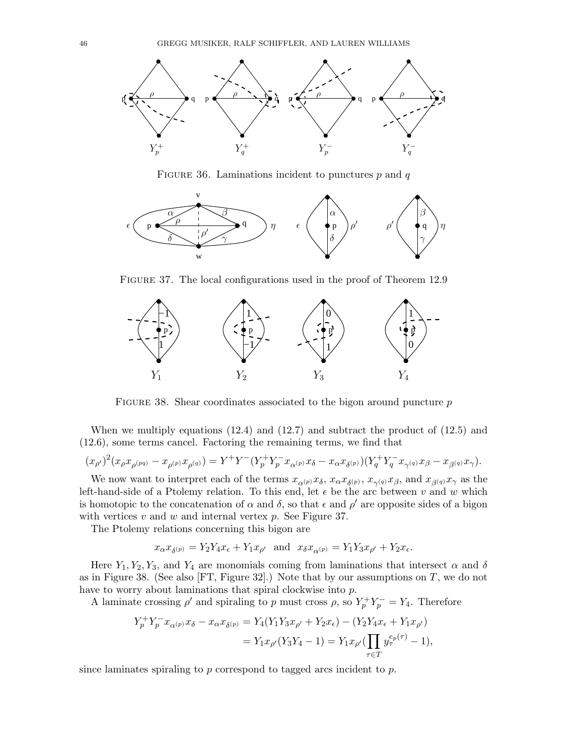

FIGURE 36. Laminations incident to punctures  $p$  and  $q$ 



FIGURE 37. The local configurations used in the proof of Theorem 12.9



FIGURE 38. Shear coordinates associated to the bigon around puncture  $p$ 

When we multiply equations  $(12.4)$  and  $(12.7)$  and subtract the product of  $(12.5)$  and (12.6), some terms cancel. Factoring the remaining terms, we find that

$$
(x_{\rho'})^2(x_{\rho}x_{\rho^{(pq)}} - x_{\rho^{(p)}}x_{\rho^{(q)}}) = Y^+Y^-(Y_p^+Y_p^- x_{\alpha^{(p)}}x_{\delta} - x_{\alpha}x_{\delta^{(p)}})(Y_q^+Y_q^- x_{\gamma^{(q)}}x_{\beta} - x_{\beta^{(q)}}x_{\gamma}).
$$

We now want to interpret each of the terms  $x_{\alpha^{(p)}}x_{\delta}$ ,  $x_{\alpha}x_{\delta^{(p)}}, x_{\gamma^{(q)}}x_{\beta}$ , and  $x_{\beta^{(q)}}x_{\gamma}$  as the left-hand-side of a Ptolemy relation. To this end, let  $\epsilon$  be the arc between v and w which is homotopic to the concatenation of  $\alpha$  and  $\delta$ , so that  $\epsilon$  and  $\rho'$  are opposite sides of a bigon with vertices  $v$  and  $w$  and internal vertex  $p$ . See Figure 37.

The Ptolemy relations concerning this bigon are

 $x_{\alpha}x_{\delta^{(p)}} = Y_2Y_4x_{\epsilon} + Y_1x_{\rho'}$  and  $x_{\delta}x_{\alpha^{(p)}} = Y_1Y_3x_{\rho'} + Y_2x_{\epsilon}$ .

Here  $Y_1, Y_2, Y_3$ , and  $Y_4$  are monomials coming from laminations that intersect  $\alpha$  and  $\delta$ as in Figure 38. (See also [FT, Figure 32].) Note that by our assumptions on  $T$ , we do not have to worry about laminations that spiral clockwise into p.

A laminate crossing  $\rho'$  and spiraling to p must cross  $\rho$ , so  $Y_p^+Y_p^- = Y_4$ . Therefore

$$
Y_p^+ Y_p^- x_{\alpha^{(p)}} x_{\delta} - x_{\alpha} x_{\delta^{(p)}} = Y_4 (Y_1 Y_3 x_{\rho'} + Y_2 x_{\epsilon}) - (Y_2 Y_4 x_{\epsilon} + Y_1 x_{\rho'})
$$
  
= 
$$
Y_1 x_{\rho'} (Y_3 Y_4 - 1) = Y_1 x_{\rho'} (\prod_{\tau \in T} y_{\tau}^{e_p(\tau)} - 1),
$$

since laminates spiraling to  $p$  correspond to tagged arcs incident to  $p$ .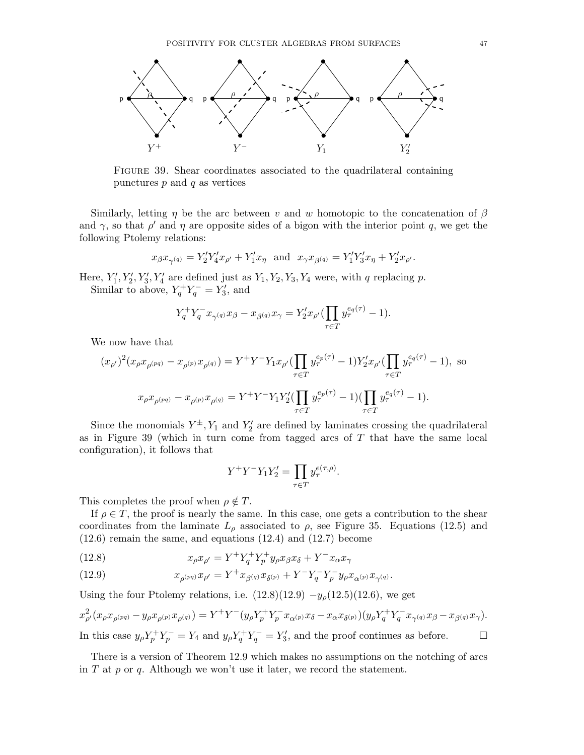

Figure 39. Shear coordinates associated to the quadrilateral containing punctures  $p$  and  $q$  as vertices

Similarly, letting  $\eta$  be the arc between v and w homotopic to the concatenation of  $\beta$ and  $\gamma$ , so that  $\rho'$  and  $\eta$  are opposite sides of a bigon with the interior point q, we get the following Ptolemy relations:

$$
x_{\beta}x_{\gamma^{(q)}} = Y_2'Y_4'x_{\rho'} + Y_1'x_{\eta} \text{ and } x_{\gamma}x_{\beta^{(q)}} = Y_1'Y_3'x_{\eta} + Y_2'x_{\rho'}.
$$

Here,  $Y'_1, Y'_2, Y'_3, Y'_4$  are defined just as  $Y_1, Y_2, Y_3, Y_4$  were, with q replacing p. Similar to above,  $Y_q^+ Y_q^- = Y_3'$ , and

$$
Y_q^+ Y_q^- x_{\gamma^{(q)}} x_{\beta} - x_{\beta^{(q)}} x_{\gamma} = Y_2' x_{\rho'} (\prod_{\tau \in T} y_{\tau}^{e_q(\tau)} - 1).
$$

We now have that

$$
(x_{\rho'})^2 (x_{\rho} x_{\rho^{(pq)}} - x_{\rho^{(p)}} x_{\rho^{(q)}}) = Y^+ Y^- Y_1 x_{\rho'} (\prod_{\tau \in T} y_{\tau}^{e_p(\tau)} - 1) Y_2' x_{\rho'} (\prod_{\tau \in T} y_{\tau}^{e_q(\tau)} - 1), \text{ so}
$$
  

$$
x_{\rho} x_{\rho^{(pq)}} - x_{\rho^{(p)}} x_{\rho^{(q)}} = Y^+ Y^- Y_1 Y_2' (\prod_{\tau \in T} y_{\tau}^{e_p(\tau)} - 1) (\prod_{\tau \in T} y_{\tau}^{e_q(\tau)} - 1).
$$

Since the monomials  $Y^{\pm}$ ,  $Y_1$  and  $Y_2'$  are defined by laminates crossing the quadrilateral as in Figure 39 (which in turn come from tagged arcs of  $T$  that have the same local configuration), it follows that

$$
Y^+Y^-Y_1Y_2' = \prod_{\tau \in T} y_\tau^{e(\tau,\rho)}.
$$

This completes the proof when  $\rho \notin T$ .

If  $\rho \in T$ , the proof is nearly the same. In this case, one gets a contribution to the shear coordinates from the laminate  $L_{\rho}$  associated to  $\rho$ , see Figure 35. Equations (12.5) and (12.6) remain the same, and equations (12.4) and (12.7) become

(12.8) 
$$
x_{\rho}x_{\rho'} = Y^+Y_q^+Y_p^+y_{\rho}x_{\beta}x_{\delta} + Y^-x_{\alpha}x_{\gamma}
$$

(12.9) 
$$
x_{\rho^{(pq)}} x_{\rho'} = Y^+ x_{\beta^{(q)}} x_{\delta^{(p)}} + Y^- Y^-_q Y^-_p y_{\rho} x_{\alpha^{(p)}} x_{\gamma^{(q)}}.
$$

Using the four Ptolemy relations, i.e.  $(12.8)(12.9) - y<sub>\rho</sub>(12.5)(12.6)$ , we get

$$
x_{\rho'}^2(x_{\rho}x_{\rho^{(pq)}} - y_{\rho}x_{\rho^{(p)}}x_{\rho^{(q)}}) = Y^+Y^-(y_{\rho}Y_p^+Y_p^-x_{\alpha^{(p)}}x_{\delta} - x_{\alpha}x_{\delta^{(p)}})(y_{\rho}Y_q^+Y_q^-x_{\gamma^{(q)}}x_{\beta} - x_{\beta^{(q)}}x_{\gamma}).
$$
  
In this case  $y_{\rho}Y_p^+Y_p^- = Y_4$  and  $y_{\rho}Y_q^+Y_q^- = Y_3'$ , and the proof continues as before.

There is a version of Theorem 12.9 which makes no assumptions on the notching of arcs in  $T$  at  $p$  or  $q$ . Although we won't use it later, we record the statement.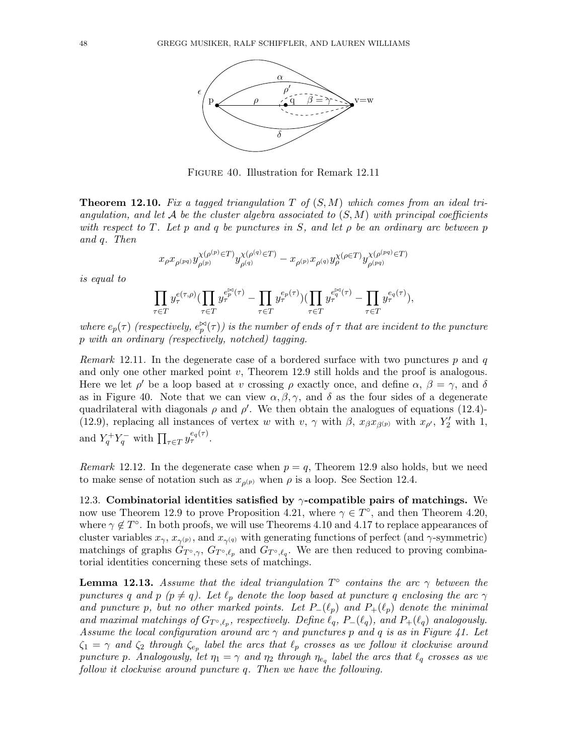

Figure 40. Illustration for Remark 12.11

**Theorem 12.10.** Fix a tagged triangulation T of  $(S, M)$  which comes from an ideal triangulation, and let A be the cluster algebra associated to  $(S, M)$  with principal coefficients with respect to T. Let p and q be punctures in S, and let  $\rho$  be an ordinary arc between p and q. Then

$$
x_{\rho} x_{\rho^{(pq)}} y_{\rho^{(p)}}^{\chi(\rho^{(p)} \in T)} y_{\rho^{(q)}}^{\chi(\rho^{(q)} \in T)} - x_{\rho^{(p)}} x_{\rho^{(q)}} y_{\rho}^{\chi(\rho \in T)} y_{\rho^{(pq)}}^{\chi(\rho^{(pq)} \in T)}
$$

is equal to

$$
\prod_{\tau \in T} y_\tau^{e(\tau,\rho)}(\prod_{\tau \in T} y_\tau^{e_p^{\bowtie}(\tau)} - \prod_{\tau \in T} y_\tau^{e_p(\tau)})(\prod_{\tau \in T} y_\tau^{e_q^{\bowtie}(\tau)} - \prod_{\tau \in T} y_\tau^{e_q(\tau)}),
$$

where  $e_p(\tau)$  (respectively,  $e_p^{\bowtie}(\tau)$ ) is the number of ends of  $\tau$  that are incident to the puncture p with an ordinary (respectively, notched) tagging.

*Remark* 12.11. In the degenerate case of a bordered surface with two punctures  $p$  and  $q$ and only one other marked point v, Theorem 12.9 still holds and the proof is analogous. Here we let  $\rho'$  be a loop based at v crossing  $\rho$  exactly once, and define  $\alpha, \beta = \gamma$ , and  $\delta$ as in Figure 40. Note that we can view  $\alpha, \beta, \gamma$ , and  $\delta$  as the four sides of a degenerate quadrilateral with diagonals  $\rho$  and  $\rho'$ . We then obtain the analogues of equations (12.4)-(12.9), replacing all instances of vertex w with v,  $\gamma$  with  $\beta$ ,  $x_{\beta}x_{\beta(p)}$  with  $x_{\rho'}$ ,  $Y'_2$  with 1, and  $Y_q^+ Y_q^-$  with  $\prod_{\tau \in T} y_{\tau}^{e_q(\tau)}$ .

Remark 12.12. In the degenerate case when  $p = q$ , Theorem 12.9 also holds, but we need to make sense of notation such as  $x_{\rho^{(p)}}$  when  $\rho$  is a loop. See Section 12.4.

12.3. Combinatorial identities satisfied by  $\gamma$ -compatible pairs of matchings. We now use Theorem 12.9 to prove Proposition 4.21, where  $\gamma \in T^{\circ}$ , and then Theorem 4.20, where  $\gamma \notin T^{\circ}$ . In both proofs, we will use Theorems 4.10 and 4.17 to replace appearances of cluster variables  $x_{\gamma}$ ,  $x_{\gamma^{(p)}}$ , and  $x_{\gamma^{(q)}}$  with generating functions of perfect (and  $\gamma$ -symmetric) matchings of graphs  $G_{T^{\circ},\gamma}$ ,  $G_{T^{\circ},\ell_p}$  and  $G_{T^{\circ},\ell_q}$ . We are then reduced to proving combinatorial identities concerning these sets of matchings.

**Lemma 12.13.** Assume that the ideal triangulation  $T^{\circ}$  contains the arc  $\gamma$  between the punctures q and p ( $p \neq q$ ). Let  $\ell_p$  denote the loop based at puncture q enclosing the arc  $\gamma$ and puncture p, but no other marked points. Let  $P_{-}(\ell_p)$  and  $P_{+}(\ell_p)$  denote the minimal and maximal matchings of  $G_{T^{\circ}, \ell_p}$ , respectively. Define  $\ell_q$ ,  $P_{-}(\ell_q)$ , and  $P_{+}(\ell_q)$  analogously. Assume the local configuration around arc  $\gamma$  and punctures p and q is as in Figure 41. Let  $\zeta_1 = \gamma$  and  $\zeta_2$  through  $\zeta_{e_p}$  label the arcs that  $\ell_p$  crosses as we follow it clockwise around puncture p. Analogously, let  $\eta_1 = \gamma$  and  $\eta_2$  through  $\eta_{e_q}$  label the arcs that  $\ell_q$  crosses as we follow it clockwise around puncture q. Then we have the following.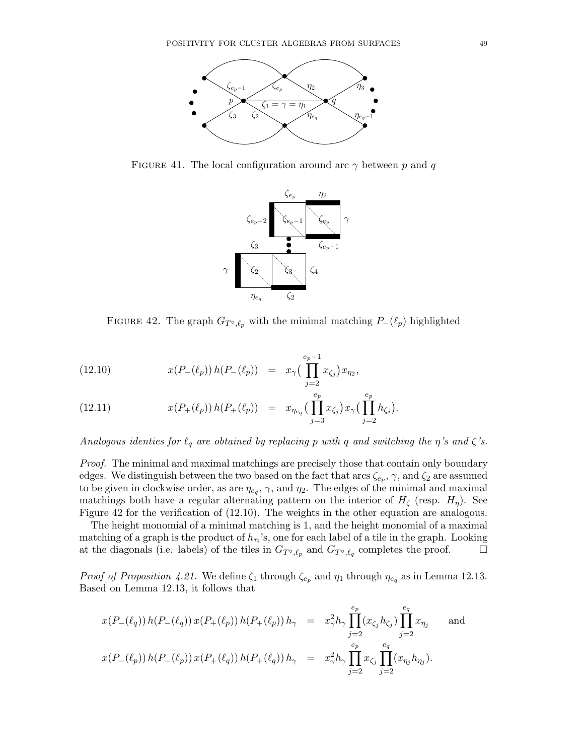

FIGURE 41. The local configuration around arc  $\gamma$  between p and q



FIGURE 42. The graph  $G_{T^{\circ}, \ell_p}$  with the minimal matching  $P_{-}(\ell_p)$  highlighted

(12.10) 
$$
x(P_{-}(\ell_{p})) h(P_{-}(\ell_{p})) = x_{\gamma} \left( \prod_{j=2}^{e_{p}-1} x_{\zeta_{j}} \right) x_{\eta_{2}},
$$

(12.11) 
$$
x(P_{+}(\ell_{p})) h(P_{+}(\ell_{p})) = x_{\eta_{e_{q}}} \left( \prod_{j=3}^{e_{p}} x_{\zeta_{j}} \right) x_{\gamma} \left( \prod_{j=2}^{e_{p}} h_{\zeta_{j}} \right).
$$

# Analogous identies for  $\ell_q$  are obtained by replacing p with q and switching the  $\eta$ 's and  $\zeta$ 's.

Proof. The minimal and maximal matchings are precisely those that contain only boundary edges. We distinguish between the two based on the fact that arcs  $\zeta_{e_p}$ ,  $\gamma$ , and  $\zeta_2$  are assumed to be given in clockwise order, as are  $\eta_{e_q}$ ,  $\gamma$ , and  $\eta_2$ . The edges of the minimal and maximal matchings both have a regular alternating pattern on the interior of  $H_{\zeta}$  (resp.  $H_{\eta}$ ). See Figure 42 for the verification of (12.10). The weights in the other equation are analogous.

The height monomial of a minimal matching is 1, and the height monomial of a maximal matching of a graph is the product of  $h_{\tau_i}$ 's, one for each label of a tile in the graph. Looking at the diagonals (i.e. labels) of the tiles in  $G_{T^{\circ}, \ell_p}$  and  $G_{T^{\circ}, \ell_q}$  completes the proof.

*Proof of Proposition 4.21.* We define  $\zeta_1$  through  $\zeta_{e_p}$  and  $\eta_1$  through  $\eta_{e_q}$  as in Lemma 12.13. Based on Lemma 12.13, it follows that

$$
x(P_{-}(\ell_{q})) h(P_{-}(\ell_{q})) x(P_{+}(\ell_{p})) h(P_{+}(\ell_{p})) h_{\gamma} = x_{\gamma}^{2} h_{\gamma} \prod_{j=2}^{e_{p}} (x_{\zeta_{j}} h_{\zeta_{j}}) \prod_{j=2}^{e_{q}} x_{\eta_{j}} \quad \text{and}
$$
  

$$
x(P_{-}(\ell_{p})) h(P_{-}(\ell_{p})) x(P_{+}(\ell_{q})) h(P_{+}(\ell_{q})) h_{\gamma} = x_{\gamma}^{2} h_{\gamma} \prod_{j=2}^{e_{p}} x_{\zeta_{j}} \prod_{j=2}^{e_{q}} (x_{\eta_{j}} h_{\eta_{j}}).
$$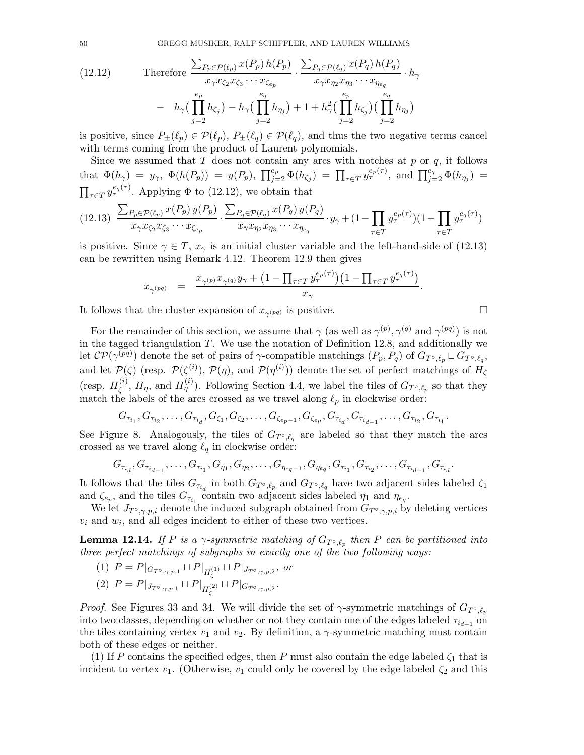50 GREGG MUSIKER, RALF SCHIFFLER, AND LAUREN WILLIAMS

(12.12) Therefore 
$$
\frac{\sum_{P_p \in \mathcal{P}(\ell_p)} x(P_p) h(P_p)}{x_{\gamma} x_{\zeta_2} x_{\zeta_3} \cdots x_{\zeta_{e_p}} \cdot \frac{\sum_{P_q \in \mathcal{P}(\ell_q)} x(P_q) h(P_q)}{x_{\gamma} x_{\eta_2} x_{\eta_3} \cdots x_{\eta_{e_q}}}
$$

$$
- h_{\gamma} \Big( \prod_{j=2}^{e_p} h_{\zeta_j} \Big) - h_{\gamma} \Big( \prod_{j=2}^{e_q} h_{\eta_j} \Big) + 1 + h_{\gamma}^2 \Big( \prod_{j=2}^{e_p} h_{\zeta_j} \Big) \Big( \prod_{j=2}^{e_q} h_{\eta_j} \Big)
$$

is positive, since  $P_{\pm}(\ell_p) \in \mathcal{P}(\ell_p)$ ,  $P_{\pm}(\ell_q) \in \mathcal{P}(\ell_q)$ , and thus the two negative terms cancel with terms coming from the product of Laurent polynomials.

Since we assumed that  $T$  does not contain any arcs with notches at  $p$  or  $q$ , it follows that  $\Phi(h_{\gamma}) = y_{\gamma}$ ,  $\Phi(h(P_p)) = y(P_p)$ ,  $\prod_{j=2}^{e_p} \Phi(h_{\zeta_j}) = \prod_{\tau \in T} y_{\tau}^{e_p(\tau)}$ , and  $\prod_{j=2}^{e_q} \Phi(h_{\eta_j}) =$  $\prod_{\tau \in T} y_{\tau}^{e_q(\tau)}$ . Applying  $\Phi$  to (12.12), we obtain that

$$
(12.13) \frac{\sum_{P_p \in \mathcal{P}(\ell_p)} x(P_p) y(P_p)}{x_{\gamma} x_{\zeta_2} x_{\zeta_3} \cdots x_{\zeta_{e_p}}} \cdot \frac{\sum_{P_q \in \mathcal{P}(\ell_q)} x(P_q) y(P_q)}{x_{\gamma} x_{\eta_2} x_{\eta_3} \cdots x_{\eta_{e_q}}} \cdot y_{\gamma} + (1 - \prod_{\tau \in T} y_{\tau}^{e_p(\tau)}) (1 - \prod_{\tau \in T} y_{\tau}^{e_q(\tau)})
$$

is positive. Since  $\gamma \in T$ ,  $x_{\gamma}$  is an initial cluster variable and the left-hand-side of (12.13) can be rewritten using Remark 4.12. Theorem 12.9 then gives

$$
x_{\gamma^{(pq)}} = \frac{x_{\gamma^{(p)}} x_{\gamma^{(q)}} y_\gamma + \left(1 - \prod_{\tau \in T} y_\tau^{e_p(\tau)}\right) \left(1 - \prod_{\tau \in T} y_\tau^{e_q(\tau)}\right)}{x_\gamma}.
$$

It follows that the cluster expansion of  $x_{\gamma(pq)}$  is positive.

For the remainder of this section, we assume that  $\gamma$  (as well as  $\gamma^{(p)}, \gamma^{(q)}$  and  $\gamma^{(pq)}$ ) is not in the tagged triangulation T. We use the notation of Definition 12.8, and additionally we let  $\mathcal{CP}(\gamma^{(pq)})$  denote the set of pairs of  $\gamma$ -compatible matchings  $(P_p, P_q)$  of  $G_{T^{\circ}, \ell_p} \sqcup G_{T^{\circ}, \ell_q}$ , and let  $\mathcal{P}(\zeta)$  (resp.  $\mathcal{P}(\zeta^{(i)})$ ,  $\mathcal{P}(\eta)$ , and  $\mathcal{P}(\eta^{(i)})$ ) denote the set of perfect matchings of  $H_{\zeta}$ (resp.  $H_{\zeta}^{(i)}$  $\chi^{(i)}_j$ ,  $H_{\eta}$ , and  $H_{\eta}^{(i)}$ ). Following Section 4.4, we label the tiles of  $G_{T^{\circ},\ell_p}$  so that they match the labels of the arcs crossed as we travel along  $\ell_p$  in clockwise order:

 $G_{\tau_{i_1}}, G_{\tau_{i_2}}, \ldots, G_{\tau_{i_d}}, G_{\zeta_1}, G_{\zeta_2}, \ldots, G_{\zeta_{e_p-1}}, G_{\zeta_{e_p}}, G_{\tau_{i_d}}, G_{\tau_{i_{d-1}}}, \ldots, G_{\tau_{i_2}}, G_{\tau_{i_1}}.$ 

See Figure 8. Analogously, the tiles of  $G_{T^{\circ},\ell_q}$  are labeled so that they match the arcs crossed as we travel along  $\ell_q$  in clockwise order:

$$
G_{\tau_{i_d}}, G_{\tau_{i_{d-1}}}, \ldots, G_{\tau_{i_1}}, G_{\eta_1}, G_{\eta_2}, \ldots, G_{\eta_{e_q-1}}, G_{\eta_{e_q}}, G_{\tau_{i_1}}, G_{\tau_{i_2}}, \ldots, G_{\tau_{i_{d-1}}}, G_{\tau_{i_d}}.
$$

It follows that the tiles  $G_{\tau_{i_d}}$  in both  $G_{T^{\circ}, \ell_p}$  and  $G_{T^{\circ}, \ell_q}$  have two adjacent sides labeled  $\zeta_1$ and  $\zeta_{e_p}$ , and the tiles  $G_{\tau_{i_1}}$  contain two adjacent sides labeled  $\eta_1$  and  $\eta_{e_q}$ .

We let  $J_{T^{\circ},\gamma,p,i}$  denote the induced subgraph obtained from  $G_{T^{\circ},\gamma,p,i}$  by deleting vertices  $v_i$  and  $w_i$ , and all edges incident to either of these two vertices.

**Lemma 12.14.** If P is a  $\gamma$ -symmetric matching of  $G_{T^{\circ},\ell_p}$  then P can be partitioned into three perfect matchings of subgraphs in exactly one of the two following ways:

$$
(1) \ P = P|_{G_{T^{\circ}, \gamma, p, 1}} \sqcup P|_{H_{\zeta}^{(1)}} \sqcup P|_{J_{T^{\circ}, \gamma, p, 2}}, \text{ or}
$$
  

$$
(2) \ P = P|_{J_{T^{\circ}, \gamma, p, 1}} \sqcup P|_{H_{\zeta}^{(2)}} \sqcup P|_{G_{T^{\circ}, \gamma, p, 2}}.
$$

*Proof.* See Figures 33 and 34. We will divide the set of  $\gamma$ -symmetric matchings of  $G_{T^{\circ},\ell_p}$ into two classes, depending on whether or not they contain one of the edges labeled  $\tau_{i_{d-1}}$  on the tiles containing vertex  $v_1$  and  $v_2$ . By definition, a  $\gamma$ -symmetric matching must contain both of these edges or neither.

(1) If P contains the specified edges, then P must also contain the edge labeled  $\zeta_1$  that is incident to vertex  $v_1$ . (Otherwise,  $v_1$  could only be covered by the edge labeled  $\zeta_2$  and this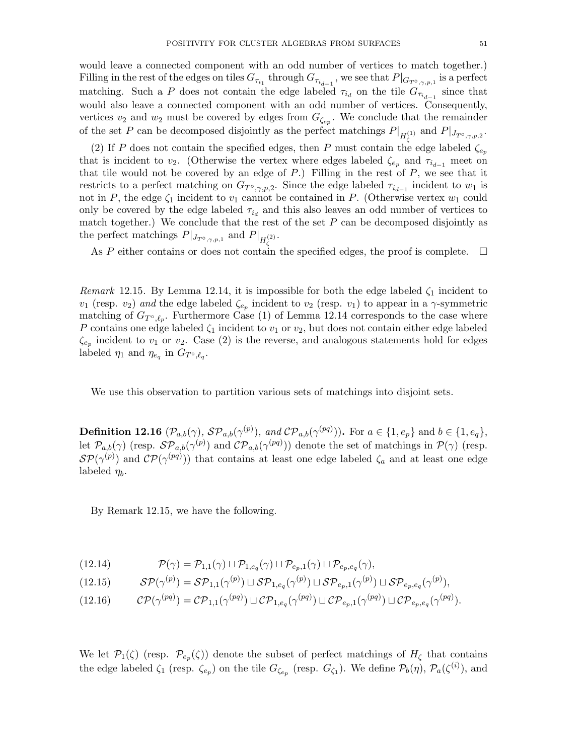would leave a connected component with an odd number of vertices to match together.) Filling in the rest of the edges on tiles  $G_{\tau_{i_1}}$  through  $G_{\tau_{i_{d-1}}}$ , we see that  $P|_{G_{T^{\circ},\gamma,p,1}}$  is a perfect matching. Such a P does not contain the edge labeled  $\tau_{i_d}$  on the tile  $G_{\tau_{i_{d-1}}}$  since that would also leave a connected component with an odd number of vertices. Consequently, vertices  $v_2$  and  $w_2$  must be covered by edges from  $G_{\zeta_{e_p}}$ . We conclude that the remainder of the set P can be decomposed disjointly as the perfect matchings  $P|_{H_{\zeta}^{(1)}}$  and  $P|_{J_{T^{\circ}, \gamma, p, 2}}$ .

(2) If P does not contain the specified edges, then P must contain the edge labeled  $\zeta_{e_p}$ that is incident to v<sub>2</sub>. (Otherwise the vertex where edges labeled  $\zeta_{e_p}$  and  $\tau_{i_{d-1}}$  meet on that tile would not be covered by an edge of  $P$ .) Filling in the rest of  $P$ , we see that it restricts to a perfect matching on  $G_{T^{\circ}, \gamma, p, 2}$ . Since the edge labeled  $\tau_{i_{d-1}}$  incident to  $w_1$  is not in P, the edge  $\zeta_1$  incident to  $v_1$  cannot be contained in P. (Otherwise vertex  $w_1$  could only be covered by the edge labeled  $\tau_{i_d}$  and this also leaves an odd number of vertices to match together.) We conclude that the rest of the set  $P$  can be decomposed disjointly as the perfect matchings  $P|_{J_{T^{\circ}, \gamma, p, 1}}$  and  $P|_{H_{\zeta}^{(2)}}$ .

As P either contains or does not contain the specified edges, the proof is complete.  $\Box$ 

*Remark* 12.15. By Lemma 12.14, it is impossible for both the edge labeled  $\zeta_1$  incident to  $v_1$  (resp.  $v_2$ ) and the edge labeled  $\zeta_{e_p}$  incident to  $v_2$  (resp.  $v_1$ ) to appear in a  $\gamma$ -symmetric matching of  $G_{T^{\circ}, \ell_p}$ . Furthermore Case (1) of Lemma 12.14 corresponds to the case where P contains one edge labeled  $\zeta_1$  incident to  $v_1$  or  $v_2$ , but does not contain either edge labeled  $\zeta_{e_p}$  incident to  $v_1$  or  $v_2$ . Case (2) is the reverse, and analogous statements hold for edges labeled  $\eta_1$  and  $\eta_{e_q}$  in  $G_{T^{\circ}, \ell_q}$ .

We use this observation to partition various sets of matchings into disjoint sets.

**Definition 12.16**  $(\mathcal{P}_{a,b}(\gamma), \, \mathcal{SP}_{a,b}(\gamma^{(p)}), \text{ and } \mathcal{CP}_{a,b}(\gamma^{(pq)})).$  For  $a \in \{1, e_p\}$  and  $b \in \{1, e_q\},$ let  $\mathcal{P}_{a,b}(\gamma)$  (resp.  $\mathcal{SP}_{a,b}(\gamma^{(p)})$  and  $\mathcal{CP}_{a,b}(\gamma^{(pq)})$ ) denote the set of matchings in  $\mathcal{P}(\gamma)$  (resp.  $\mathcal{SP}(\gamma^{(p)})$  and  $\mathcal{CP}(\gamma^{(pq)}))$  that contains at least one edge labeled  $\zeta_a$  and at least one edge labeled  $\eta_b$ .

By Remark 12.15, we have the following.

(12.14) 
$$
\mathcal{P}(\gamma) = \mathcal{P}_{1,1}(\gamma) \sqcup \mathcal{P}_{1,e_q}(\gamma) \sqcup \mathcal{P}_{e_p,1}(\gamma) \sqcup \mathcal{P}_{e_p,e_q}(\gamma),
$$

$$
(12.15) \qquad \mathcal{SP}(\gamma^{(p)}) = \mathcal{SP}_{1,1}(\gamma^{(p)}) \sqcup \mathcal{SP}_{1,e_q}(\gamma^{(p)}) \sqcup \mathcal{SP}_{e_p,1}(\gamma^{(p)}) \sqcup \mathcal{SP}_{e_p,e_q}(\gamma^{(p)}),
$$

$$
(12.16) \qquad \mathcal{CP}(\gamma^{(pq)}) = \mathcal{CP}_{1,1}(\gamma^{(pq)}) \sqcup \mathcal{CP}_{1,e_q}(\gamma^{(pq)}) \sqcup \mathcal{CP}_{e_p,1}(\gamma^{(pq)}) \sqcup \mathcal{CP}_{e_p,e_q}(\gamma^{(pq)}).
$$

We let  $\mathcal{P}_1(\zeta)$  (resp.  $\mathcal{P}_{e_p}(\zeta)$ ) denote the subset of perfect matchings of  $H_{\zeta}$  that contains the edge labeled  $\zeta_1$  (resp.  $\zeta_{e_p}$ ) on the tile  $G_{\zeta_{e_p}}$  (resp.  $G_{\zeta_1}$ ). We define  $\mathcal{P}_b(\eta)$ ,  $\mathcal{P}_a(\zeta^{(i)})$ , and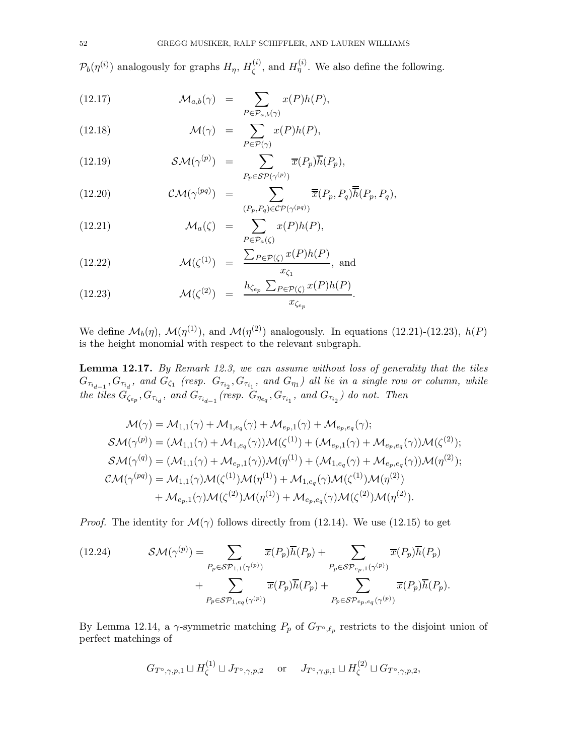$\mathcal{P}_b(\eta^{(i)})$  analogously for graphs  $H_\eta$ ,  $H_c^{(i)}$  $\chi_{\zeta}^{(i)}$ , and  $H_{\eta}^{(i)}$ . We also define the following.

(12.17) 
$$
\mathcal{M}_{a,b}(\gamma) = \sum_{P \in \mathcal{P}_{a,b}(\gamma)} x(P)h(P),
$$

(12.18) 
$$
\mathcal{M}(\gamma) = \sum_{P \in \mathcal{P}(\gamma)} x(P)h(P),
$$

(12.19) 
$$
\mathcal{SM}(\gamma^{(p)}) = \sum_{P_p \in \mathcal{SP}(\gamma^{(p)})} \overline{x}(P_p) \overline{h}(P_p),
$$

(12.20) 
$$
\mathcal{CM}(\gamma^{(pq)}) = \sum_{(P_p, P_q) \in \mathcal{CP}(\gamma^{(pq)})} \overline{\overline{x}}(P_p, P_q) \overline{\overline{h}}(P_p, P_q),
$$

(12.21) 
$$
\mathcal{M}_a(\zeta) = \sum_{P \in \mathcal{P}_a(\zeta)} x(P)h(P),
$$

(12.22) 
$$
\mathcal{M}(\zeta^{(1)}) = \frac{\sum_{P \in \mathcal{P}(\zeta)} x(P)h(P)}{x_{\zeta_1}}, \text{ and}
$$

(12.23) 
$$
\mathcal{M}(\zeta^{(2)}) = \frac{h_{\zeta_{e_p}} \sum_{P \in \mathcal{P}(\zeta)} x(P)h(P)}{x_{\zeta_{e_p}}}.
$$

We define  $\mathcal{M}_b(\eta)$ ,  $\mathcal{M}(\eta^{(1)})$ , and  $\mathcal{M}(\eta^{(2)})$  analogously. In equations (12.21)-(12.23),  $h(P)$ is the height monomial with respect to the relevant subgraph.

Lemma 12.17. By Remark 12.3, we can assume without loss of generality that the tiles  $G_{\tau_{i_{d-1}}},G_{\tau_{i_d}},$  and  $G_{\zeta_1}$  (resp.  $G_{\tau_{i_2}},G_{\tau_{i_1}},$  and  $G_{\eta_1})$  all lie in a single row or column, while the tiles  $G_{\zeta_{e_p}}, G_{\tau_{i_d}},$  and  $G_{\tau_{i_{d-1}}}$  (resp.  $G_{\eta_{e_q}}, G_{\tau_{i_1}},$  and  $G_{\tau_{i_2}}$ ) do not. Then

$$
\mathcal{M}(\gamma) = \mathcal{M}_{1,1}(\gamma) + \mathcal{M}_{1,e_q}(\gamma) + \mathcal{M}_{e_p,1}(\gamma) + \mathcal{M}_{e_p,e_q}(\gamma);
$$
\n
$$
\mathcal{SM}(\gamma^{(p)}) = (\mathcal{M}_{1,1}(\gamma) + \mathcal{M}_{1,e_q}(\gamma))\mathcal{M}(\zeta^{(1)}) + (\mathcal{M}_{e_p,1}(\gamma) + \mathcal{M}_{e_p,e_q}(\gamma))\mathcal{M}(\zeta^{(2)});
$$
\n
$$
\mathcal{SM}(\gamma^{(q)}) = (\mathcal{M}_{1,1}(\gamma) + \mathcal{M}_{e_p,1}(\gamma))\mathcal{M}(\eta^{(1)}) + (\mathcal{M}_{1,e_q}(\gamma) + \mathcal{M}_{e_p,e_q}(\gamma))\mathcal{M}(\eta^{(2)});
$$
\n
$$
\mathcal{CM}(\gamma^{(pq)}) = \mathcal{M}_{1,1}(\gamma)\mathcal{M}(\zeta^{(1)})\mathcal{M}(\eta^{(1)}) + \mathcal{M}_{1,e_q}(\gamma)\mathcal{M}(\zeta^{(1)})\mathcal{M}(\eta^{(2)}) + \mathcal{M}_{e_p,1}(\gamma)\mathcal{M}(\zeta^{(2)})\mathcal{M}(\eta^{(1)}) + \mathcal{M}_{e_p,e_q}(\gamma)\mathcal{M}(\zeta^{(2)})\mathcal{M}(\eta^{(2)}).
$$

*Proof.* The identity for  $\mathcal{M}(\gamma)$  follows directly from (12.14). We use (12.15) to get

(12.24) 
$$
\mathcal{SM}(\gamma^{(p)}) = \sum_{P_p \in \mathcal{SP}_{1,1}(\gamma^{(p)})} \overline{x}(P_p) \overline{h}(P_p) + \sum_{P_p \in \mathcal{SP}_{ep,1}(\gamma^{(p)})} \overline{x}(P_p) \overline{h}(P_p) + \sum_{P_p \in \mathcal{SP}_{ep,1}(\gamma^{(p)})} \overline{x}(P_p) \overline{h}(P_p) + \sum_{P_p \in \mathcal{SP}_{ep,eq}(\gamma^{(p)})} \overline{x}(P_p) \overline{h}(P_p).
$$

By Lemma 12.14, a  $\gamma$ -symmetric matching  $P_p$  of  $G_{T^{\circ},\ell_p}$  restricts to the disjoint union of perfect matchings of

$$
G_{T^{\circ},\gamma,p,1} \sqcup H_{\zeta}^{(1)} \sqcup J_{T^{\circ},\gamma,p,2} \quad \text{ or } \quad J_{T^{\circ},\gamma,p,1} \sqcup H_{\zeta}^{(2)} \sqcup G_{T^{\circ},\gamma,p,2},
$$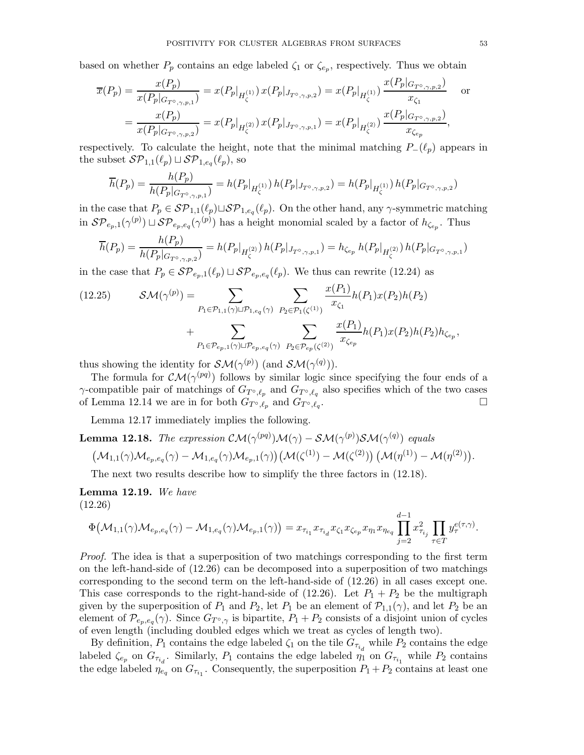based on whether  $P_p$  contains an edge labeled  $\zeta_1$  or  $\zeta_{e_p}$ , respectively. Thus we obtain

$$
\overline{x}(P_p) = \frac{x(P_p)}{x(P_p|_{G_{T^{\circ}\gamma,p,1}})} = x(P_p|_{H_{\zeta}^{(1)}}) x(P_p|_{J_{T^{\circ}\gamma,p,2}}) = x(P_p|_{H_{\zeta}^{(1)}}) \frac{x(P_p|_{G_{T^{\circ}\gamma,p,2}})}{x_{\zeta_1}} \quad \text{or}
$$
\n
$$
= \frac{x(P_p)}{x(P_p|_{G_{T^{\circ}\gamma,p,2}})} = x(P_p|_{H_{\zeta}^{(2)}}) x(P_p|_{J_{T^{\circ}\gamma,p,1}}) = x(P_p|_{H_{\zeta}^{(2)}}) \frac{x(P_p|_{G_{T^{\circ}\gamma,p,2}})}{x_{\zeta_{e_p}}},
$$

respectively. To calculate the height, note that the minimal matching  $P_-(\ell_p)$  appears in the subset  $\mathcal{SP}_{1,1}(\ell_p) \sqcup \mathcal{SP}_{1,e_q}(\ell_p)$ , so

$$
\overline{h}(P_p) = \frac{h(P_p)}{h(P_p|_{G_{T^{\circ},\gamma,p,1}})} = h(P_p|_{H_{\zeta}^{(1)}}) h(P_p|_{J_{T^{\circ},\gamma,p,2}}) = h(P_p|_{H_{\zeta}^{(1)}}) h(P_p|_{G_{T^{\circ},\gamma,p,2}})
$$

in the case that  $P_p \in \mathcal{SP}_{1,1}(\ell_p) \sqcup \mathcal{SP}_{1,e_q}(\ell_p)$ . On the other hand, any  $\gamma$ -symmetric matching in  $\mathcal{SP}_{e_p,1}(\gamma^{(p)})\sqcup \mathcal{SP}_{e_p,e_q}(\gamma^{(p)})$  has a height monomial scaled by a factor of  $h_{\zeta_{e_p}}$ . Thus

$$
\overline{h}(P_p) = \frac{h(P_p)}{h(P_p|_{G_{T^{\circ},\gamma,p,2}})} = h(P_p|_{H_{\zeta}^{(2)}})h(P_p|_{J_{T^{\circ},\gamma,p,1}}) = h_{\zeta_{e_p}}h(P_p|_{H_{\zeta}^{(2)}})h(P_p|_{G_{T^{\circ},\gamma,p,1}})
$$

in the case that  $P_p \in \mathcal{SP}_{e_p,1}(\ell_p) \sqcup \mathcal{SP}_{e_p,e_q}(\ell_p)$ . We thus can rewrite (12.24) as

(12.25) 
$$
\mathcal{SM}(\gamma^{(p)}) = \sum_{P_1 \in \mathcal{P}_{1,1}(\gamma) \sqcup \mathcal{P}_{1,e_q}(\gamma)} \sum_{P_2 \in \mathcal{P}_1(\zeta^{(1)})} \frac{x(P_1)}{x_{\zeta_1}} h(P_1) x(P_2) h(P_2) + \sum_{P_1 \in \mathcal{P}_{e_p,1}(\gamma) \sqcup \mathcal{P}_{e_p,e_q}(\gamma)} \sum_{P_2 \in \mathcal{P}_{e_p}(\zeta^{(2)})} \frac{x(P_1)}{x_{\zeta_{e_p}}} h(P_1) x(P_2) h(P_2) h_{\zeta_{e_p}},
$$

thus showing the identity for  $\mathcal{SM}(\gamma^{(p)})$  (and  $\mathcal{SM}(\gamma^{(q)}))$ .

The formula for  $\mathcal{CM}(\gamma^{(pq)})$  follows by similar logic since specifying the four ends of a  $\gamma$ -compatible pair of matchings of  $G_{T^{\circ}, \ell_p}$  and  $G_{T^{\circ}, \ell_q}$  also specifies which of the two cases of Lemma 12.14 we are in for both  $G_{T^{\circ}, \ell_p}$  and  $G_{T^{\circ}, \ell_q}$ . — Первый процесс в последник производительность и производительность и производительность и производительно<br>В 1990 году в 1990 году в 1990 году в 1990 году в 1990 году в 1990 году в 1990 году в 1990 году в 1990 году в<br>П

Lemma 12.17 immediately implies the following.

**Lemma 12.18.** The expression 
$$
\mathcal{CM}(\gamma^{(pq)})\mathcal{M}(\gamma) - \mathcal{SM}(\gamma^{(p)})\mathcal{SM}(\gamma^{(q)})
$$
 equals  $\left(\mathcal{M}_{1,1}(\gamma)\mathcal{M}_{e_p,e_q}(\gamma) - \mathcal{M}_{1,e_q}(\gamma)\mathcal{M}_{e_p,1}(\gamma)\right)\left(\mathcal{M}(\zeta^{(1)}) - \mathcal{M}(\zeta^{(2)})\right)\left(\mathcal{M}(\eta^{(1)}) - \mathcal{M}(\eta^{(2)})\right).$ 

The next two results describe how to simplify the three factors in (12.18).

Lemma 12.19. We have (12.26)

$$
\Phi(\mathcal{M}_{1,1}(\gamma)\mathcal{M}_{e_p,e_q}(\gamma) - \mathcal{M}_{1,e_q}(\gamma)\mathcal{M}_{e_p,1}(\gamma)) = x_{\tau_{i_1}} x_{\tau_{i_d}} x_{\zeta_1} x_{\zeta_{e_p}} x_{\eta_1} x_{\eta_{e_q}} \prod_{j=2}^{d-1} x_{\tau_{i_j}}^2 \prod_{\tau \in T} y_{\tau}^{e(\tau,\gamma)}.
$$

Proof. The idea is that a superposition of two matchings corresponding to the first term on the left-hand-side of (12.26) can be decomposed into a superposition of two matchings corresponding to the second term on the left-hand-side of (12.26) in all cases except one. This case corresponds to the right-hand-side of  $(12.26)$ . Let  $P_1 + P_2$  be the multigraph given by the superposition of  $P_1$  and  $P_2$ , let  $P_1$  be an element of  $\mathcal{P}_{1,1}(\gamma)$ , and let  $P_2$  be an element of  $\mathcal{P}_{e_p,e_q}(\gamma)$ . Since  $G_{T^{\circ},\gamma}$  is bipartite,  $P_1+P_2$  consists of a disjoint union of cycles of even length (including doubled edges which we treat as cycles of length two).

By definition,  $P_1$  contains the edge labeled  $\zeta_1$  on the tile  $G_{\tau_{i_d}}$  while  $P_2$  contains the edge labeled  $\zeta_{e_p}$  on  $G_{\tau_{i_d}}$ . Similarly,  $P_1$  contains the edge labeled  $\eta_1$  on  $G_{\tau_{i_1}}$  while  $P_2$  contains the edge labeled  $\eta_{e_q}$  on  $G_{\tau_{i_1}}$ . Consequently, the superposition  $P_1 + P_2$  contains at least one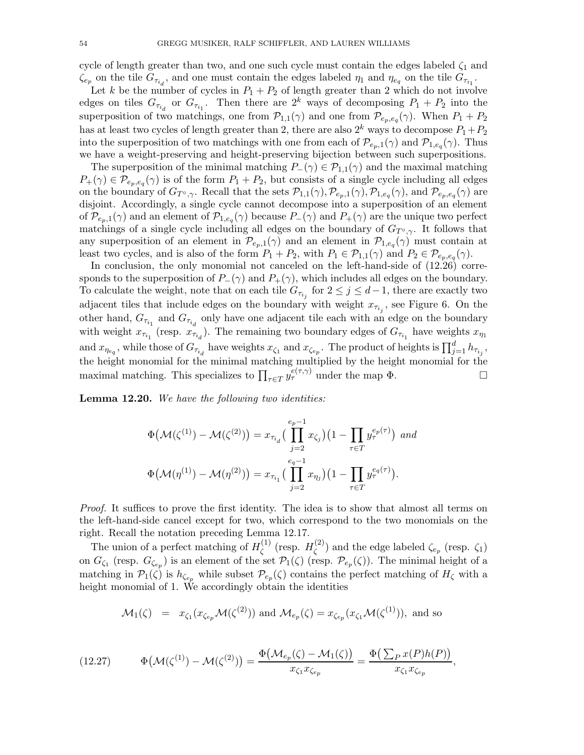cycle of length greater than two, and one such cycle must contain the edges labeled  $\zeta_1$  and  $\zeta_{e_p}$  on the tile  $G_{\tau_{i_d}}$ , and one must contain the edges labeled  $\eta_1$  and  $\eta_{e_q}$  on the tile  $G_{\tau_{i_1}}$ .

Let k be the number of cycles in  $P_1 + P_2$  of length greater than 2 which do not involve edges on tiles  $G_{\tau_{i_d}}$  or  $G_{\tau_{i_1}}$ . Then there are  $2^k$  ways of decomposing  $P_1 + P_2$  into the superposition of two matchings, one from  $\mathcal{P}_{1,1}(\gamma)$  and one from  $\mathcal{P}_{e_p,e_q}(\gamma)$ . When  $P_1 + P_2$ has at least two cycles of length greater than 2, there are also  $2^k$  ways to decompose  $P_1+P_2$ into the superposition of two matchings with one from each of  $\mathcal{P}_{e_p,1}(\gamma)$  and  $\mathcal{P}_{1,e_q}(\gamma)$ . Thus we have a weight-preserving and height-preserving bijection between such superpositions.

The superposition of the minimal matching  $P_-(\gamma) \in \mathcal{P}_{1,1}(\gamma)$  and the maximal matching  $P_+(\gamma) \in \mathcal{P}_{e_p,e_q}(\gamma)$  is of the form  $P_1 + P_2$ , but consists of a single cycle including all edges on the boundary of  $G_{T^{\circ},\gamma}$ . Recall that the sets  $\mathcal{P}_{1,1}(\gamma), \mathcal{P}_{e_p,1}(\gamma), \mathcal{P}_{1,e_q}(\gamma)$ , and  $\mathcal{P}_{e_p,e_q}(\gamma)$  are disjoint. Accordingly, a single cycle cannot decompose into a superposition of an element of  $\mathcal{P}_{e_p,1}(\gamma)$  and an element of  $\mathcal{P}_{1,e_q}(\gamma)$  because  $P_-(\gamma)$  and  $P_+(\gamma)$  are the unique two perfect matchings of a single cycle including all edges on the boundary of  $G_{T^{\circ},\gamma}$ . It follows that any superposition of an element in  $\mathcal{P}_{e_p,1}(\gamma)$  and an element in  $\mathcal{P}_{1,e_q}(\gamma)$  must contain at least two cycles, and is also of the form  $P_1 + P_2$ , with  $P_1 \in \mathcal{P}_{1,1}(\gamma)$  and  $P_2 \in \mathcal{P}_{e_p,e_q}(\gamma)$ .

In conclusion, the only monomial not canceled on the left-hand-side of  $(12.26)$  corresponds to the superposition of  $P_-(\gamma)$  and  $P_+(\gamma)$ , which includes all edges on the boundary. To calculate the weight, note that on each tile  $G_{\tau_{i_j}}$  for  $2 \leq j \leq d-1$ , there are exactly two adjacent tiles that include edges on the boundary with weight  $x_{\tau_{i_j}}$ , see Figure 6. On the other hand,  $G_{\tau_{i_1}}$  and  $G_{\tau_{i_d}}$  only have one adjacent tile each with an edge on the boundary with weight  $x_{\tau_{i_1}}$  (resp.  $x_{\tau_{i_d}}$ ). The remaining two boundary edges of  $G_{\tau_{i_1}}$  have weights  $x_{\eta_1}$ and  $x_{\eta_{e_q}}$ , while those of  $G_{\tau_{i_d}}$  have weights  $x_{\zeta_1}$  and  $x_{\zeta_{e_p}}$ . The product of heights is  $\prod_{j=1}^d h_{\tau_{i_j}}$ , the height monomial for the minimal matching multiplied by the height monomial for the maximal matching. This specializes to  $\prod_{\tau \in T} y_{\tau}^{e(\tau,\gamma)}$  under the map  $\Phi$ .

Lemma 12.20. We have the following two identities:

$$
\Phi(\mathcal{M}(\zeta^{(1)}) - \mathcal{M}(\zeta^{(2)})) = x_{\tau_{i_d}} \Big( \prod_{j=2}^{e_p - 1} x_{\zeta_j} \Big) \big( 1 - \prod_{\tau \in T} y_{\tau}^{e_p(\tau)} \big) \text{ and}
$$

$$
\Phi(\mathcal{M}(\eta^{(1)}) - \mathcal{M}(\eta^{(2)})\big) = x_{\tau_{i_1}} \Big( \prod_{j=2}^{e_q - 1} x_{\eta_j} \Big) \big( 1 - \prod_{\tau \in T} y_{\tau}^{e_q(\tau)} \big).
$$

Proof. It suffices to prove the first identity. The idea is to show that almost all terms on the left-hand-side cancel except for two, which correspond to the two monomials on the right. Recall the notation preceding Lemma 12.17.

The union of a perfect matching of  $H_c^{(1)}$  $\zeta^{(1)}$  (resp.  $H_{\zeta}^{(2)}$  $\zeta^{(2)}$  and the edge labeled  $\zeta_{e_p}$  (resp.  $\zeta_1$ ) on  $G_{\zeta_1}$  (resp.  $G_{\zeta_{e_p}}$ ) is an element of the set  $\mathcal{P}_1(\zeta)$  (resp.  $\mathcal{P}_{e_p}(\zeta)$ ). The minimal height of a matching in  $\mathcal{P}_1(\zeta)$  is  $h_{\zeta_{e_p}}$  while subset  $\mathcal{P}_{e_p}(\zeta)$  contains the perfect matching of  $H_{\zeta}$  with a height monomial of 1. We accordingly obtain the identities

$$
\mathcal{M}_1(\zeta) = x_{\zeta_1}(x_{\zeta_{e_p}}\mathcal{M}(\zeta^{(2)})) \text{ and } \mathcal{M}_{e_p}(\zeta) = x_{\zeta_{e_p}}(x_{\zeta_1}\mathcal{M}(\zeta^{(1)})), \text{ and so}
$$

(12.27) 
$$
\Phi\left(\mathcal{M}(\zeta^{(1)}) - \mathcal{M}(\zeta^{(2)})\right) = \frac{\Phi\left(\mathcal{M}_{e_p}(\zeta) - \mathcal{M}_1(\zeta)\right)}{x_{\zeta_1}x_{\zeta_{e_p}}} = \frac{\Phi\left(\sum_{P} x(P)h(P)\right)}{x_{\zeta_1}x_{\zeta_{e_p}}},
$$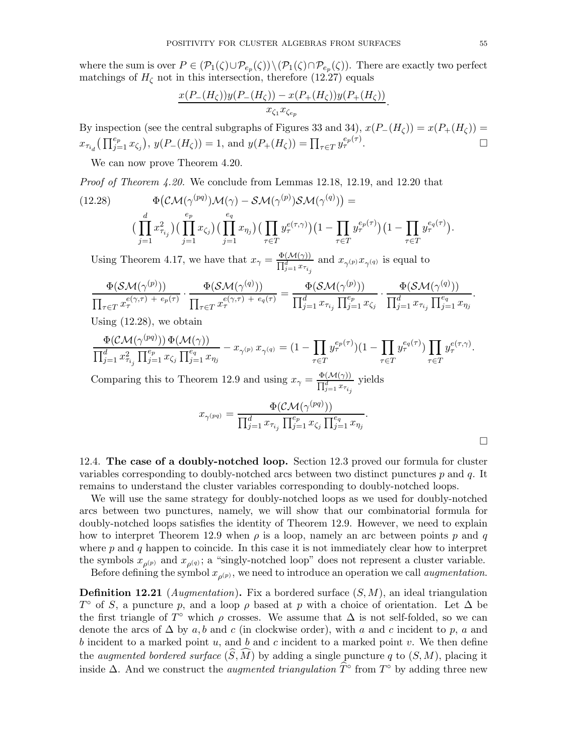where the sum is over  $P \in (\mathcal{P}_1(\zeta) \cup \mathcal{P}_{e_p}(\zeta)) \setminus (\mathcal{P}_1(\zeta) \cap \mathcal{P}_{e_p}(\zeta))$ . There are exactly two perfect matchings of  $H_{\zeta}$  not in this intersection, therefore (12.27) equals

$$
\frac{x(P_{-}(H_{\zeta}))y(P_{-}(H_{\zeta}))-x(P_{+}(H_{\zeta}))y(P_{+}(H_{\zeta}))}{x_{\zeta_1}x_{\zeta_{e_p}}}.
$$

By inspection (see the central subgraphs of Figures 33 and 34),  $x(P_{-}(H_{\zeta})) = x(P_{+}(H_{\zeta}))$  $x_{\tau_{i_d}}(\prod_{j=1}^{e_p} x_{\zeta_j}), y(P_-(H_\zeta)) = 1$ , and  $y(P_+(H_\zeta)) = \prod_{\tau \in T} y_{\tau}^{e_p(\tau)}$ .

We can now prove Theorem 4.20.

Proof of Theorem 4.20. We conclude from Lemmas 12.18, 12.19, and 12.20 that

(12.28) 
$$
\Phi\left(\mathcal{CM}(\gamma^{(pq)})\mathcal{M}(\gamma) - \mathcal{SM}(\gamma^{(p)})\mathcal{SM}(\gamma^{(q)})\right) =
$$

$$
\left(\prod_{j=1}^d x_{\tau_{i_j}}^2\right)\left(\prod_{j=1}^{e_p} x_{\zeta_j}\right)\left(\prod_{j=1}^{e_q} x_{\eta_j}\right)\left(\prod_{\tau \in T} y_{\tau}^{e(\tau,\gamma)}\right)\left(1 - \prod_{\tau \in T} y_{\tau}^{e_p(\tau)}\right)\left(1 - \prod_{\tau \in T} y_{\tau}^{e_q(\tau)}\right).
$$

Using Theorem 4.17, we have that  $x_{\gamma} = \frac{\Phi(\mathcal{M}(\gamma))}{\prod_{j=1}^d x_{\tau_{i_j}}}$  and  $x_{\gamma^{(p)}} x_{\gamma^{(q)}}$  is equal to

$$
\frac{\Phi(\mathcal{SM}(\gamma^{(p)}))}{\prod_{\tau\in T}x_{\tau}^{e(\gamma,\tau)+e_p(\tau)}}\cdot\frac{\Phi(\mathcal{SM}(\gamma^{(q)}))}{\prod_{\tau\in T}x_{\tau}^{e(\gamma,\tau)+e_q(\tau)}}=\frac{\Phi(\mathcal{SM}(\gamma^{(p)}))}{\prod_{j=1}^dx_{\tau_{i_j}}\prod_{j=1}^{e_p}x_{\zeta_j}}\cdot\frac{\Phi(\mathcal{SM}(\gamma^{(q)}))}{\prod_{j=1}^dx_{\tau_{i_j}}\prod_{j=1}^{e_q}x_{\eta_j}}.
$$

Using (12.28), we obtain

$$
\frac{\Phi(\mathcal{CM}(\gamma^{(pq)})) \Phi(\mathcal{M}(\gamma))}{\prod_{j=1}^d x_{\tau_{i_j}}^2 \prod_{j=1}^{e_p} x_{\zeta_j} \prod_{j=1}^{e_q} x_{\eta_j}} - x_{\gamma^{(p)}} x_{\gamma^{(q)}} = (1 - \prod_{\tau \in T} y_{\tau}^{e_p(\tau)}) (1 - \prod_{\tau \in T} y_{\tau}^{e_q(\tau)}) \prod_{\tau \in T} y_{\tau}^{e(\tau,\gamma)}.
$$

Comparing this to Theorem 12.9 and using  $x_{\gamma} = \frac{\Phi(\mathcal{M}(\gamma))}{\prod_{j=1}^{d} x_{\tau_{i_j}}}$  yields

$$
x_{\gamma^{(pq)}} = \frac{\Phi(\mathcal{CM}(\gamma^{(pq)}))}{\prod_{j=1}^d x_{\tau_{i_j}} \prod_{j=1}^{e_p} x_{\zeta_j} \prod_{j=1}^{e_q} x_{\eta_j}}.
$$

 $\Box$ 

12.4. The case of a doubly-notched loop. Section 12.3 proved our formula for cluster variables corresponding to doubly-notched arcs between two distinct punctures  $p$  and  $q$ . It remains to understand the cluster variables corresponding to doubly-notched loops.

We will use the same strategy for doubly-notched loops as we used for doubly-notched arcs between two punctures, namely, we will show that our combinatorial formula for doubly-notched loops satisfies the identity of Theorem 12.9. However, we need to explain how to interpret Theorem 12.9 when  $\rho$  is a loop, namely an arc between points p and q where  $p$  and  $q$  happen to coincide. In this case it is not immediately clear how to interpret the symbols  $x_{\rho^{(p)}}$  and  $x_{\rho^{(q)}}$ ; a "singly-notched loop" does not represent a cluster variable.

Before defining the symbol  $x_{\rho^{(p)}},$  we need to introduce an operation we call *augmentation*.

**Definition 12.21** (*Augmentation*). Fix a bordered surface  $(S, M)$ , an ideal triangulation T<sup>o</sup> of S, a puncture p, and a loop  $\rho$  based at p with a choice of orientation. Let  $\Delta$  be the first triangle of  $T^{\circ}$  which  $\rho$  crosses. We assume that  $\Delta$  is not self-folded, so we can denote the arcs of  $\Delta$  by a, b and c (in clockwise order), with a and c incident to p, a and b incident to a marked point  $u$ , and  $b$  and  $c$  incident to a marked point  $v$ . We then define the *augmented bordered surface*  $(\widehat{S}, \widehat{M})$  by adding a single puncture q to  $(S, M)$ , placing it inside  $\Delta$ . And we construct the *augmented triangulation*  $\widehat{T}^{\circ}$  from  $T^{\circ}$  by adding three new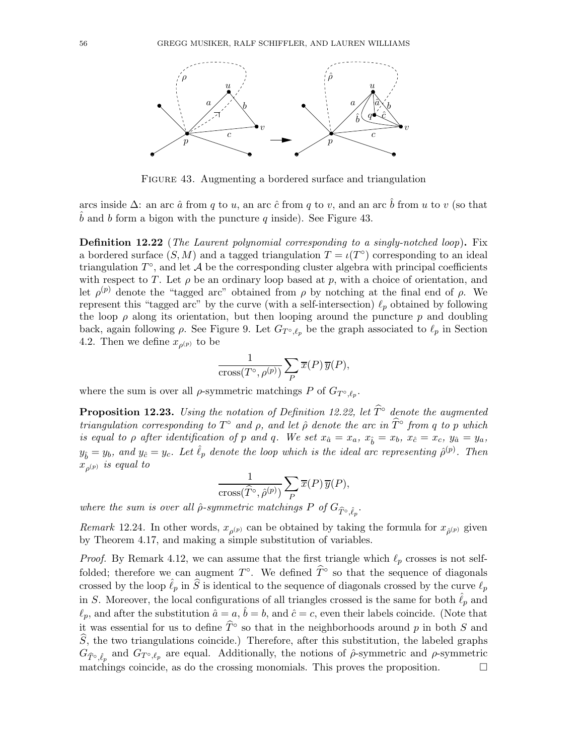

FIGURE 43. Augmenting a bordered surface and triangulation

arcs inside  $\Delta$ : an arc  $\hat{a}$  from q to u, an arc  $\hat{c}$  from q to v, and an arc  $\hat{b}$  from u to v (so that b and b form a bigon with the puncture q inside). See Figure 43.

**Definition 12.22** (The Laurent polynomial corresponding to a singly-notched loop). Fix a bordered surface  $(S, M)$  and a tagged triangulation  $T = \iota(T^{\circ})$  corresponding to an ideal triangulation  $T^{\circ}$ , and let  $\mathcal A$  be the corresponding cluster algebra with principal coefficients with respect to T. Let  $\rho$  be an ordinary loop based at p, with a choice of orientation, and let  $\rho^{(p)}$  denote the "tagged arc" obtained from  $\rho$  by notching at the final end of  $\rho$ . We represent this "tagged arc" by the curve (with a self-intersection)  $\ell_p$  obtained by following the loop  $\rho$  along its orientation, but then looping around the puncture p and doubling back, again following  $\rho$ . See Figure 9. Let  $G_{T^{\circ}, \ell_p}$  be the graph associated to  $\ell_p$  in Section 4.2. Then we define  $x_{\rho^{(p)}}$  to be

$$
\frac{1}{\mathrm{cross}(T^\circ,\rho^{(p)})}\sum_{P}\overline{x}(P)\,\overline{y}(P),
$$

where the sum is over all  $\rho$ -symmetric matchings P of  $G_{T^{\circ}, \ell_p}$ .

**Proposition 12.23.** Using the notation of Definition 12.22, let  $\widehat{T}^\circ$  denote the augmented triangulation corresponding to  $T^{\circ}$  and  $\rho$ , and let  $\hat{\rho}$  denote the arc in  $\hat{T}^{\circ}$  from q to p which is equal to  $\rho$  after identification of  $p$  and  $q$ . We set  $x_{\hat{a}} = x_a$ ,  $x_{\hat{b}} = x_b$ ,  $x_{\hat{c}} = x_c$ ,  $y_{\hat{a}} = y_a$ ,  $y_{\hat{b}} = y_b$ , and  $y_{\hat{c}} = y_c$ . Let  $\hat{\ell}_p$  denote the loop which is the ideal arc representing  $\hat{\rho}^{(p)}$ . Then  $x_{\rho^{(p)}}$  is equal to

$$
\frac{1}{\text{cross}(\widehat{T}^{\circ}, \widehat{\rho}^{(p)})} \sum_{P} \overline{x}(P) \, \overline{y}(P),
$$

where the sum is over all  $\hat{\rho}$ -symmetric matchings P of  $G_{\widehat{T}^{\circ}, \widehat{\ell}_p}$ .

*Remark* 12.24. In other words,  $x_{\rho^{(p)}}$  can be obtained by taking the formula for  $x_{\hat{\rho}^{(p)}}$  given by Theorem 4.17, and making a simple substitution of variables.

*Proof.* By Remark 4.12, we can assume that the first triangle which  $\ell_p$  crosses is not selffolded; therefore we can augment  $T^{\circ}$ . We defined  $\widehat{T}^{\circ}$  so that the sequence of diagonals crossed by the loop  $\hat{\ell}_p$  in  $\hat{S}$  is identical to the sequence of diagonals crossed by the curve  $\ell_p$ in S. Moreover, the local configurations of all triangles crossed is the same for both  $\hat{\ell}_p$  and  $\ell_p$ , and after the substitution  $\hat{a} = a$ ,  $\hat{b} = b$ , and  $\hat{c} = c$ , even their labels coincide. (Note that it was essential for us to define  $\widehat{T}^{\circ}$  so that in the neighborhoods around p in both S and  $\hat{S}$ , the two triangulations coincide.) Therefore, after this substitution, the labeled graphs  $G_{\hat{T}^{\circ}, \hat{\ell}_p}$  and  $G_{T^{\circ}, \ell_p}$  are equal. Additionally, the notions of  $\hat{\rho}$ -symmetric and  $\rho$ -symmetric matchings coincide, as do the crossing monomials. This proves the proposition.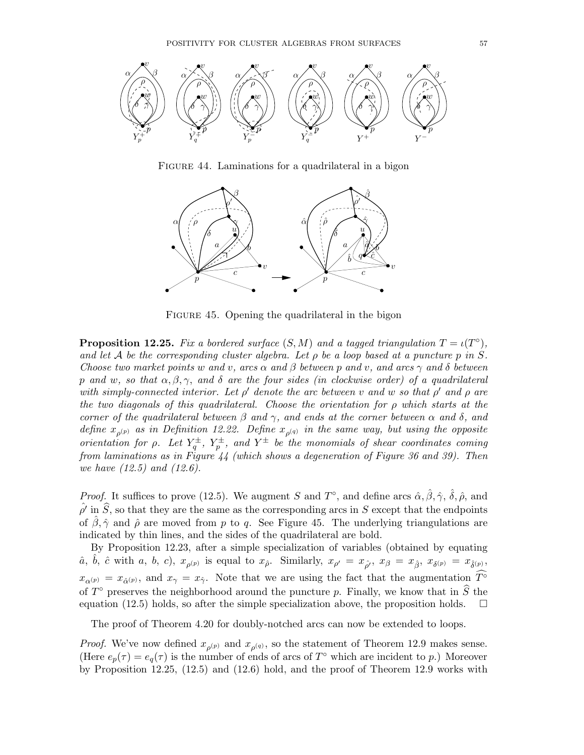

FIGURE 44. Laminations for a quadrilateral in a bigon



Figure 45. Opening the quadrilateral in the bigon

**Proposition 12.25.** Fix a bordered surface  $(S, M)$  and a tagged triangulation  $T = \iota(T^{\circ})$ , and let A be the corresponding cluster algebra. Let  $\rho$  be a loop based at a puncture p in S. Choose two market points w and v, arcs  $\alpha$  and  $\beta$  between p and v, and arcs  $\gamma$  and  $\delta$  between p and w, so that  $\alpha, \beta, \gamma$ , and  $\delta$  are the four sides (in clockwise order) of a quadrilateral with simply-connected interior. Let  $\rho'$  denote the arc between v and w so that  $\rho'$  and  $\rho$  are the two diagonals of this quadrilateral. Choose the orientation for  $\rho$  which starts at the corner of the quadrilateral between  $\beta$  and  $\gamma$ , and ends at the corner between  $\alpha$  and  $\delta$ , and define  $x_{\rho^{(p)}}$  as in Definition 12.22. Define  $x_{\rho^{(q)}}$  in the same way, but using the opposite orientation for  $\rho$ . Let  $Y_q^{\pm}$ ,  $Y_p^{\pm}$ , and  $Y^{\pm}$  be the monomials of shear coordinates coming from laminations as in Figure 44 (which shows a degeneration of Figure 36 and 39). Then we have (12.5) and (12.6).

*Proof.* It suffices to prove (12.5). We augment S and  $T^{\circ}$ , and define arcs  $\hat{\alpha}, \hat{\beta}, \hat{\gamma}, \hat{\delta}, \hat{\rho}$ , and  $\hat{\rho}'$  in  $\widehat{S}$ , so that they are the same as the corresponding arcs in S except that the endpoints of  $\hat{\beta}, \hat{\gamma}$  and  $\hat{\rho}$  are moved from p to q. See Figure 45. The underlying triangulations are indicated by thin lines, and the sides of the quadrilateral are bold.

By Proposition 12.23, after a simple specialization of variables (obtained by equating  $\hat{a}, \hat{b}, \hat{c}$  with a, b, c),  $x_{\rho^{(p)}}$  is equal to  $x_{\hat{\rho}}$ . Similarly,  $x_{\rho'} = x_{\hat{\rho'}}, x_{\beta} = x_{\hat{\beta}}, x_{\delta^{(p)}} = x_{\hat{\delta}^{(p)}},$  $x_{\alpha^{(p)}} = x_{\hat{\alpha}^{(p)}},$  and  $x_{\gamma} = x_{\hat{\gamma}}$ . Note that we are using the fact that the augmentation  $\hat{T}^{\circ}$ of  $T^{\circ}$  preserves the neighborhood around the puncture p. Finally, we know that in  $\hat{S}$  the equation (12.5) holds, so after the simple specialization above, the proposition holds.  $\Box$ 

The proof of Theorem 4.20 for doubly-notched arcs can now be extended to loops.

*Proof.* We've now defined  $x_{\rho^{(p)}}$  and  $x_{\rho^{(q)}}$ , so the statement of Theorem 12.9 makes sense. (Here  $e_p(\tau) = e_q(\tau)$  is the number of ends of arcs of  $T^{\circ}$  which are incident to p.) Moreover by Proposition 12.25, (12.5) and (12.6) hold, and the proof of Theorem 12.9 works with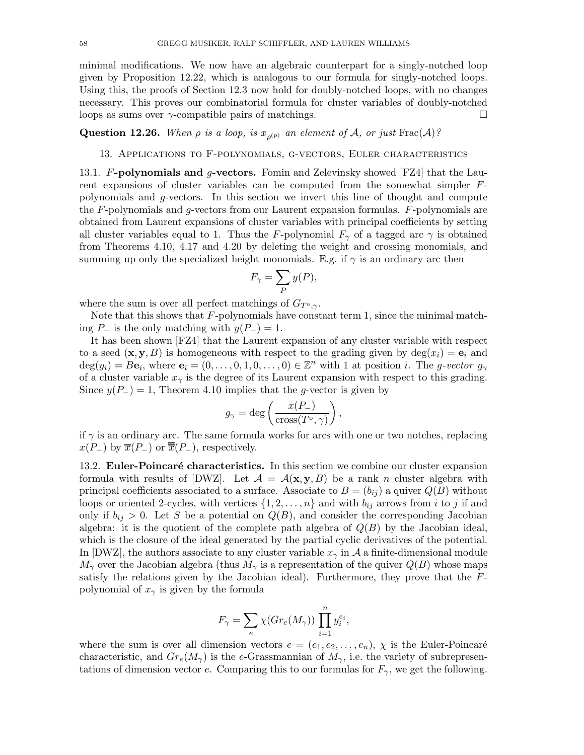minimal modifications. We now have an algebraic counterpart for a singly-notched loop given by Proposition 12.22, which is analogous to our formula for singly-notched loops. Using this, the proofs of Section 12.3 now hold for doubly-notched loops, with no changes necessary. This proves our combinatorial formula for cluster variables of doubly-notched loops as sums over  $\gamma$ -compatible pairs of matchings.

**Question 12.26.** When  $\rho$  is a loop, is  $x_{\rho^{(p)}}$  an element of A, or just Frac(A)?

# 13. Applications to F-polynomials, g-vectors, Euler characteristics

13.1. F-polynomials and g-vectors. Fomin and Zelevinsky showed  $[{\rm FZ4}]$  that the Laurent expansions of cluster variables can be computed from the somewhat simpler Fpolynomials and g-vectors. In this section we invert this line of thought and compute the F-polynomials and g-vectors from our Laurent expansion formulas. F-polynomials are obtained from Laurent expansions of cluster variables with principal coefficients by setting all cluster variables equal to 1. Thus the F-polynomial  $F_{\gamma}$  of a tagged arc  $\gamma$  is obtained from Theorems 4.10, 4.17 and 4.20 by deleting the weight and crossing monomials, and summing up only the specialized height monomials. E.g. if  $\gamma$  is an ordinary arc then

$$
F_{\gamma} = \sum_{P} y(P),
$$

where the sum is over all perfect matchings of  $G_{T^{\circ},\gamma}$ .

Note that this shows that F-polynomials have constant term 1, since the minimal matching  $P_$  is the only matching with  $y(P_)=1$ .

It has been shown [FZ4] that the Laurent expansion of any cluster variable with respect to a seed  $(x, y, B)$  is homogeneous with respect to the grading given by  $deg(x_i) = e_i$  and  $deg(y_i) = B\mathbf{e}_i$ , where  $\mathbf{e}_i = (0,\ldots,0,1,0,\ldots,0) \in \mathbb{Z}^n$  with 1 at position *i*. The *g-vector*  $g_{\gamma}$ of a cluster variable  $x_{\gamma}$  is the degree of its Laurent expansion with respect to this grading. Since  $y(P_)=1$ , Theorem 4.10 implies that the g-vector is given by

$$
g_\gamma = \deg\left(\frac{x(P_-)}{\mathrm{cross}(T^\circ,\gamma)}\right),
$$

if  $\gamma$  is an ordinary arc. The same formula works for arcs with one or two notches, replacing  $x(P_+)$  by  $\overline{x}(P_-)$  or  $\overline{\overline{x}}(P_-)$ , respectively.

13.2. Euler-Poincaré characteristics. In this section we combine our cluster expansion formula with results of [DWZ]. Let  $\mathcal{A} = \mathcal{A}(x, y, B)$  be a rank n cluster algebra with principal coefficients associated to a surface. Associate to  $B = (b_{ij})$  a quiver  $Q(B)$  without loops or oriented 2-cycles, with vertices  $\{1, 2, ..., n\}$  and with  $b_{ij}$  arrows from i to j if and only if  $b_{ij} > 0$ . Let S be a potential on  $Q(B)$ , and consider the corresponding Jacobian algebra: it is the quotient of the complete path algebra of  $Q(B)$  by the Jacobian ideal, which is the closure of the ideal generated by the partial cyclic derivatives of the potential. In [DWZ], the authors associate to any cluster variable  $x_{\gamma}$  in A a finite-dimensional module  $M_{\gamma}$  over the Jacobian algebra (thus  $M_{\gamma}$  is a representation of the quiver  $Q(B)$  whose maps satisfy the relations given by the Jacobian ideal). Furthermore, they prove that the  $F$ polynomial of  $x_{\gamma}$  is given by the formula

$$
F_{\gamma} = \sum_{e} \chi(Gr_e(M_{\gamma})) \prod_{i=1}^{n} y_i^{e_i},
$$

where the sum is over all dimension vectors  $e = (e_1, e_2, \ldots, e_n)$ ,  $\chi$  is the Euler-Poincaré characteristic, and  $Gr_e(M_\gamma)$  is the e-Grassmannian of  $M_\gamma$ , i.e. the variety of subrepresentations of dimension vector e. Comparing this to our formulas for  $F_{\gamma}$ , we get the following.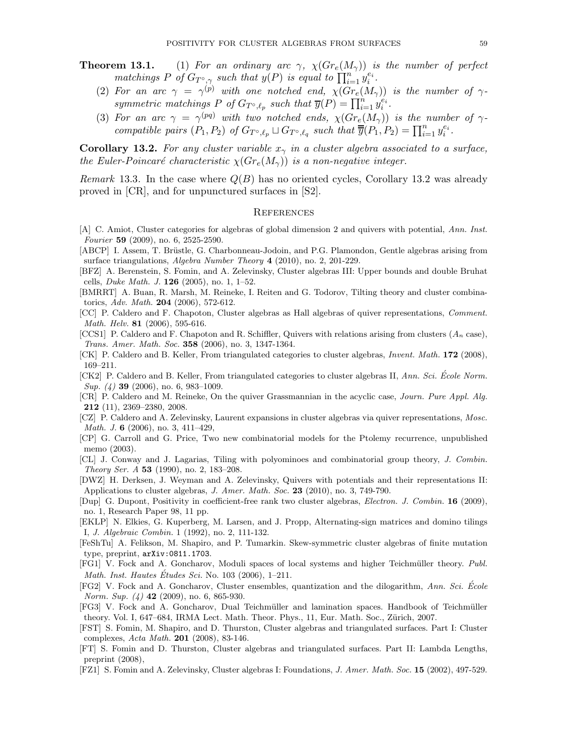- **Theorem 13.1.** (1) For an ordinary arc  $\gamma$ ,  $\chi(Gr_e(M_\gamma))$  is the number of perfect matchings P of  $G_{T^{\circ}, \gamma}$  such that  $y(P)$  is equal to  $\prod_{i=1}^{n} y_i^{e_i}$ .
	- (2) For an arc  $\gamma = \gamma^{(p)}$  with one notched end,  $\chi(Gr_e(M_\gamma))$  is the number of  $\gamma$ symmetric matchings P of  $G_{T^{\circ},\ell_p}$  such that  $\overline{y}(P) = \prod_{i=1}^{n} y_i^{\epsilon_i}$ .
	- (3) For an arc  $\gamma = \gamma^{(pq)}$  with two notched ends,  $\chi(Gr_e(M_\gamma))$  is the number of  $\gamma$ compatible pairs  $(P_1, P_2)$  of  $G_{T^{\circ}, \ell_p} \sqcup G_{T^{\circ}, \ell_q}$  such that  $\overline{\overline{y}}(P_1, P_2) = \prod_{i=1}^n y_i^{e_i}$ .

**Corollary 13.2.** For any cluster variable  $x<sub>γ</sub>$  in a cluster algebra associated to a surface, the Euler-Poincaré characteristic  $\chi(Gr_e(M_\gamma))$  is a non-negative integer.

Remark 13.3. In the case where  $Q(B)$  has no oriented cycles, Corollary 13.2 was already proved in [CR], and for unpunctured surfaces in [S2].

#### **REFERENCES**

- [A] C. Amiot, Cluster categories for algebras of global dimension 2 and quivers with potential, Ann. Inst. Fourier 59 (2009), no. 6, 2525-2590.
- [ABCP] I. Assem, T. Brüstle, G. Charbonneau-Jodoin, and P.G. Plamondon, Gentle algebras arising from surface triangulations, Algebra Number Theory 4 (2010), no. 2, 201-229.
- [BFZ] A. Berenstein, S. Fomin, and A. Zelevinsky, Cluster algebras III: Upper bounds and double Bruhat cells, Duke Math. J. 126 (2005), no. 1, 1–52.
- [BMRRT] A. Buan, R. Marsh, M. Reineke, I. Reiten and G. Todorov, Tilting theory and cluster combinatorics, Adv. Math. 204 (2006), 572-612.
- [CC] P. Caldero and F. Chapoton, Cluster algebras as Hall algebras of quiver representations, Comment. Math. Helv. 81 (2006), 595-616.
- [CCS1] P. Caldero and F. Chapoton and R. Schiffler, Quivers with relations arising from clusters  $(A_n \csc A)$ , Trans. Amer. Math. Soc. 358 (2006), no. 3, 1347-1364.
- [CK] P. Caldero and B. Keller, From triangulated categories to cluster algebras, Invent. Math. 172 (2008), 169–211.
- [CK2] P. Caldero and B. Keller, From triangulated categories to cluster algebras II, Ann. Sci. École Norm. Sup. (4) **39** (2006), no. 6, 983-1009.
- [CR] P. Caldero and M. Reineke, On the quiver Grassmannian in the acyclic case, Journ. Pure Appl. Alg. 212 (11), 2369–2380, 2008.
- [CZ] P. Caldero and A. Zelevinsky, Laurent expansions in cluster algebras via quiver representations, Mosc. Math. J. 6 (2006), no. 3, 411–429,
- [CP] G. Carroll and G. Price, Two new combinatorial models for the Ptolemy recurrence, unpublished memo (2003).
- [CL] J. Conway and J. Lagarias, Tiling with polyominoes and combinatorial group theory, J. Combin. Theory Ser. A 53 (1990), no. 2, 183–208.
- [DWZ] H. Derksen, J. Weyman and A. Zelevinsky, Quivers with potentials and their representations II: Applications to cluster algebras, J. Amer. Math. Soc. 23 (2010), no. 3, 749-790.
- [Dup] G. Dupont, Positivity in coefficient-free rank two cluster algebras, Electron. J. Combin. 16 (2009), no. 1, Research Paper 98, 11 pp.
- [EKLP] N. Elkies, G. Kuperberg, M. Larsen, and J. Propp, Alternating-sign matrices and domino tilings I, J. Algebraic Combin. 1 (1992), no. 2, 111-132.
- [FeShTu] A. Felikson, M. Shapiro, and P. Tumarkin. Skew-symmetric cluster algebras of finite mutation type, preprint, arXiv:0811.1703.
- [FG1] V. Fock and A. Goncharov, Moduli spaces of local systems and higher Teichmüller theory. Publ. *Math. Inst. Hautes Études Sci.* No. 103 (2006), 1–211.
- [FG2] V. Fock and A. Goncharov, Cluster ensembles, quantization and the dilogarithm, Ann. Sci. École Norm. Sup. (4) **42** (2009), no. 6, 865-930.
- [FG3] V. Fock and A. Goncharov, Dual Teichmüller and lamination spaces. Handbook of Teichmüller theory. Vol. I, 647–684, IRMA Lect. Math. Theor. Phys., 11, Eur. Math. Soc., Zürich, 2007.
- [FST] S. Fomin, M. Shapiro, and D. Thurston, Cluster algebras and triangulated surfaces. Part I: Cluster complexes, Acta Math. 201 (2008), 83-146.
- [FT] S. Fomin and D. Thurston, Cluster algebras and triangulated surfaces. Part II: Lambda Lengths, preprint (2008),
- [FZ1] S. Fomin and A. Zelevinsky, Cluster algebras I: Foundations, J. Amer. Math. Soc. 15 (2002), 497-529.